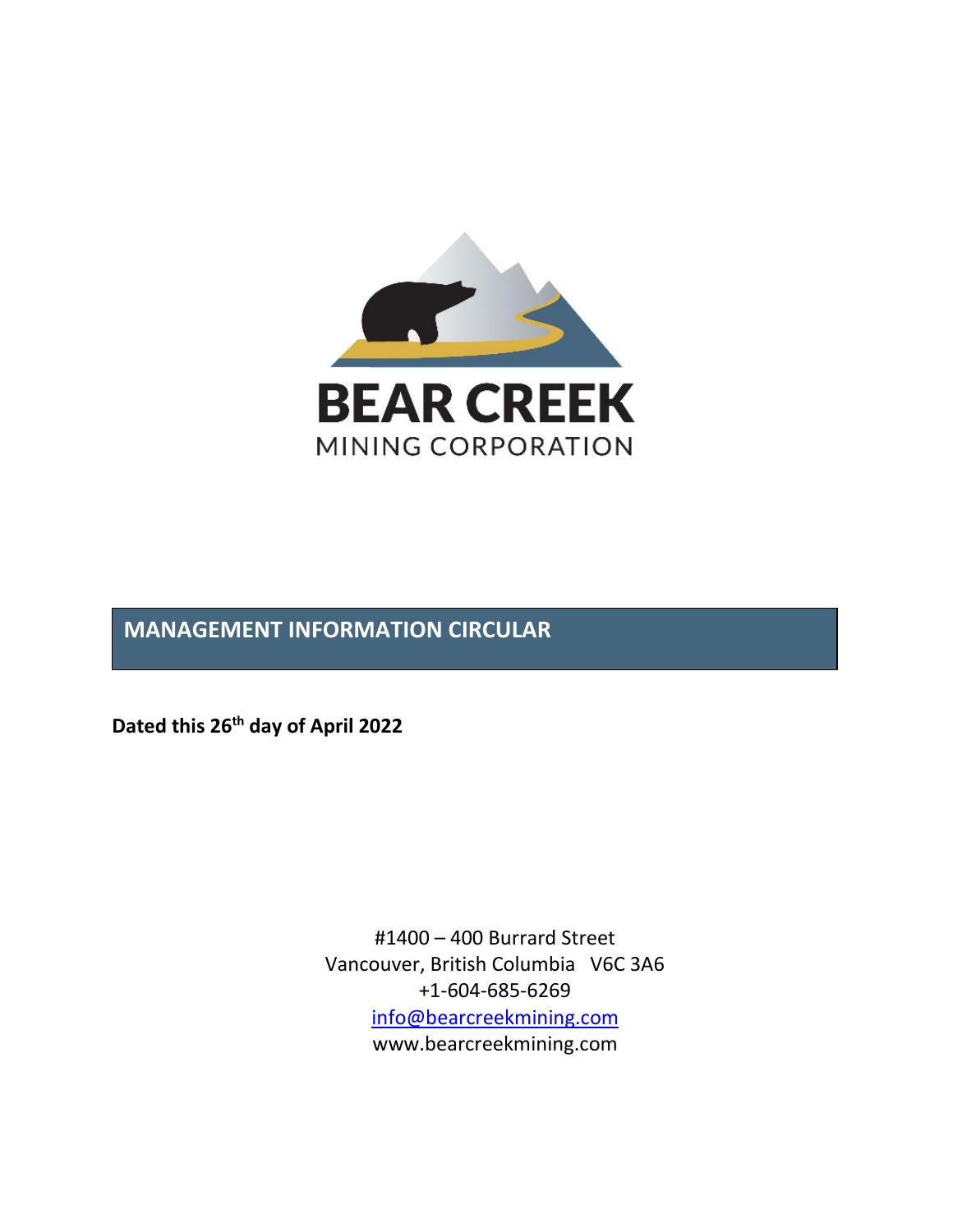

# **MANAGEMENT INFORMATION CIRCULAR**

**Dated this 26th day of April 2022**

#1400 – 400 Burrard Street Vancouver, British Columbia V6C 3A6 +1-604-685-6269 [info@bearcreekmining.com](mailto:info@bearcreekmining.com) www.bearcreekmining.com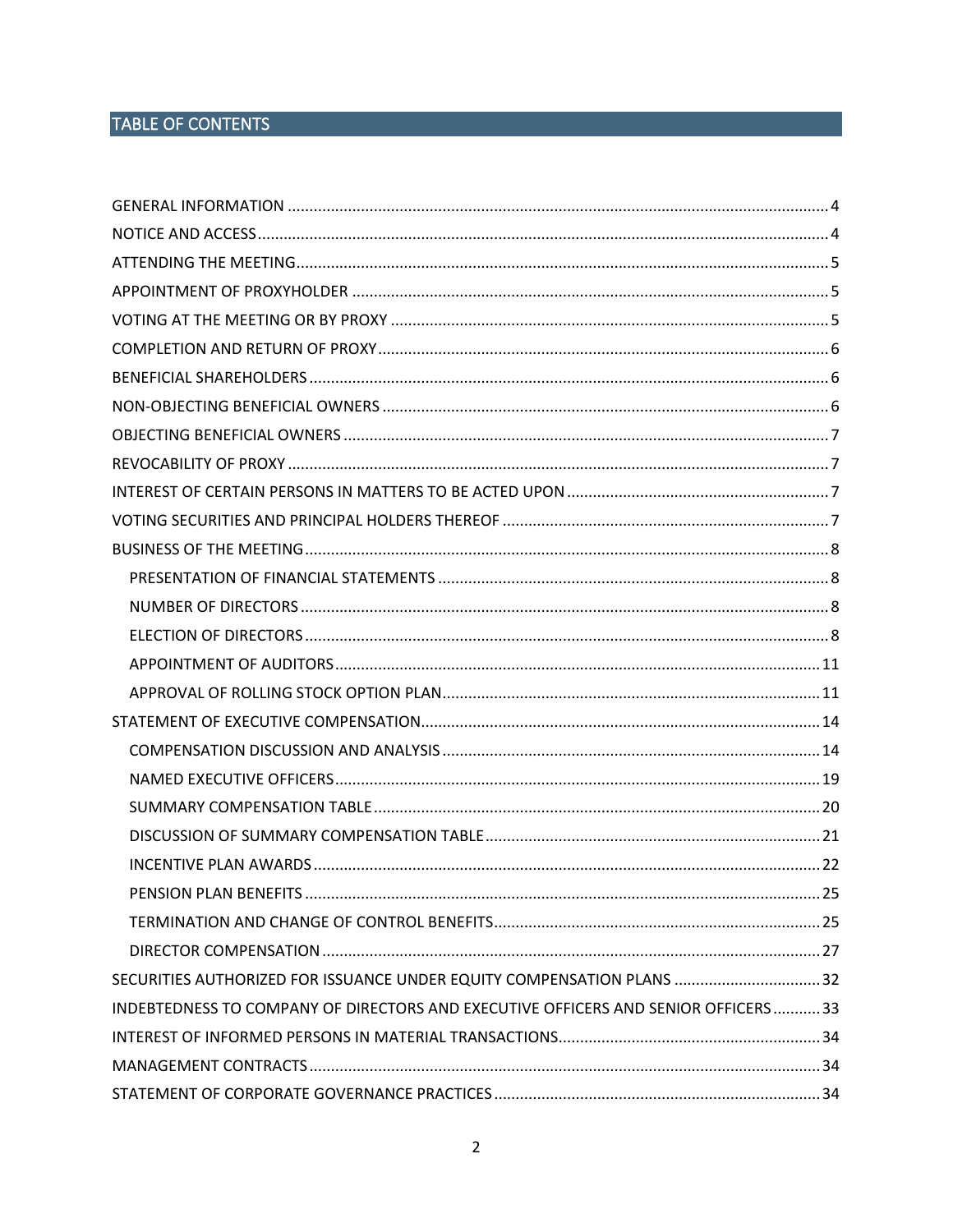# TABLE OF CONTENTS

| PENSION PLAN BENEFITS                                                             |  |
|-----------------------------------------------------------------------------------|--|
|                                                                                   |  |
|                                                                                   |  |
| SECURITIES AUTHORIZED FOR ISSUANCE UNDER EQUITY COMPENSATION PLANS  32            |  |
| INDEBTEDNESS TO COMPANY OF DIRECTORS AND EXECUTIVE OFFICERS AND SENIOR OFFICERS33 |  |
|                                                                                   |  |
|                                                                                   |  |
|                                                                                   |  |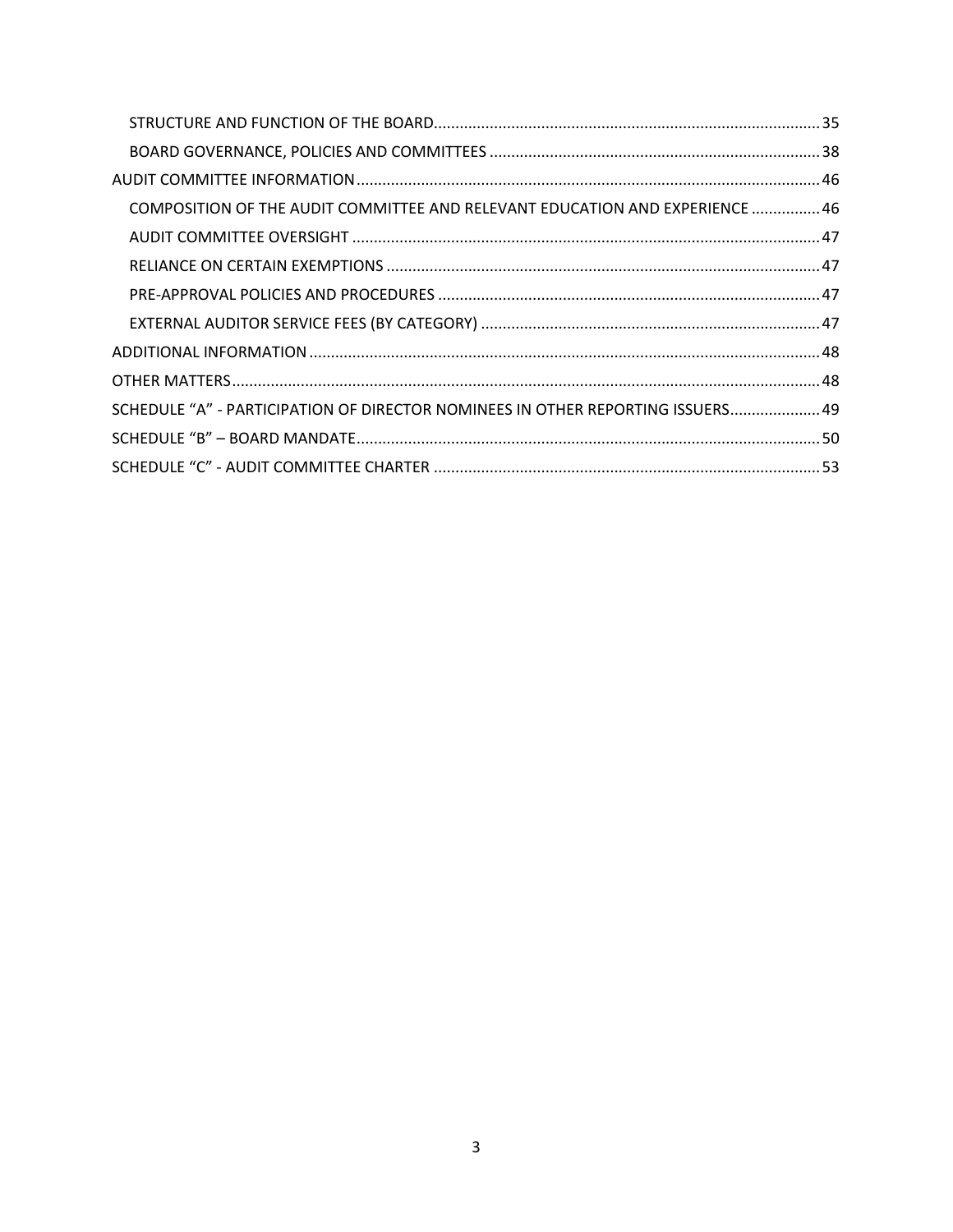| COMPOSITION OF THE AUDIT COMMITTEE AND RELEVANT EDUCATION AND EXPERIENCE  46    |  |
|---------------------------------------------------------------------------------|--|
|                                                                                 |  |
|                                                                                 |  |
|                                                                                 |  |
|                                                                                 |  |
|                                                                                 |  |
|                                                                                 |  |
| SCHEDULE "A" - PARTICIPATION OF DIRECTOR NOMINEES IN OTHER REPORTING ISSUERS 49 |  |
|                                                                                 |  |
|                                                                                 |  |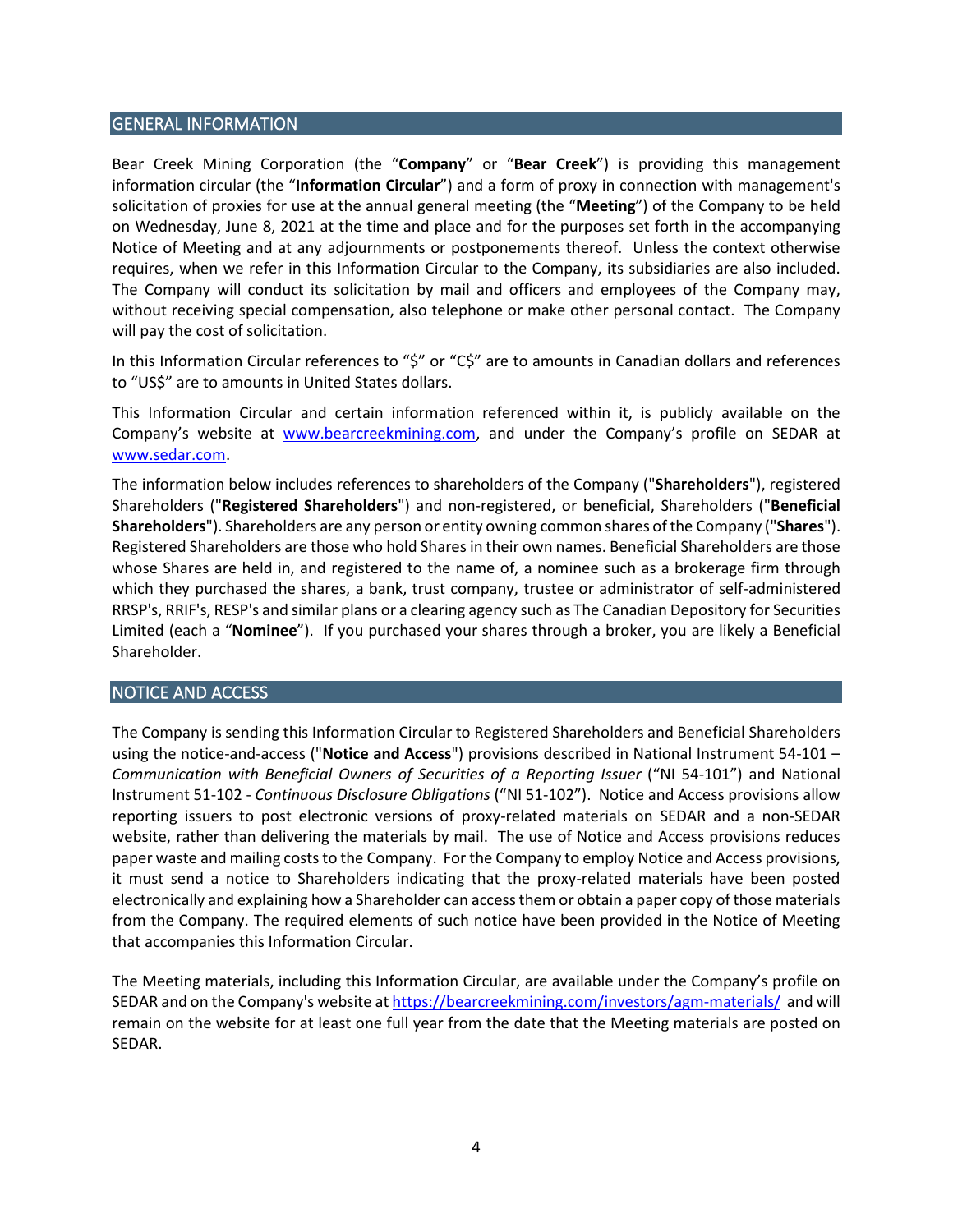## <span id="page-3-0"></span>GENERAL INFORMATION

Bear Creek Mining Corporation (the "**Company**" or "**Bear Creek**") is providing this management information circular (the "**Information Circular**") and a form of proxy in connection with management's solicitation of proxies for use at the annual general meeting (the "**Meeting**") of the Company to be held on Wednesday, June 8, 2021 at the time and place and for the purposes set forth in the accompanying Notice of Meeting and at any adjournments or postponements thereof. Unless the context otherwise requires, when we refer in this Information Circular to the Company, its subsidiaries are also included. The Company will conduct its solicitation by mail and officers and employees of the Company may, without receiving special compensation, also telephone or make other personal contact. The Company will pay the cost of solicitation.

In this Information Circular references to "\$" or "C\$" are to amounts in Canadian dollars and references to "US\$" are to amounts in United States dollars.

This Information Circular and certain information referenced within it, is publicly available on the Company's website at [www.bearcreekmining.com,](http://www.bearcreekmining.com/) and under the Company's profile on SEDAR at [www.sedar.com.](http://www.sedar.com/)

The information below includes references to shareholders of the Company ("**Shareholders**"), registered Shareholders ("**Registered Shareholders**") and non-registered, or beneficial, Shareholders ("**Beneficial Shareholders**"). Shareholders are any person or entity owning common shares of the Company ("**Shares**"). Registered Shareholders are those who hold Sharesin their own names. Beneficial Shareholders are those whose Shares are held in, and registered to the name of, a nominee such as a brokerage firm through which they purchased the shares, a bank, trust company, trustee or administrator of self-administered RRSP's, RRIF's, RESP's and similar plans or a clearing agency such as The Canadian Depository for Securities Limited (each a "**Nominee**"). If you purchased your shares through a broker, you are likely a Beneficial Shareholder.

## <span id="page-3-1"></span>NOTICE AND ACCESS

The Company is sending this Information Circular to Registered Shareholders and Beneficial Shareholders using the notice-and-access ("**Notice and Access**") provisions described in National Instrument 54-101 – *Communication with Beneficial Owners of Securities of a Reporting Issuer* ("NI 54-101") and National Instrument 51-102 - *Continuous Disclosure Obligations* ("NI 51-102"). Notice and Access provisions allow reporting issuers to post electronic versions of proxy-related materials on SEDAR and a non-SEDAR website, rather than delivering the materials by mail. The use of Notice and Access provisions reduces paper waste and mailing costs to the Company. For the Company to employ Notice and Access provisions, it must send a notice to Shareholders indicating that the proxy-related materials have been posted electronically and explaining how a Shareholder can access them or obtain a paper copy of those materials from the Company. The required elements of such notice have been provided in the Notice of Meeting that accompanies this Information Circular.

The Meeting materials, including this Information Circular, are available under the Company's profile on SEDAR and on the Company's website a[t https://bearcreekmining.com/investors/agm-materials/](https://bearcreekmining.com/investors/agm-materials/) and will remain on the website for at least one full year from the date that the Meeting materials are posted on SEDAR.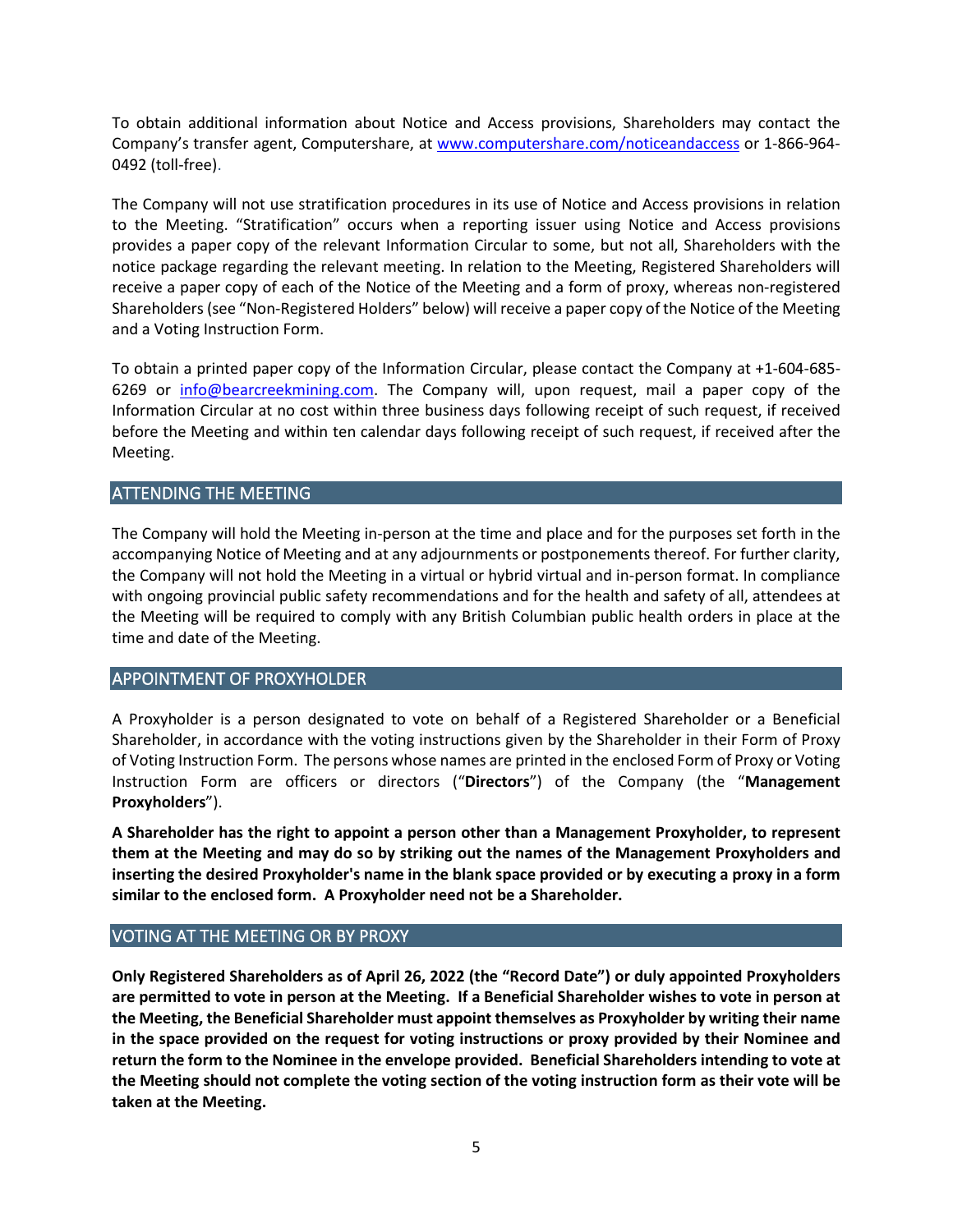To obtain additional information about Notice and Access provisions, Shareholders may contact the Company's transfer agent, Computershare, at [www.computershare.com/noticeandaccess](http://www.computershare.com/noticeandaccess) or 1-866-964- 0492 (toll-free).

The Company will not use stratification procedures in its use of Notice and Access provisions in relation to the Meeting. "Stratification" occurs when a reporting issuer using Notice and Access provisions provides a paper copy of the relevant Information Circular to some, but not all, Shareholders with the notice package regarding the relevant meeting. In relation to the Meeting, Registered Shareholders will receive a paper copy of each of the Notice of the Meeting and a form of proxy, whereas non-registered Shareholders(see "Non-Registered Holders" below) will receive a paper copy of the Notice of the Meeting and a Voting Instruction Form.

To obtain a printed paper copy of the Information Circular, please contact the Company at +1-604-685- 6269 or [info@bearcreekmining.com.](mailto:info@bearcreekmining.com) The Company will, upon request, mail a paper copy of the Information Circular at no cost within three business days following receipt of such request, if received before the Meeting and within ten calendar days following receipt of such request, if received after the Meeting.

# <span id="page-4-0"></span>ATTENDING THE MEETING

The Company will hold the Meeting in-person at the time and place and for the purposes set forth in the accompanying Notice of Meeting and at any adjournments or postponements thereof. For further clarity, the Company will not hold the Meeting in a virtual or hybrid virtual and in-person format. In compliance with ongoing provincial public safety recommendations and for the health and safety of all, attendees at the Meeting will be required to comply with any British Columbian public health orders in place at the time and date of the Meeting.

## <span id="page-4-1"></span>APPOINTMENT OF PROXYHOLDER

A Proxyholder is a person designated to vote on behalf of a Registered Shareholder or a Beneficial Shareholder, in accordance with the voting instructions given by the Shareholder in their Form of Proxy of Voting Instruction Form. The persons whose names are printed in the enclosed Form of Proxy or Voting Instruction Form are officers or directors ("**Directors**") of the Company (the "**Management Proxyholders**").

**A Shareholder has the right to appoint a person other than a Management Proxyholder, to represent them at the Meeting and may do so by striking out the names of the Management Proxyholders and inserting the desired Proxyholder's name in the blank space provided or by executing a proxy in a form similar to the enclosed form. A Proxyholder need not be a Shareholder.**

# <span id="page-4-2"></span>VOTING AT THE MEETING OR BY PROXY

**Only Registered Shareholders as of April 26, 2022 (the "Record Date") or duly appointed Proxyholders are permitted to vote in person at the Meeting. If a Beneficial Shareholder wishes to vote in person at the Meeting, the Beneficial Shareholder must appoint themselves as Proxyholder by writing their name in the space provided on the request for voting instructions or proxy provided by their Nominee and return the form to the Nominee in the envelope provided. Beneficial Shareholders intending to vote at the Meeting should not complete the voting section of the voting instruction form as their vote will be taken at the Meeting.**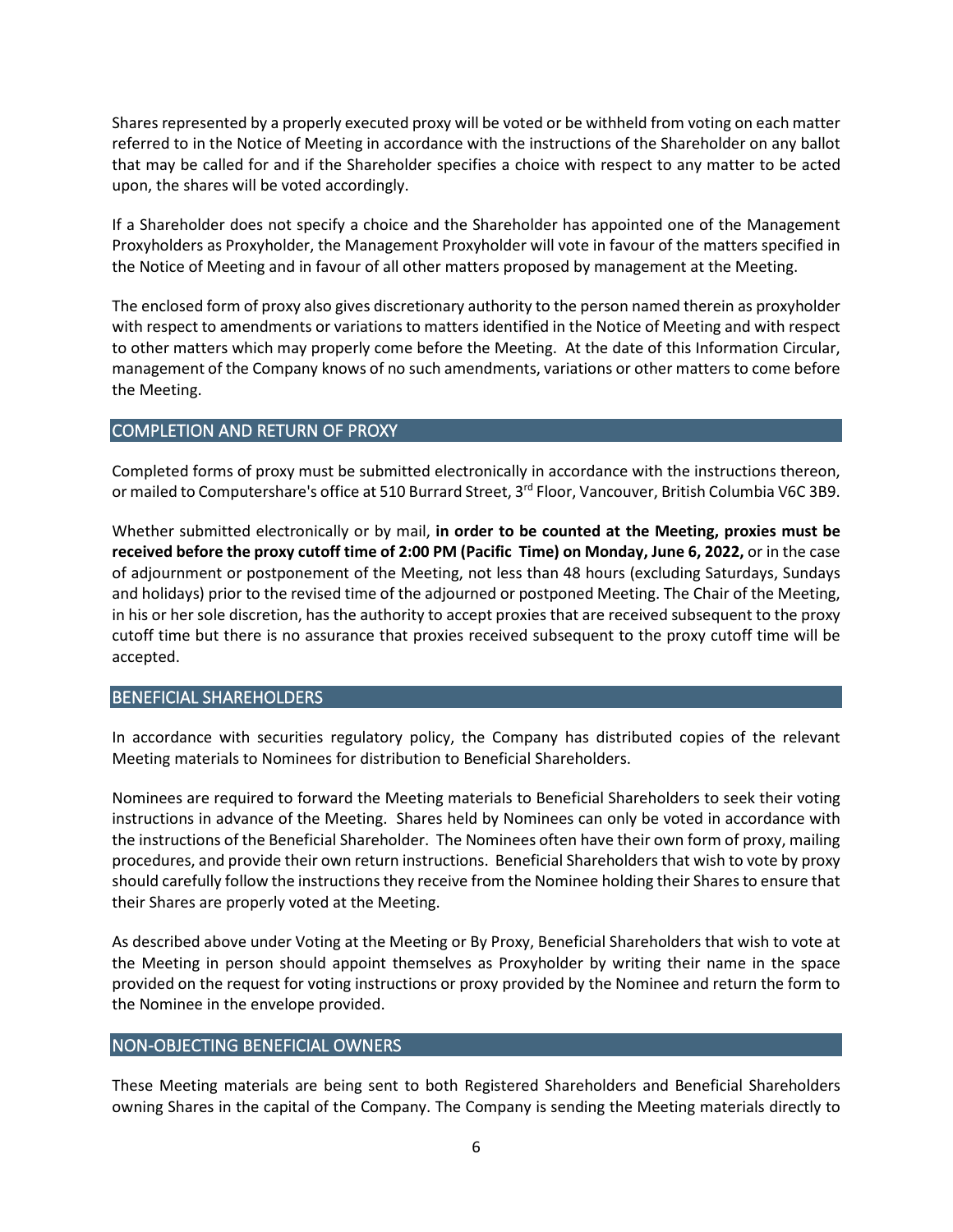Shares represented by a properly executed proxy will be voted or be withheld from voting on each matter referred to in the Notice of Meeting in accordance with the instructions of the Shareholder on any ballot that may be called for and if the Shareholder specifies a choice with respect to any matter to be acted upon, the shares will be voted accordingly.

If a Shareholder does not specify a choice and the Shareholder has appointed one of the Management Proxyholders as Proxyholder, the Management Proxyholder will vote in favour of the matters specified in the Notice of Meeting and in favour of all other matters proposed by management at the Meeting.

The enclosed form of proxy also gives discretionary authority to the person named therein as proxyholder with respect to amendments or variations to matters identified in the Notice of Meeting and with respect to other matters which may properly come before the Meeting. At the date of this Information Circular, management of the Company knows of no such amendments, variations or other matters to come before the Meeting.

# <span id="page-5-0"></span>COMPLETION AND RETURN OF PROXY

Completed forms of proxy must be submitted electronically in accordance with the instructions thereon, or mailed to Computershare's office at 510 Burrard Street, 3<sup>rd</sup> Floor, Vancouver, British Columbia V6C 3B9.

Whether submitted electronically or by mail, **in order to be counted at the Meeting, proxies must be received before the proxy cutoff time of 2:00 PM (Pacific Time) on Monday, June 6, 2022,** or in the case of adjournment or postponement of the Meeting, not less than 48 hours (excluding Saturdays, Sundays and holidays) prior to the revised time of the adjourned or postponed Meeting. The Chair of the Meeting, in his or her sole discretion, has the authority to accept proxies that are received subsequent to the proxy cutoff time but there is no assurance that proxies received subsequent to the proxy cutoff time will be accepted.

# <span id="page-5-1"></span>BENEFICIAL SHAREHOLDERS

In accordance with securities regulatory policy, the Company has distributed copies of the relevant Meeting materials to Nominees for distribution to Beneficial Shareholders.

Nominees are required to forward the Meeting materials to Beneficial Shareholders to seek their voting instructions in advance of the Meeting. Shares held by Nominees can only be voted in accordance with the instructions of the Beneficial Shareholder. The Nominees often have their own form of proxy, mailing procedures, and provide their own return instructions. Beneficial Shareholders that wish to vote by proxy should carefully follow the instructions they receive from the Nominee holding their Shares to ensure that their Shares are properly voted at the Meeting.

As described above under Voting at the Meeting or By Proxy, Beneficial Shareholders that wish to vote at the Meeting in person should appoint themselves as Proxyholder by writing their name in the space provided on the request for voting instructions or proxy provided by the Nominee and return the form to the Nominee in the envelope provided.

# <span id="page-5-2"></span>NON-OBJECTING BENEFICIAL OWNERS

These Meeting materials are being sent to both Registered Shareholders and Beneficial Shareholders owning Shares in the capital of the Company. The Company is sending the Meeting materials directly to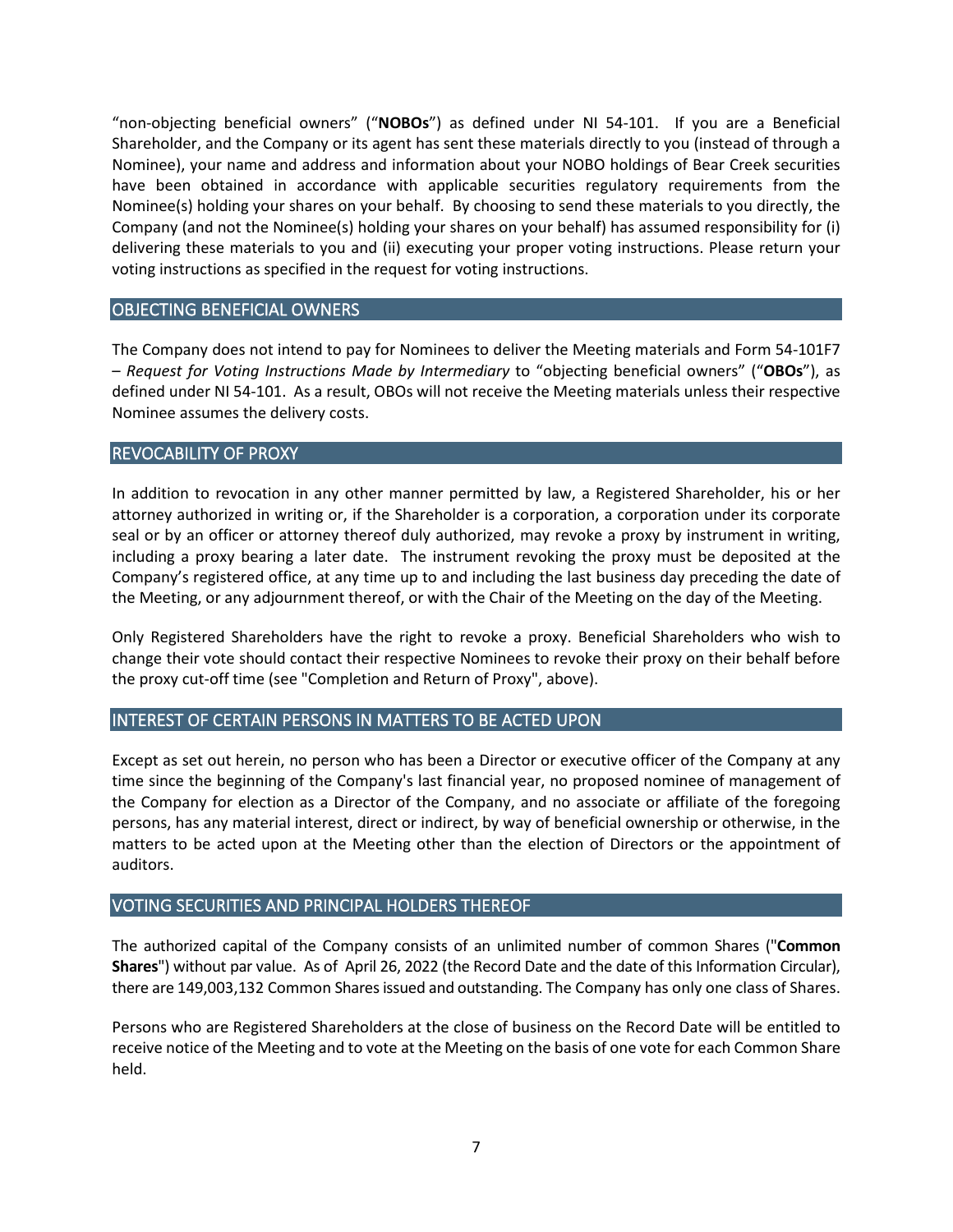"non-objecting beneficial owners" ("**NOBOs**") as defined under NI 54-101. If you are a Beneficial Shareholder, and the Company or its agent has sent these materials directly to you (instead of through a Nominee), your name and address and information about your NOBO holdings of Bear Creek securities have been obtained in accordance with applicable securities regulatory requirements from the Nominee(s) holding your shares on your behalf. By choosing to send these materials to you directly, the Company (and not the Nominee(s) holding your shares on your behalf) has assumed responsibility for (i) delivering these materials to you and (ii) executing your proper voting instructions. Please return your voting instructions as specified in the request for voting instructions.

## <span id="page-6-0"></span>OBJECTING BENEFICIAL OWNERS

The Company does not intend to pay for Nominees to deliver the Meeting materials and Form 54-101F7 – *Request for Voting Instructions Made by Intermediary* to "objecting beneficial owners" ("**OBOs**"), as defined under NI 54-101. As a result, OBOs will not receive the Meeting materials unless their respective Nominee assumes the delivery costs.

# <span id="page-6-1"></span>REVOCABILITY OF PROXY

In addition to revocation in any other manner permitted by law, a Registered Shareholder, his or her attorney authorized in writing or, if the Shareholder is a corporation, a corporation under its corporate seal or by an officer or attorney thereof duly authorized, may revoke a proxy by instrument in writing, including a proxy bearing a later date. The instrument revoking the proxy must be deposited at the Company's registered office, at any time up to and including the last business day preceding the date of the Meeting, or any adjournment thereof, or with the Chair of the Meeting on the day of the Meeting.

Only Registered Shareholders have the right to revoke a proxy. Beneficial Shareholders who wish to change their vote should contact their respective Nominees to revoke their proxy on their behalf before the proxy cut-off time (see "Completion and Return of Proxy", above).

## <span id="page-6-2"></span>INTEREST OF CERTAIN PERSONS IN MATTERS TO BE ACTED UPON

Except as set out herein, no person who has been a Director or executive officer of the Company at any time since the beginning of the Company's last financial year, no proposed nominee of management of the Company for election as a Director of the Company, and no associate or affiliate of the foregoing persons, has any material interest, direct or indirect, by way of beneficial ownership or otherwise, in the matters to be acted upon at the Meeting other than the election of Directors or the appointment of auditors.

## <span id="page-6-3"></span>VOTING SECURITIES AND PRINCIPAL HOLDERS THEREOF

The authorized capital of the Company consists of an unlimited number of common Shares ("**Common Shares**") without par value. As of April 26, 2022 (the Record Date and the date of this Information Circular), there are 149,003,132 Common Shares issued and outstanding. The Company has only one class of Shares.

Persons who are Registered Shareholders at the close of business on the Record Date will be entitled to receive notice of the Meeting and to vote at the Meeting on the basis of one vote for each Common Share held.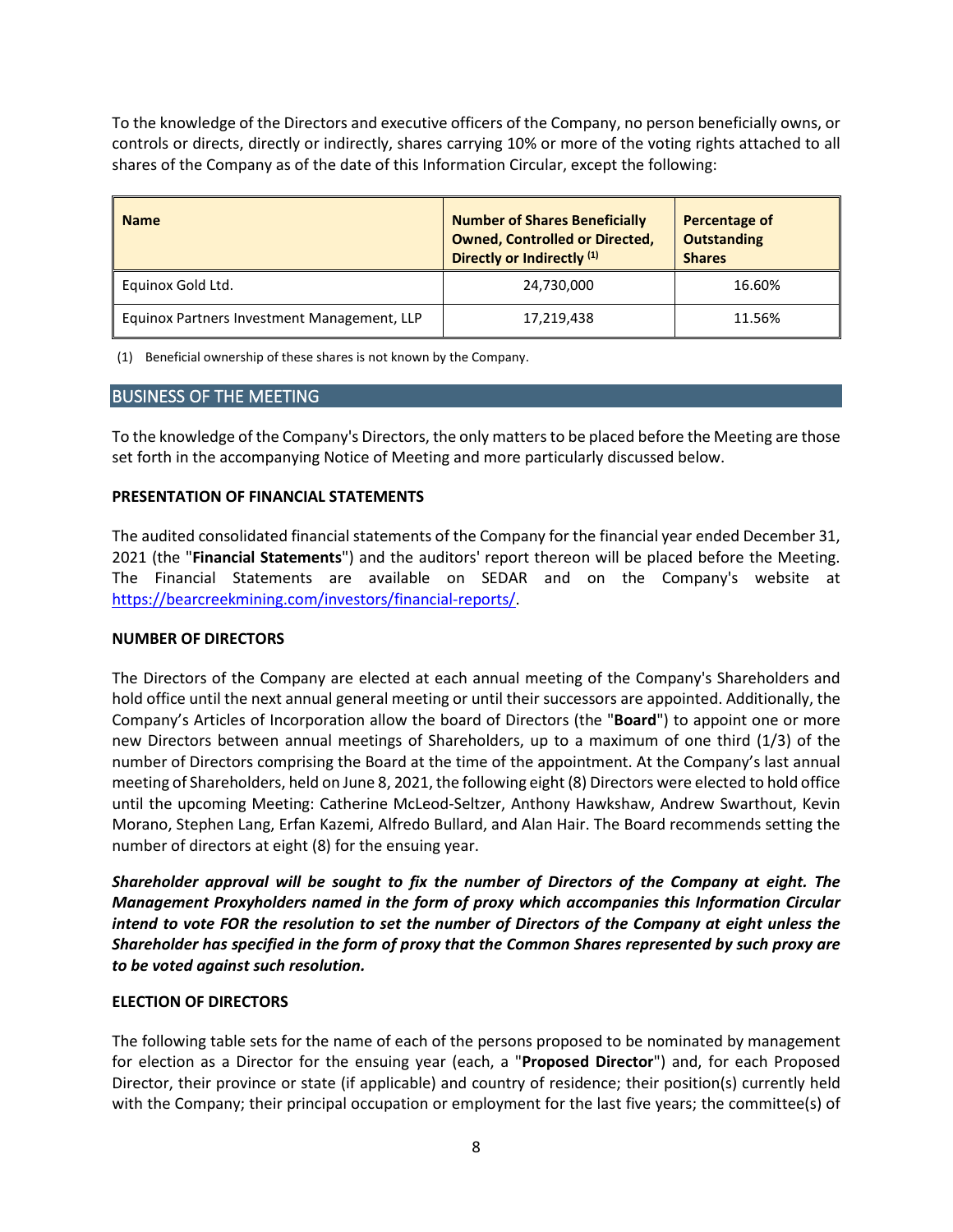To the knowledge of the Directors and executive officers of the Company, no person beneficially owns, or controls or directs, directly or indirectly, shares carrying 10% or more of the voting rights attached to all shares of the Company as of the date of this Information Circular, except the following:

| <b>Name</b>                                 | <b>Number of Shares Beneficially</b><br><b>Owned, Controlled or Directed,</b><br>Directly or Indirectly <sup>(1)</sup> | Percentage of<br><b>Outstanding</b><br><b>Shares</b> |
|---------------------------------------------|------------------------------------------------------------------------------------------------------------------------|------------------------------------------------------|
| Equinox Gold Ltd.                           | 24,730,000                                                                                                             | 16.60%                                               |
| Equinox Partners Investment Management, LLP | 17,219,438                                                                                                             | 11.56%                                               |

(1) Beneficial ownership of these shares is not known by the Company.

## <span id="page-7-0"></span>BUSINESS OF THE MEETING

To the knowledge of the Company's Directors, the only matters to be placed before the Meeting are those set forth in the accompanying Notice of Meeting and more particularly discussed below.

#### <span id="page-7-1"></span>**PRESENTATION OF FINANCIAL STATEMENTS**

The audited consolidated financial statements of the Company for the financial year ended December 31, 2021 (the "**Financial Statements**") and the auditors' report thereon will be placed before the Meeting. The Financial Statements are available on SEDAR and on the Company's website at [https://bearcreekmining.com/investors/financial-reports/.](https://bearcreekmining.com/investors/financial-reports/)

## <span id="page-7-2"></span>**NUMBER OF DIRECTORS**

The Directors of the Company are elected at each annual meeting of the Company's Shareholders and hold office until the next annual general meeting or until their successors are appointed. Additionally, the Company's Articles of Incorporation allow the board of Directors (the "**Board**") to appoint one or more new Directors between annual meetings of Shareholders, up to a maximum of one third (1/3) of the number of Directors comprising the Board at the time of the appointment. At the Company's last annual meeting of Shareholders, held on June 8, 2021, the following eight (8) Directors were elected to hold office until the upcoming Meeting: Catherine McLeod-Seltzer, Anthony Hawkshaw, Andrew Swarthout, Kevin Morano, Stephen Lang, Erfan Kazemi, Alfredo Bullard, and Alan Hair. The Board recommends setting the number of directors at eight (8) for the ensuing year.

*Shareholder approval will be sought to fix the number of Directors of the Company at eight. The Management Proxyholders named in the form of proxy which accompanies this Information Circular intend to vote FOR the resolution to set the number of Directors of the Company at eight unless the Shareholder has specified in the form of proxy that the Common Shares represented by such proxy are to be voted against such resolution.*

## <span id="page-7-3"></span>**ELECTION OF DIRECTORS**

The following table sets for the name of each of the persons proposed to be nominated by management for election as a Director for the ensuing year (each, a "**Proposed Director**") and, for each Proposed Director, their province or state (if applicable) and country of residence; their position(s) currently held with the Company; their principal occupation or employment for the last five years; the committee(s) of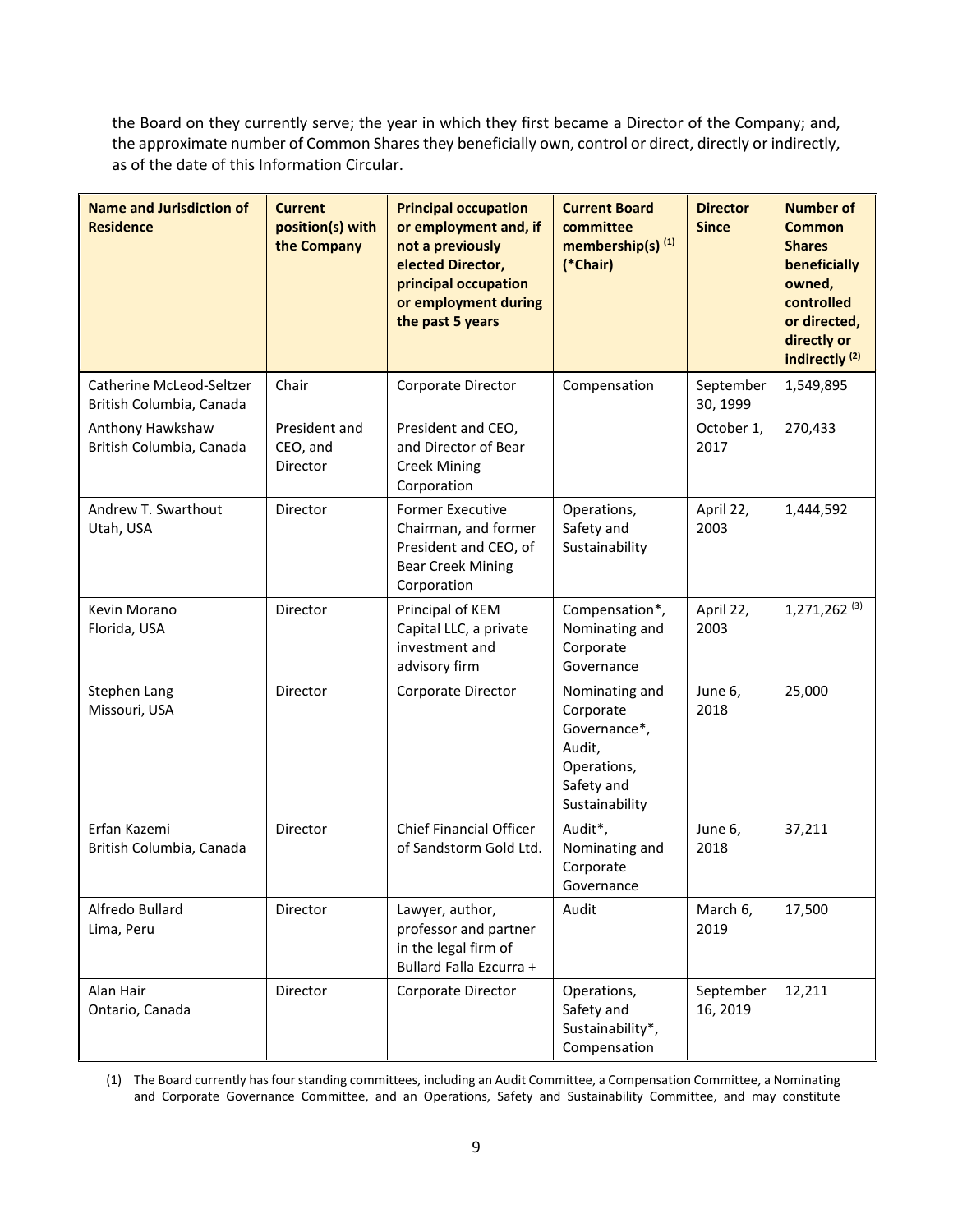the Board on they currently serve; the year in which they first became a Director of the Company; and, the approximate number of Common Shares they beneficially own, control or direct, directly or indirectly, as of the date of this Information Circular.

| <b>Name and Jurisdiction of</b><br><b>Residence</b>  | <b>Current</b><br>position(s) with<br>the Company | <b>Principal occupation</b><br>or employment and, if<br>not a previously<br>elected Director,<br>principal occupation<br>or employment during<br>the past 5 years | <b>Current Board</b><br>committee<br>membership(s) <sup>(1)</sup><br>(*Chair)                        | <b>Director</b><br><b>Since</b> | <b>Number of</b><br><b>Common</b><br><b>Shares</b><br>beneficially<br>owned,<br>controlled<br>or directed,<br>directly or<br>indirectly <sup>(2)</sup> |
|------------------------------------------------------|---------------------------------------------------|-------------------------------------------------------------------------------------------------------------------------------------------------------------------|------------------------------------------------------------------------------------------------------|---------------------------------|--------------------------------------------------------------------------------------------------------------------------------------------------------|
| Catherine McLeod-Seltzer<br>British Columbia, Canada | Chair                                             | Corporate Director                                                                                                                                                | Compensation                                                                                         | September<br>30, 1999           | 1,549,895                                                                                                                                              |
| Anthony Hawkshaw<br>British Columbia, Canada         | President and<br>CEO, and<br>Director             | President and CEO,<br>and Director of Bear<br><b>Creek Mining</b><br>Corporation                                                                                  |                                                                                                      | October 1,<br>2017              | 270,433                                                                                                                                                |
| Andrew T. Swarthout<br>Utah, USA                     | Director                                          | <b>Former Executive</b><br>Chairman, and former<br>President and CEO, of<br><b>Bear Creek Mining</b><br>Corporation                                               | Operations,<br>Safety and<br>Sustainability                                                          | April 22,<br>2003               | 1,444,592                                                                                                                                              |
| Kevin Morano<br>Florida, USA                         | Director                                          | Principal of KEM<br>Capital LLC, a private<br>investment and<br>advisory firm                                                                                     | Compensation*,<br>Nominating and<br>Corporate<br>Governance                                          | April 22,<br>2003               | $1,271,262$ <sup>(3)</sup>                                                                                                                             |
| Stephen Lang<br>Missouri, USA                        | Director                                          | Corporate Director                                                                                                                                                | Nominating and<br>Corporate<br>Governance*,<br>Audit,<br>Operations,<br>Safety and<br>Sustainability | June 6,<br>2018                 | 25,000                                                                                                                                                 |
| Erfan Kazemi<br>British Columbia, Canada             | Director                                          | <b>Chief Financial Officer</b><br>of Sandstorm Gold Ltd.                                                                                                          | Audit*,<br>Nominating and<br>Corporate<br>Governance                                                 | June 6,<br>2018                 | 37,211                                                                                                                                                 |
| Alfredo Bullard<br>Lima, Peru                        | Director                                          | Lawyer, author,<br>professor and partner<br>in the legal firm of<br>Bullard Falla Ezcurra +                                                                       | Audit                                                                                                | March 6,<br>2019                | 17,500                                                                                                                                                 |
| Alan Hair<br>Ontario, Canada                         | Director                                          | Corporate Director                                                                                                                                                | Operations,<br>Safety and<br>Sustainability*,<br>Compensation                                        | September<br>16, 2019           | 12,211                                                                                                                                                 |

(1) The Board currently has four standing committees, including an Audit Committee, a Compensation Committee, a Nominating and Corporate Governance Committee, and an Operations, Safety and Sustainability Committee, and may constitute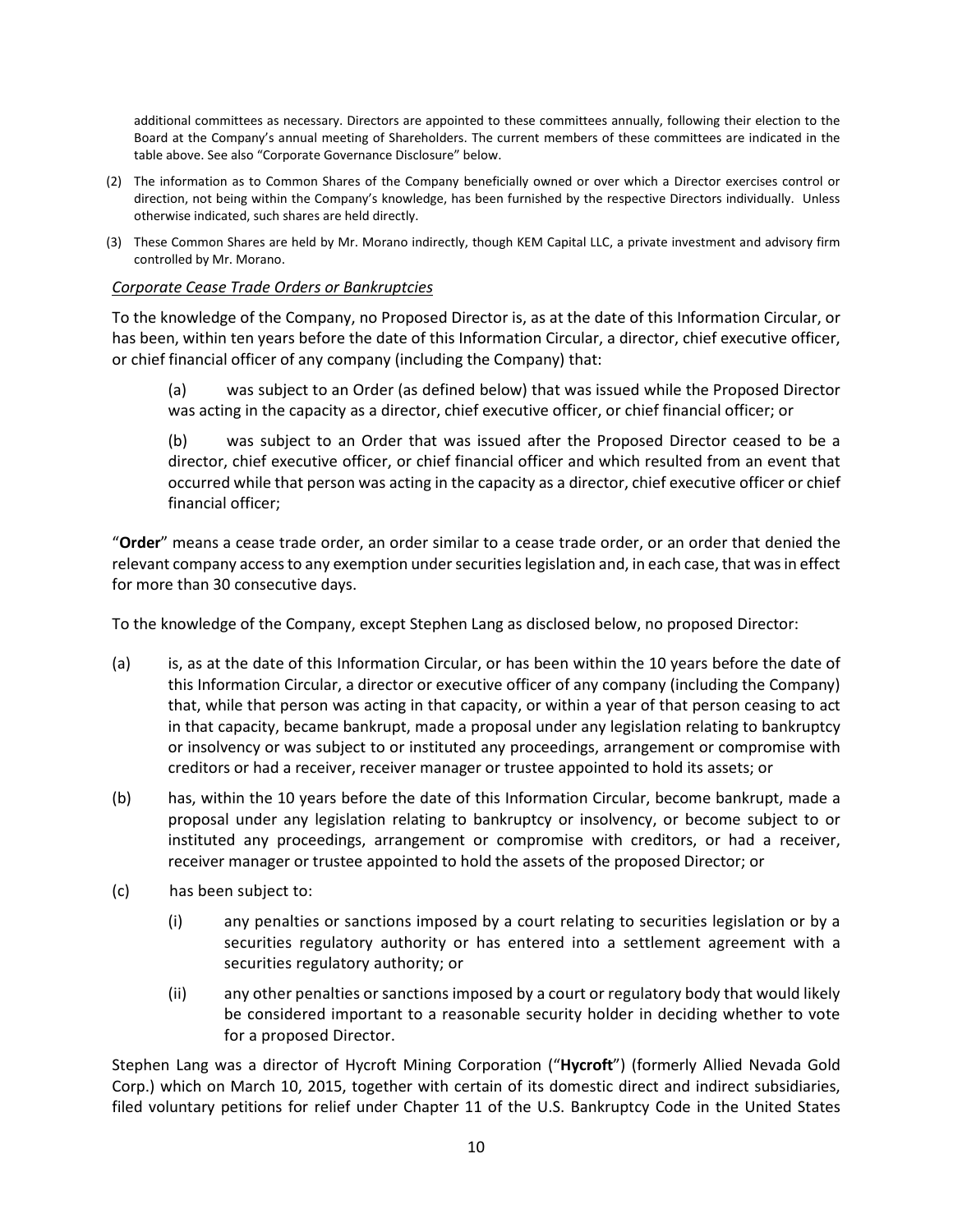additional committees as necessary. Directors are appointed to these committees annually, following their election to the Board at the Company's annual meeting of Shareholders. The current members of these committees are indicated in the table above. See also "Corporate Governance Disclosure" below.

- (2) The information as to Common Shares of the Company beneficially owned or over which a Director exercises control or direction, not being within the Company's knowledge, has been furnished by the respective Directors individually. Unless otherwise indicated, such shares are held directly.
- (3) These Common Shares are held by Mr. Morano indirectly, though KEM Capital LLC, a private investment and advisory firm controlled by Mr. Morano.

## *Corporate Cease Trade Orders or Bankruptcies*

To the knowledge of the Company, no Proposed Director is, as at the date of this Information Circular, or has been, within ten years before the date of this Information Circular, a director, chief executive officer, or chief financial officer of any company (including the Company) that:

(a) was subject to an Order (as defined below) that was issued while the Proposed Director was acting in the capacity as a director, chief executive officer, or chief financial officer; or

(b) was subject to an Order that was issued after the Proposed Director ceased to be a director, chief executive officer, or chief financial officer and which resulted from an event that occurred while that person was acting in the capacity as a director, chief executive officer or chief financial officer;

"**Order**" means a cease trade order, an order similar to a cease trade order, or an order that denied the relevant company access to any exemption under securities legislation and, in each case, that was in effect for more than 30 consecutive days.

To the knowledge of the Company, except Stephen Lang as disclosed below, no proposed Director:

- (a) is, as at the date of this Information Circular, or has been within the 10 years before the date of this Information Circular, a director or executive officer of any company (including the Company) that, while that person was acting in that capacity, or within a year of that person ceasing to act in that capacity, became bankrupt, made a proposal under any legislation relating to bankruptcy or insolvency or was subject to or instituted any proceedings, arrangement or compromise with creditors or had a receiver, receiver manager or trustee appointed to hold its assets; or
- (b) has, within the 10 years before the date of this Information Circular, become bankrupt, made a proposal under any legislation relating to bankruptcy or insolvency, or become subject to or instituted any proceedings, arrangement or compromise with creditors, or had a receiver, receiver manager or trustee appointed to hold the assets of the proposed Director; or
- (c) has been subject to:
	- (i) any penalties or sanctions imposed by a court relating to securities legislation or by a securities regulatory authority or has entered into a settlement agreement with a securities regulatory authority; or
	- (ii) any other penalties or sanctions imposed by a court or regulatory body that would likely be considered important to a reasonable security holder in deciding whether to vote for a proposed Director.

Stephen Lang was a director of Hycroft Mining Corporation ("**Hycroft**") (formerly Allied Nevada Gold Corp.) which on March 10, 2015, together with certain of its domestic direct and indirect subsidiaries, filed voluntary petitions for relief under Chapter 11 of the U.S. Bankruptcy Code in the United States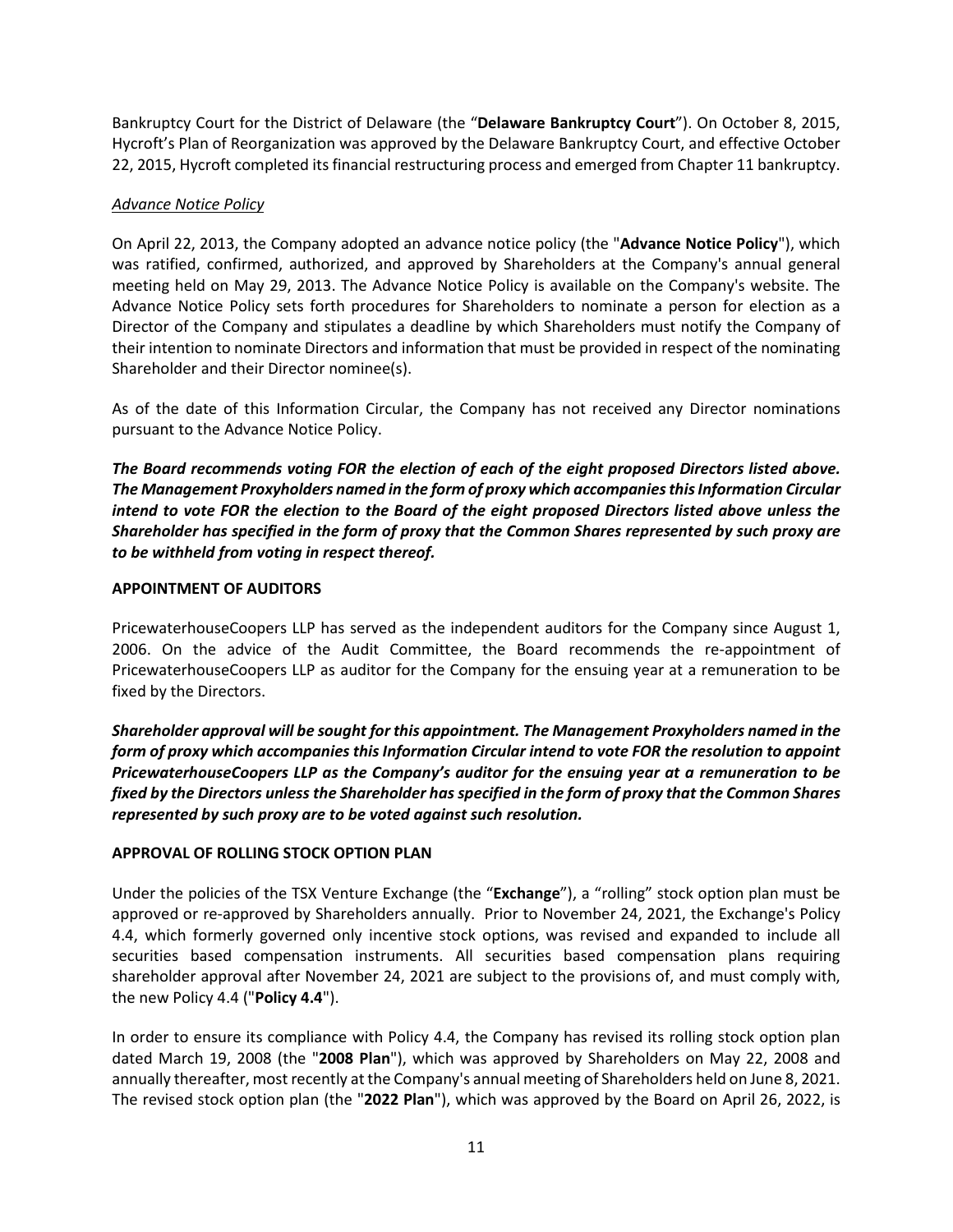Bankruptcy Court for the District of Delaware (the "**Delaware Bankruptcy Court**"). On October 8, 2015, Hycroft's Plan of Reorganization was approved by the Delaware Bankruptcy Court, and effective October 22, 2015, Hycroft completed its financial restructuring process and emerged from Chapter 11 bankruptcy.

## *Advance Notice Policy*

On April 22, 2013, the Company adopted an advance notice policy (the "**Advance Notice Policy**"), which was ratified, confirmed, authorized, and approved by Shareholders at the Company's annual general meeting held on May 29, 2013. The Advance Notice Policy is available on the Company's website. The Advance Notice Policy sets forth procedures for Shareholders to nominate a person for election as a Director of the Company and stipulates a deadline by which Shareholders must notify the Company of their intention to nominate Directors and information that must be provided in respect of the nominating Shareholder and their Director nominee(s).

As of the date of this Information Circular, the Company has not received any Director nominations pursuant to the Advance Notice Policy.

*The Board recommends voting FOR the election of each of the eight proposed Directors listed above. The Management Proxyholders named in the form of proxy which accompanies this Information Circular intend to vote FOR the election to the Board of the eight proposed Directors listed above unless the Shareholder has specified in the form of proxy that the Common Shares represented by such proxy are to be withheld from voting in respect thereof.*

## <span id="page-10-0"></span>**APPOINTMENT OF AUDITORS**

PricewaterhouseCoopers LLP has served as the independent auditors for the Company since August 1, 2006. On the advice of the Audit Committee, the Board recommends the re-appointment of PricewaterhouseCoopers LLP as auditor for the Company for the ensuing year at a remuneration to be fixed by the Directors.

*Shareholder approval will be sought for this appointment. The Management Proxyholders named in the form of proxy which accompanies this Information Circular intend to vote FOR the resolution to appoint PricewaterhouseCoopers LLP as the Company's auditor for the ensuing year at a remuneration to be fixed by the Directors unless the Shareholder has specified in the form of proxy that the Common Shares represented by such proxy are to be voted against such resolution.*

## <span id="page-10-1"></span>**APPROVAL OF ROLLING STOCK OPTION PLAN**

Under the policies of the TSX Venture Exchange (the "**Exchange**"), a "rolling" stock option plan must be approved or re-approved by Shareholders annually. Prior to November 24, 2021, the Exchange's Policy 4.4, which formerly governed only incentive stock options, was revised and expanded to include all securities based compensation instruments. All securities based compensation plans requiring shareholder approval after November 24, 2021 are subject to the provisions of, and must comply with, the new Policy 4.4 ("**Policy 4.4**").

In order to ensure its compliance with Policy 4.4, the Company has revised its rolling stock option plan dated March 19, 2008 (the "**2008 Plan**"), which was approved by Shareholders on May 22, 2008 and annually thereafter, most recently at the Company's annual meeting of Shareholders held on June 8, 2021. The revised stock option plan (the "**2022 Plan**"), which was approved by the Board on April 26, 2022, is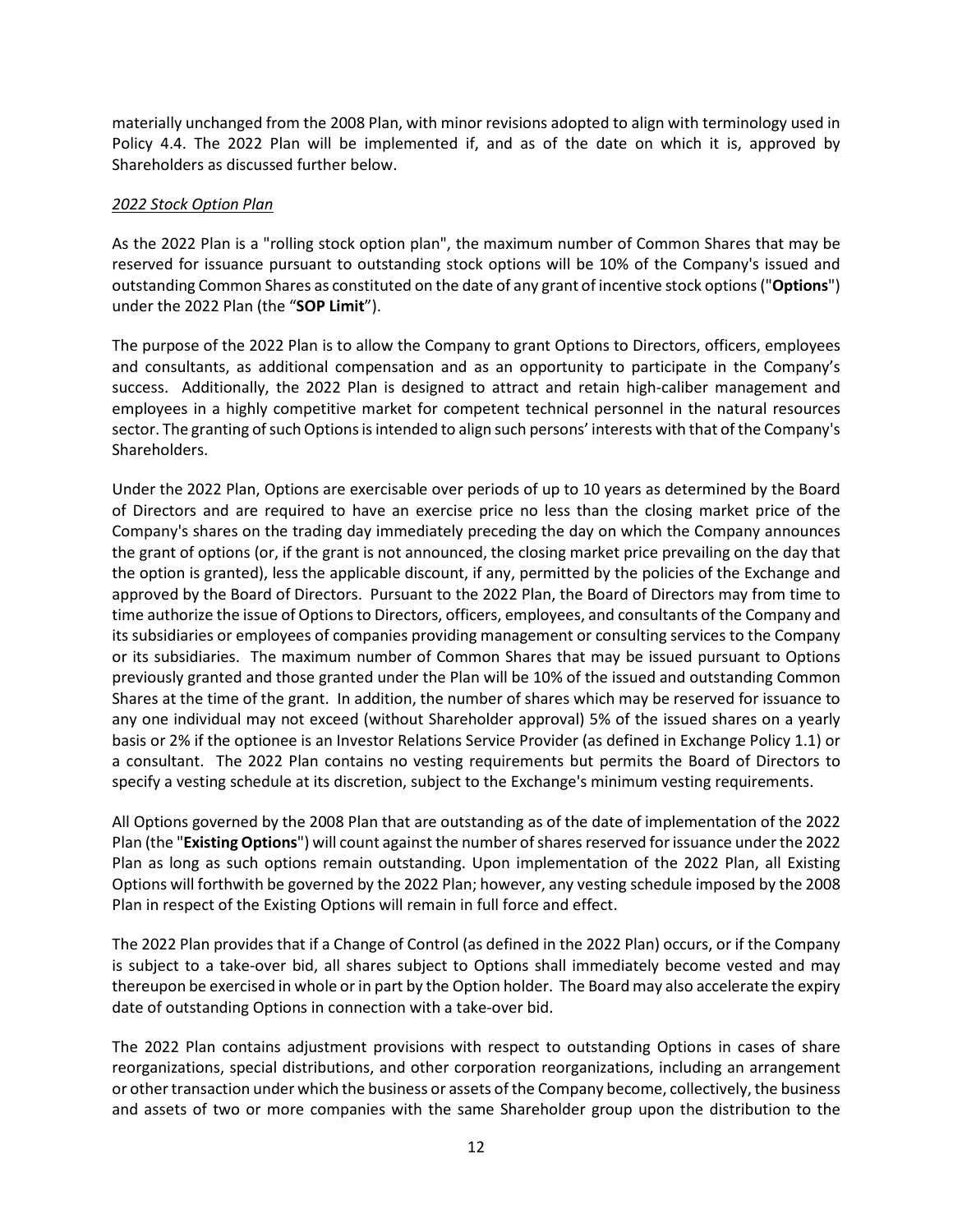materially unchanged from the 2008 Plan, with minor revisions adopted to align with terminology used in Policy 4.4. The 2022 Plan will be implemented if, and as of the date on which it is, approved by Shareholders as discussed further below.

#### *2022 Stock Option Plan*

As the 2022 Plan is a "rolling stock option plan", the maximum number of Common Shares that may be reserved for issuance pursuant to outstanding stock options will be 10% of the Company's issued and outstanding Common Shares as constituted on the date of any grant of incentive stock options ("**Options**") under the 2022 Plan (the "**SOP Limit**").

The purpose of the 2022 Plan is to allow the Company to grant Options to Directors, officers, employees and consultants, as additional compensation and as an opportunity to participate in the Company's success. Additionally, the 2022 Plan is designed to attract and retain high-caliber management and employees in a highly competitive market for competent technical personnel in the natural resources sector. The granting of such Options is intended to align such persons' interests with that of the Company's Shareholders.

Under the 2022 Plan, Options are exercisable over periods of up to 10 years as determined by the Board of Directors and are required to have an exercise price no less than the closing market price of the Company's shares on the trading day immediately preceding the day on which the Company announces the grant of options (or, if the grant is not announced, the closing market price prevailing on the day that the option is granted), less the applicable discount, if any, permitted by the policies of the Exchange and approved by the Board of Directors. Pursuant to the 2022 Plan, the Board of Directors may from time to time authorize the issue of Options to Directors, officers, employees, and consultants of the Company and its subsidiaries or employees of companies providing management or consulting services to the Company or its subsidiaries. The maximum number of Common Shares that may be issued pursuant to Options previously granted and those granted under the Plan will be 10% of the issued and outstanding Common Shares at the time of the grant. In addition, the number of shares which may be reserved for issuance to any one individual may not exceed (without Shareholder approval) 5% of the issued shares on a yearly basis or 2% if the optionee is an Investor Relations Service Provider (as defined in Exchange Policy 1.1) or a consultant. The 2022 Plan contains no vesting requirements but permits the Board of Directors to specify a vesting schedule at its discretion, subject to the Exchange's minimum vesting requirements.

All Options governed by the 2008 Plan that are outstanding as of the date of implementation of the 2022 Plan (the "**Existing Options**") will count against the number of shares reserved for issuance under the 2022 Plan as long as such options remain outstanding. Upon implementation of the 2022 Plan, all Existing Options will forthwith be governed by the 2022 Plan; however, any vesting schedule imposed by the 2008 Plan in respect of the Existing Options will remain in full force and effect.

The 2022 Plan provides that if a Change of Control (as defined in the 2022 Plan) occurs, or if the Company is subject to a take-over bid, all shares subject to Options shall immediately become vested and may thereupon be exercised in whole or in part by the Option holder. The Board may also accelerate the expiry date of outstanding Options in connection with a take-over bid.

The 2022 Plan contains adjustment provisions with respect to outstanding Options in cases of share reorganizations, special distributions, and other corporation reorganizations, including an arrangement or other transaction under which the business or assets of the Company become, collectively, the business and assets of two or more companies with the same Shareholder group upon the distribution to the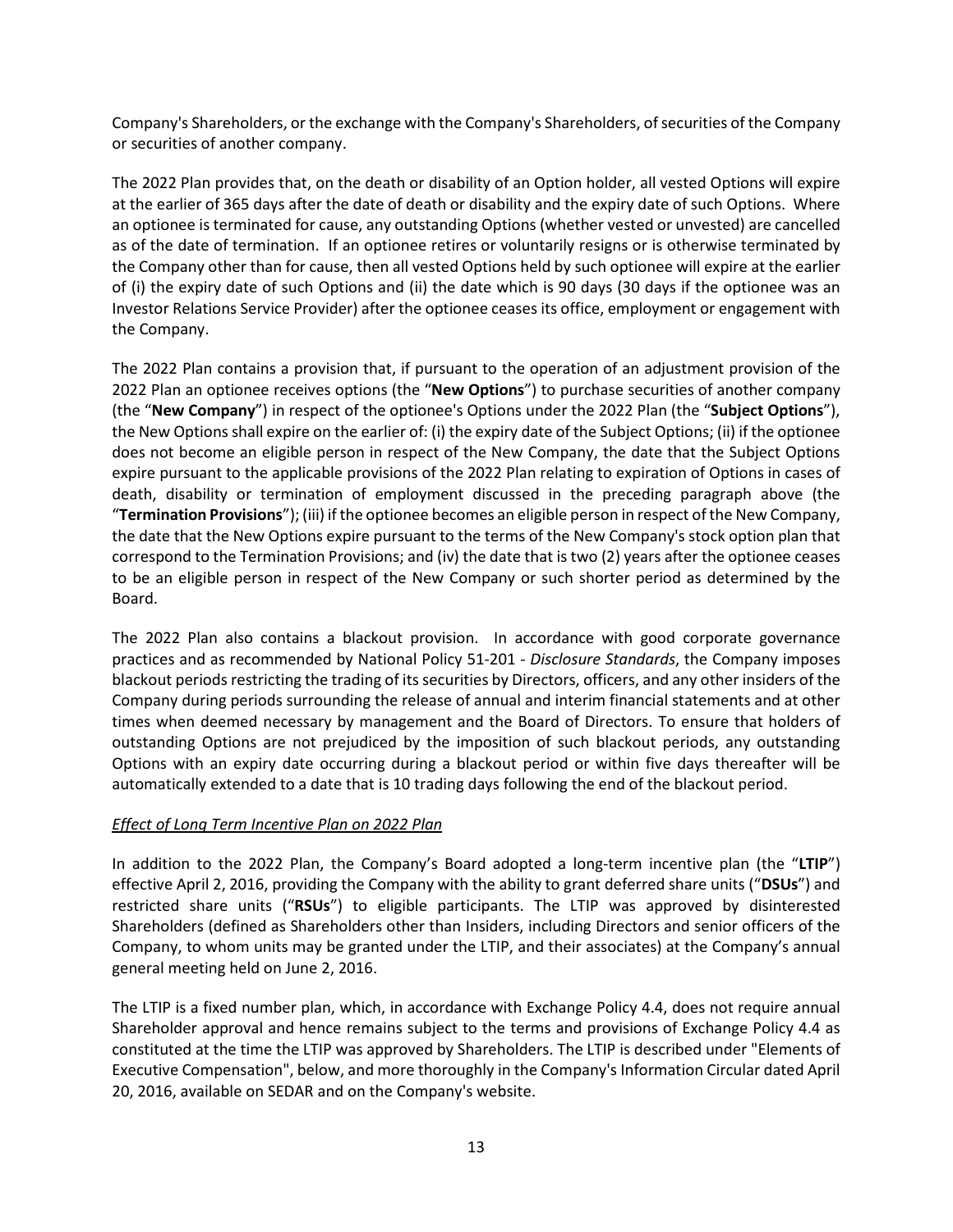Company's Shareholders, or the exchange with the Company's Shareholders, of securities of the Company or securities of another company.

The 2022 Plan provides that, on the death or disability of an Option holder, all vested Options will expire at the earlier of 365 days after the date of death or disability and the expiry date of such Options. Where an optionee is terminated for cause, any outstanding Options (whether vested or unvested) are cancelled as of the date of termination. If an optionee retires or voluntarily resigns or is otherwise terminated by the Company other than for cause, then all vested Options held by such optionee will expire at the earlier of (i) the expiry date of such Options and (ii) the date which is 90 days (30 days if the optionee was an Investor Relations Service Provider) after the optionee ceases its office, employment or engagement with the Company.

The 2022 Plan contains a provision that, if pursuant to the operation of an adjustment provision of the 2022 Plan an optionee receives options (the "**New Options**") to purchase securities of another company (the "**New Company**") in respect of the optionee's Options under the 2022 Plan (the "**Subject Options**"), the New Options shall expire on the earlier of: (i) the expiry date of the Subject Options; (ii) if the optionee does not become an eligible person in respect of the New Company, the date that the Subject Options expire pursuant to the applicable provisions of the 2022 Plan relating to expiration of Options in cases of death, disability or termination of employment discussed in the preceding paragraph above (the "**Termination Provisions**"); (iii) if the optionee becomes an eligible person in respect of the New Company, the date that the New Options expire pursuant to the terms of the New Company's stock option plan that correspond to the Termination Provisions; and (iv) the date that is two (2) years after the optionee ceases to be an eligible person in respect of the New Company or such shorter period as determined by the Board.

The 2022 Plan also contains a blackout provision. In accordance with good corporate governance practices and as recommended by National Policy 51-201 - *Disclosure Standards*, the Company imposes blackout periods restricting the trading of its securities by Directors, officers, and any other insiders of the Company during periods surrounding the release of annual and interim financial statements and at other times when deemed necessary by management and the Board of Directors. To ensure that holders of outstanding Options are not prejudiced by the imposition of such blackout periods, any outstanding Options with an expiry date occurring during a blackout period or within five days thereafter will be automatically extended to a date that is 10 trading days following the end of the blackout period.

## *Effect of Long Term Incentive Plan on 2022 Plan*

In addition to the 2022 Plan, the Company's Board adopted a long-term incentive plan (the "**LTIP**") effective April 2, 2016, providing the Company with the ability to grant deferred share units ("**DSUs**") and restricted share units ("**RSUs**") to eligible participants. The LTIP was approved by disinterested Shareholders (defined as Shareholders other than Insiders, including Directors and senior officers of the Company, to whom units may be granted under the LTIP, and their associates) at the Company's annual general meeting held on June 2, 2016.

The LTIP is a fixed number plan, which, in accordance with Exchange Policy 4.4, does not require annual Shareholder approval and hence remains subject to the terms and provisions of Exchange Policy 4.4 as constituted at the time the LTIP was approved by Shareholders. The LTIP is described under "Elements of Executive Compensation", below, and more thoroughly in the Company's Information Circular dated April 20, 2016, available on SEDAR and on the Company's website.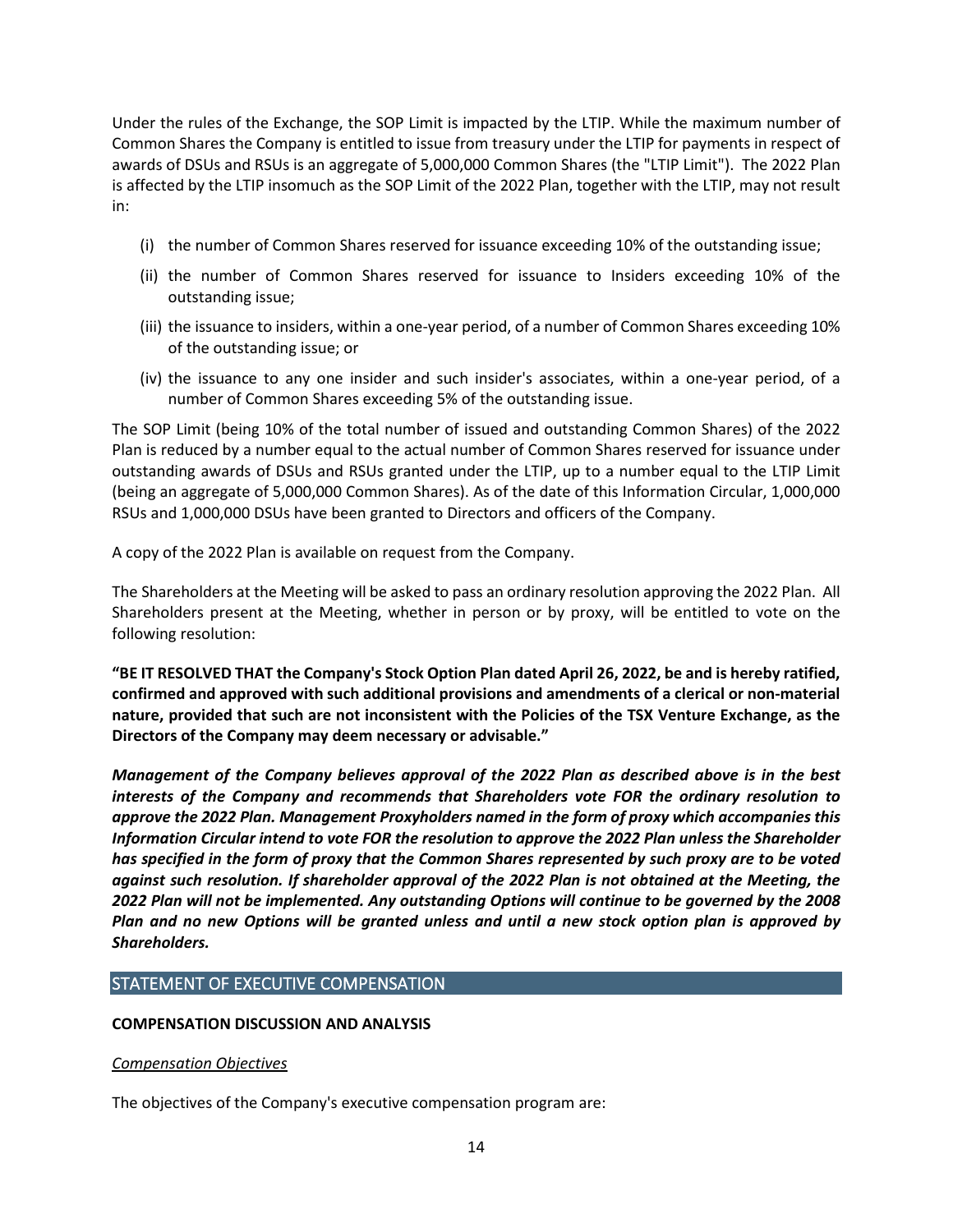Under the rules of the Exchange, the SOP Limit is impacted by the LTIP. While the maximum number of Common Shares the Company is entitled to issue from treasury under the LTIP for payments in respect of awards of DSUs and RSUs is an aggregate of 5,000,000 Common Shares (the "LTIP Limit"). The 2022 Plan is affected by the LTIP insomuch as the SOP Limit of the 2022 Plan, together with the LTIP, may not result in:

- (i) the number of Common Shares reserved for issuance exceeding 10% of the outstanding issue;
- (ii) the number of Common Shares reserved for issuance to Insiders exceeding 10% of the outstanding issue;
- (iii) the issuance to insiders, within a one-year period, of a number of Common Shares exceeding 10% of the outstanding issue; or
- (iv) the issuance to any one insider and such insider's associates, within a one-year period, of a number of Common Shares exceeding 5% of the outstanding issue.

The SOP Limit (being 10% of the total number of issued and outstanding Common Shares) of the 2022 Plan is reduced by a number equal to the actual number of Common Shares reserved for issuance under outstanding awards of DSUs and RSUs granted under the LTIP, up to a number equal to the LTIP Limit (being an aggregate of 5,000,000 Common Shares). As of the date of this Information Circular, 1,000,000 RSUs and 1,000,000 DSUs have been granted to Directors and officers of the Company.

A copy of the 2022 Plan is available on request from the Company.

The Shareholders at the Meeting will be asked to pass an ordinary resolution approving the 2022 Plan. All Shareholders present at the Meeting, whether in person or by proxy, will be entitled to vote on the following resolution:

**"BE IT RESOLVED THAT the Company's Stock Option Plan dated April 26, 2022, be and is hereby ratified, confirmed and approved with such additional provisions and amendments of a clerical or non-material nature, provided that such are not inconsistent with the Policies of the TSX Venture Exchange, as the Directors of the Company may deem necessary or advisable."**

*Management of the Company believes approval of the 2022 Plan as described above is in the best interests of the Company and recommends that Shareholders vote FOR the ordinary resolution to approve the 2022 Plan. Management Proxyholders named in the form of proxy which accompanies this Information Circular intend to vote FOR the resolution to approve the 2022 Plan unless the Shareholder has specified in the form of proxy that the Common Shares represented by such proxy are to be voted against such resolution. If shareholder approval of the 2022 Plan is not obtained at the Meeting, the 2022 Plan will not be implemented. Any outstanding Options will continue to be governed by the 2008 Plan and no new Options will be granted unless and until a new stock option plan is approved by Shareholders.*

# <span id="page-13-0"></span>STATEMENT OF EXECUTIVE COMPENSATION

## <span id="page-13-1"></span>**COMPENSATION DISCUSSION AND ANALYSIS**

## *Compensation Objectives*

The objectives of the Company's executive compensation program are: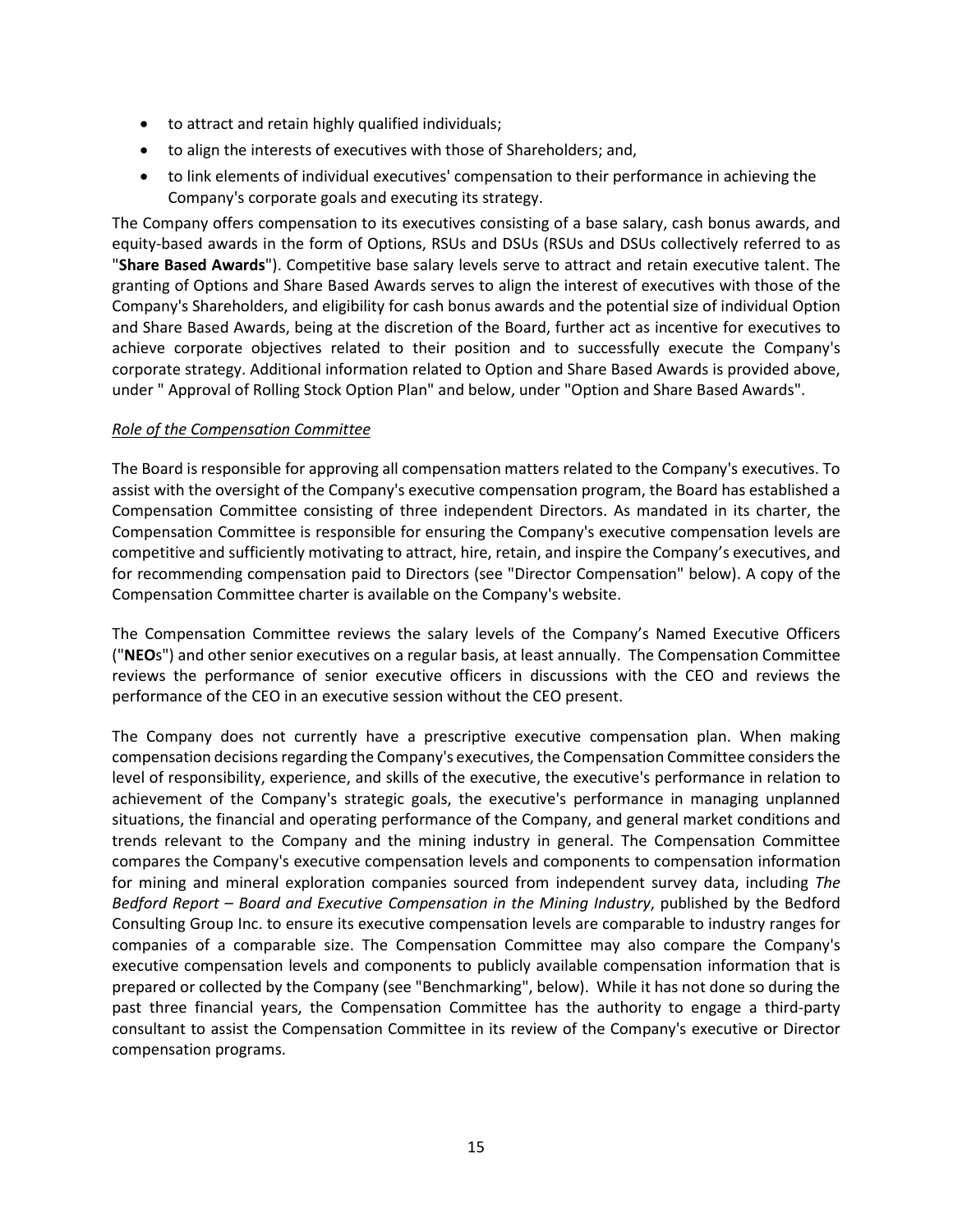- to attract and retain highly qualified individuals;
- to align the interests of executives with those of Shareholders; and,
- to link elements of individual executives' compensation to their performance in achieving the Company's corporate goals and executing its strategy.

The Company offers compensation to its executives consisting of a base salary, cash bonus awards, and equity-based awards in the form of Options, RSUs and DSUs (RSUs and DSUs collectively referred to as "**Share Based Awards**"). Competitive base salary levels serve to attract and retain executive talent. The granting of Options and Share Based Awards serves to align the interest of executives with those of the Company's Shareholders, and eligibility for cash bonus awards and the potential size of individual Option and Share Based Awards, being at the discretion of the Board, further act as incentive for executives to achieve corporate objectives related to their position and to successfully execute the Company's corporate strategy. Additional information related to Option and Share Based Awards is provided above, under " Approval of Rolling Stock Option Plan" and below, under "Option and Share Based Awards".

## *Role of the Compensation Committee*

The Board is responsible for approving all compensation matters related to the Company's executives. To assist with the oversight of the Company's executive compensation program, the Board has established a Compensation Committee consisting of three independent Directors. As mandated in its charter, the Compensation Committee is responsible for ensuring the Company's executive compensation levels are competitive and sufficiently motivating to attract, hire, retain, and inspire the Company's executives, and for recommending compensation paid to Directors (see "Director Compensation" below). A copy of the Compensation Committee charter is available on the Company's website.

The Compensation Committee reviews the salary levels of the Company's Named Executive Officers ("**NEO**s") and other senior executives on a regular basis, at least annually. The Compensation Committee reviews the performance of senior executive officers in discussions with the CEO and reviews the performance of the CEO in an executive session without the CEO present.

The Company does not currently have a prescriptive executive compensation plan. When making compensation decisions regarding the Company's executives, the Compensation Committee considers the level of responsibility, experience, and skills of the executive, the executive's performance in relation to achievement of the Company's strategic goals, the executive's performance in managing unplanned situations, the financial and operating performance of the Company, and general market conditions and trends relevant to the Company and the mining industry in general. The Compensation Committee compares the Company's executive compensation levels and components to compensation information for mining and mineral exploration companies sourced from independent survey data, including *The Bedford Report – Board and Executive Compensation in the Mining Industry*, published by the Bedford Consulting Group Inc. to ensure its executive compensation levels are comparable to industry ranges for companies of a comparable size. The Compensation Committee may also compare the Company's executive compensation levels and components to publicly available compensation information that is prepared or collected by the Company (see "Benchmarking", below). While it has not done so during the past three financial years, the Compensation Committee has the authority to engage a third-party consultant to assist the Compensation Committee in its review of the Company's executive or Director compensation programs.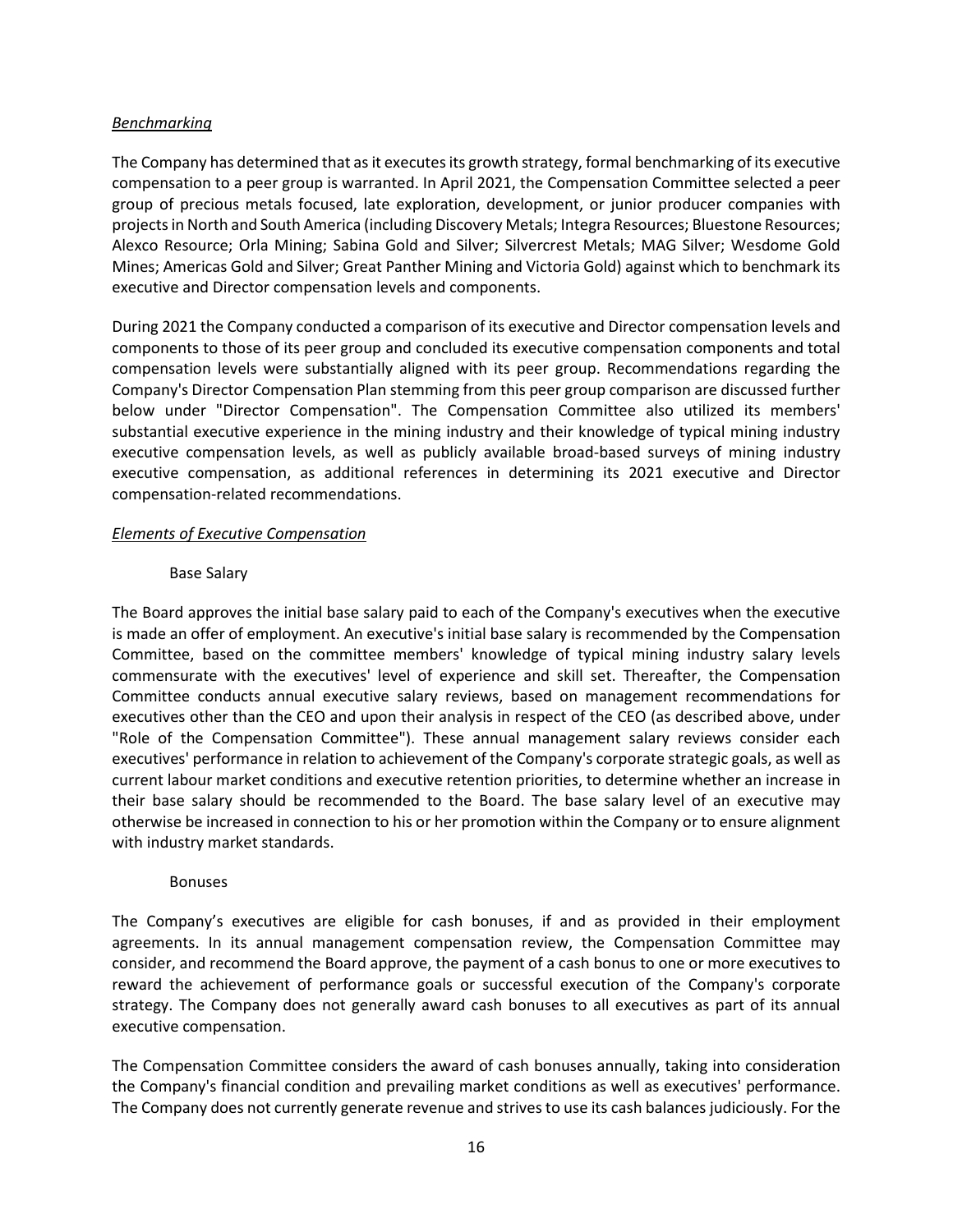## *Benchmarking*

The Company has determined that as it executes its growth strategy, formal benchmarking of its executive compensation to a peer group is warranted. In April 2021, the Compensation Committee selected a peer group of precious metals focused, late exploration, development, or junior producer companies with projects in North and South America (including Discovery Metals; Integra Resources; Bluestone Resources; Alexco Resource; Orla Mining; Sabina Gold and Silver; Silvercrest Metals; MAG Silver; Wesdome Gold Mines; Americas Gold and Silver; Great Panther Mining and Victoria Gold) against which to benchmark its executive and Director compensation levels and components.

During 2021 the Company conducted a comparison of its executive and Director compensation levels and components to those of its peer group and concluded its executive compensation components and total compensation levels were substantially aligned with its peer group. Recommendations regarding the Company's Director Compensation Plan stemming from this peer group comparison are discussed further below under "Director Compensation". The Compensation Committee also utilized its members' substantial executive experience in the mining industry and their knowledge of typical mining industry executive compensation levels, as well as publicly available broad-based surveys of mining industry executive compensation, as additional references in determining its 2021 executive and Director compensation-related recommendations.

#### *Elements of Executive Compensation*

#### Base Salary

The Board approves the initial base salary paid to each of the Company's executives when the executive is made an offer of employment. An executive's initial base salary is recommended by the Compensation Committee, based on the committee members' knowledge of typical mining industry salary levels commensurate with the executives' level of experience and skill set. Thereafter, the Compensation Committee conducts annual executive salary reviews, based on management recommendations for executives other than the CEO and upon their analysis in respect of the CEO (as described above, under "Role of the Compensation Committee"). These annual management salary reviews consider each executives' performance in relation to achievement of the Company's corporate strategic goals, as well as current labour market conditions and executive retention priorities, to determine whether an increase in their base salary should be recommended to the Board. The base salary level of an executive may otherwise be increased in connection to his or her promotion within the Company or to ensure alignment with industry market standards.

#### Bonuses

The Company's executives are eligible for cash bonuses, if and as provided in their employment agreements. In its annual management compensation review, the Compensation Committee may consider, and recommend the Board approve, the payment of a cash bonus to one or more executives to reward the achievement of performance goals or successful execution of the Company's corporate strategy. The Company does not generally award cash bonuses to all executives as part of its annual executive compensation.

The Compensation Committee considers the award of cash bonuses annually, taking into consideration the Company's financial condition and prevailing market conditions as well as executives' performance. The Company does not currently generate revenue and strives to use its cash balances judiciously. For the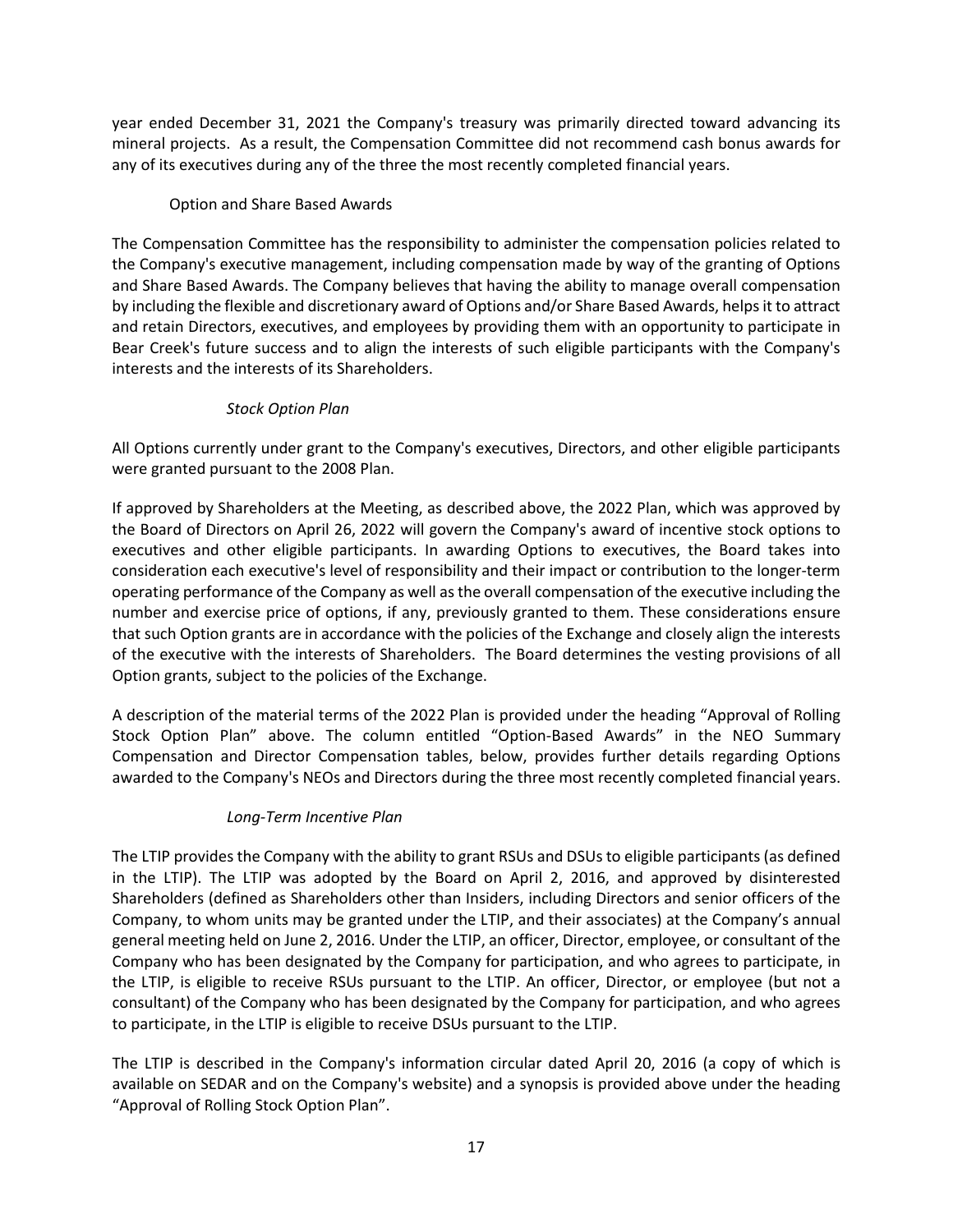year ended December 31, 2021 the Company's treasury was primarily directed toward advancing its mineral projects. As a result, the Compensation Committee did not recommend cash bonus awards for any of its executives during any of the three the most recently completed financial years.

# Option and Share Based Awards

The Compensation Committee has the responsibility to administer the compensation policies related to the Company's executive management, including compensation made by way of the granting of Options and Share Based Awards. The Company believes that having the ability to manage overall compensation by including the flexible and discretionary award of Options and/or Share Based Awards, helpsit to attract and retain Directors, executives, and employees by providing them with an opportunity to participate in Bear Creek's future success and to align the interests of such eligible participants with the Company's interests and the interests of its Shareholders.

## *Stock Option Plan*

All Options currently under grant to the Company's executives, Directors, and other eligible participants were granted pursuant to the 2008 Plan.

If approved by Shareholders at the Meeting, as described above, the 2022 Plan, which was approved by the Board of Directors on April 26, 2022 will govern the Company's award of incentive stock options to executives and other eligible participants. In awarding Options to executives, the Board takes into consideration each executive's level of responsibility and their impact or contribution to the longer-term operating performance of the Company as well asthe overall compensation of the executive including the number and exercise price of options, if any, previously granted to them. These considerations ensure that such Option grants are in accordance with the policies of the Exchange and closely align the interests of the executive with the interests of Shareholders. The Board determines the vesting provisions of all Option grants, subject to the policies of the Exchange.

A description of the material terms of the 2022 Plan is provided under the heading "Approval of Rolling Stock Option Plan" above. The column entitled "Option-Based Awards" in the NEO Summary Compensation and Director Compensation tables, below, provides further details regarding Options awarded to the Company's NEOs and Directors during the three most recently completed financial years.

# *Long-Term Incentive Plan*

The LTIP provides the Company with the ability to grant RSUs and DSUs to eligible participants (as defined in the LTIP). The LTIP was adopted by the Board on April 2, 2016, and approved by disinterested Shareholders (defined as Shareholders other than Insiders, including Directors and senior officers of the Company, to whom units may be granted under the LTIP, and their associates) at the Company's annual general meeting held on June 2, 2016. Under the LTIP, an officer, Director, employee, or consultant of the Company who has been designated by the Company for participation, and who agrees to participate, in the LTIP, is eligible to receive RSUs pursuant to the LTIP. An officer, Director, or employee (but not a consultant) of the Company who has been designated by the Company for participation, and who agrees to participate, in the LTIP is eligible to receive DSUs pursuant to the LTIP.

The LTIP is described in the Company's information circular dated April 20, 2016 (a copy of which is available on SEDAR and on the Company's website) and a synopsis is provided above under the heading "Approval of Rolling Stock Option Plan".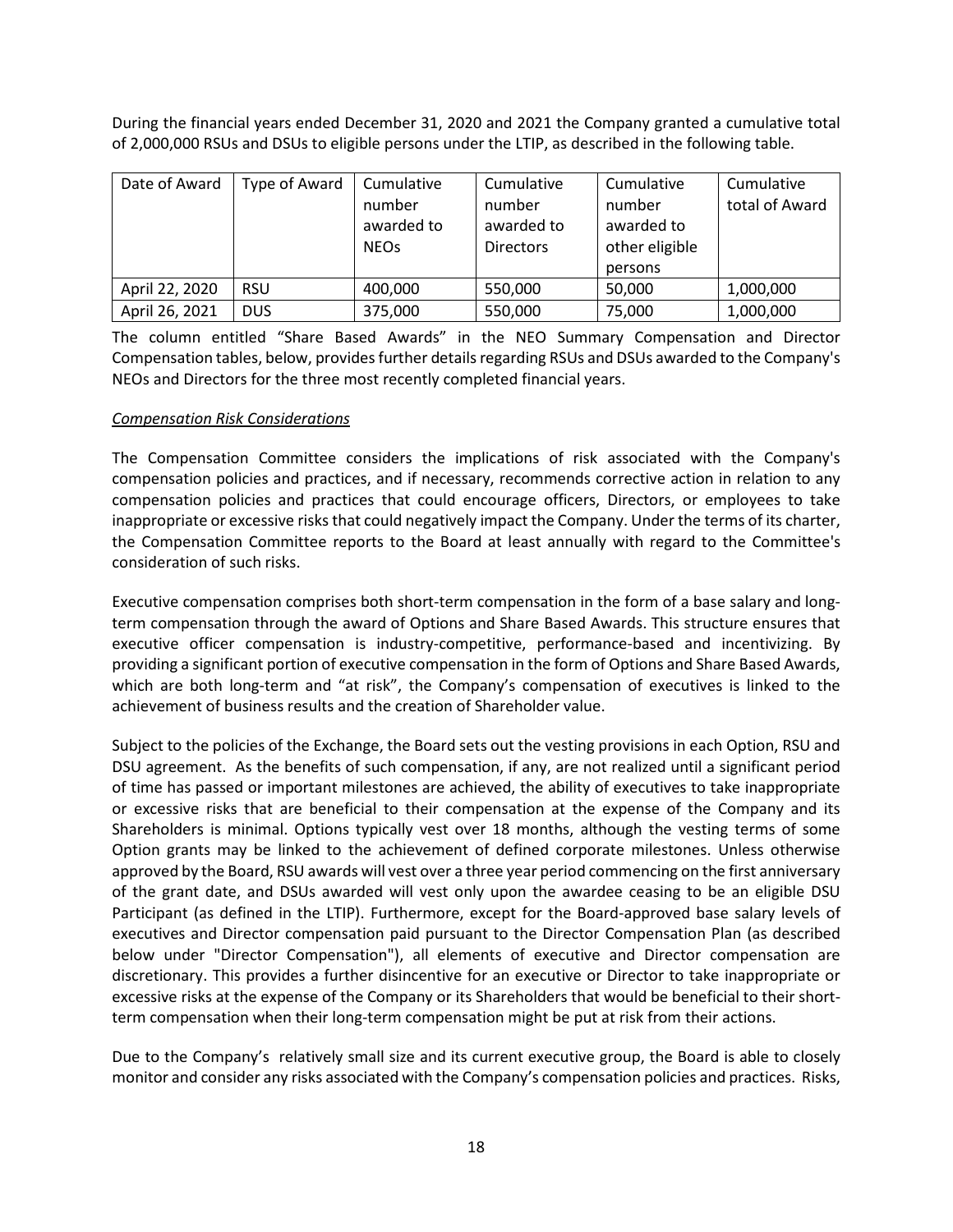During the financial years ended December 31, 2020 and 2021 the Company granted a cumulative total of 2,000,000 RSUs and DSUs to eligible persons under the LTIP, as described in the following table.

| Date of Award  | Type of Award | Cumulative<br>number<br>awarded to<br><b>NEOs</b> | Cumulative<br>number<br>awarded to<br><b>Directors</b> | Cumulative<br>number<br>awarded to<br>other eligible<br>persons | Cumulative<br>total of Award |
|----------------|---------------|---------------------------------------------------|--------------------------------------------------------|-----------------------------------------------------------------|------------------------------|
| April 22, 2020 | <b>RSU</b>    | 400,000                                           | 550,000                                                | 50,000                                                          | 1,000,000                    |
| April 26, 2021 | <b>DUS</b>    | 375,000                                           | 550,000                                                | 75,000                                                          | 1,000,000                    |

The column entitled "Share Based Awards" in the NEO Summary Compensation and Director Compensation tables, below, providesfurther details regarding RSUs and DSUs awarded to the Company's NEOs and Directors for the three most recently completed financial years.

## *Compensation Risk Considerations*

The Compensation Committee considers the implications of risk associated with the Company's compensation policies and practices, and if necessary, recommends corrective action in relation to any compensation policies and practices that could encourage officers, Directors, or employees to take inappropriate or excessive risks that could negatively impact the Company. Under the terms of its charter, the Compensation Committee reports to the Board at least annually with regard to the Committee's consideration of such risks.

Executive compensation comprises both short-term compensation in the form of a base salary and longterm compensation through the award of Options and Share Based Awards. This structure ensures that executive officer compensation is industry-competitive, performance-based and incentivizing. By providing a significant portion of executive compensation in the form of Options and Share Based Awards, which are both long-term and "at risk", the Company's compensation of executives is linked to the achievement of business results and the creation of Shareholder value.

Subject to the policies of the Exchange, the Board sets out the vesting provisions in each Option, RSU and DSU agreement. As the benefits of such compensation, if any, are not realized until a significant period of time has passed or important milestones are achieved, the ability of executives to take inappropriate or excessive risks that are beneficial to their compensation at the expense of the Company and its Shareholders is minimal. Options typically vest over 18 months, although the vesting terms of some Option grants may be linked to the achievement of defined corporate milestones. Unless otherwise approved by the Board, RSU awards will vest over a three year period commencing on the first anniversary of the grant date, and DSUs awarded will vest only upon the awardee ceasing to be an eligible DSU Participant (as defined in the LTIP). Furthermore, except for the Board-approved base salary levels of executives and Director compensation paid pursuant to the Director Compensation Plan (as described below under "Director Compensation"), all elements of executive and Director compensation are discretionary. This provides a further disincentive for an executive or Director to take inappropriate or excessive risks at the expense of the Company or its Shareholders that would be beneficial to their shortterm compensation when their long-term compensation might be put at risk from their actions.

Due to the Company's relatively small size and its current executive group, the Board is able to closely monitor and consider any risks associated with the Company's compensation policies and practices. Risks,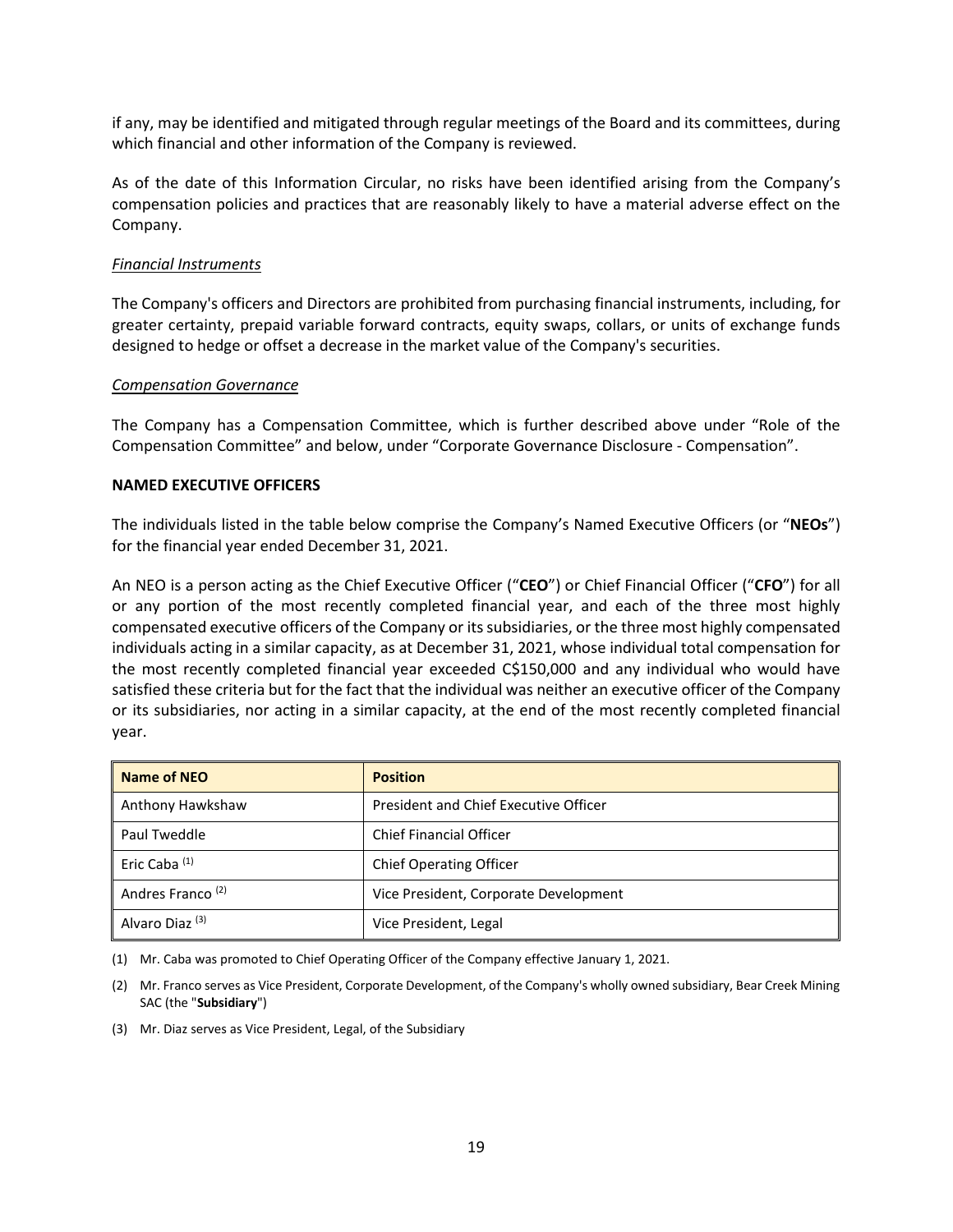if any, may be identified and mitigated through regular meetings of the Board and its committees, during which financial and other information of the Company is reviewed.

As of the date of this Information Circular, no risks have been identified arising from the Company's compensation policies and practices that are reasonably likely to have a material adverse effect on the Company.

#### *Financial Instruments*

The Company's officers and Directors are prohibited from purchasing financial instruments, including, for greater certainty, prepaid variable forward contracts, equity swaps, collars, or units of exchange funds designed to hedge or offset a decrease in the market value of the Company's securities.

#### *Compensation Governance*

The Company has a Compensation Committee, which is further described above under "Role of the Compensation Committee" and below, under "Corporate Governance Disclosure - Compensation".

#### <span id="page-18-0"></span>**NAMED EXECUTIVE OFFICERS**

The individuals listed in the table below comprise the Company's Named Executive Officers (or "**NEOs**") for the financial year ended December 31, 2021.

An NEO is a person acting as the Chief Executive Officer ("**CEO**") or Chief Financial Officer ("**CFO**") for all or any portion of the most recently completed financial year, and each of the three most highly compensated executive officers of the Company or its subsidiaries, or the three most highly compensated individuals acting in a similar capacity, as at December 31, 2021, whose individual total compensation for the most recently completed financial year exceeded C\$150,000 and any individual who would have satisfied these criteria but for the fact that the individual was neither an executive officer of the Company or its subsidiaries, nor acting in a similar capacity, at the end of the most recently completed financial year.

| Name of NEO                  | <b>Position</b>                              |
|------------------------------|----------------------------------------------|
| Anthony Hawkshaw             | <b>President and Chief Executive Officer</b> |
| Paul Tweddle                 | <b>Chief Financial Officer</b>               |
| Eric Caba <sup>(1)</sup>     | <b>Chief Operating Officer</b>               |
| Andres Franco <sup>(2)</sup> | Vice President, Corporate Development        |
| Alvaro Diaz <sup>(3)</sup>   | Vice President, Legal                        |

(1) Mr. Caba was promoted to Chief Operating Officer of the Company effective January 1, 2021.

(2) Mr. Franco serves as Vice President, Corporate Development, of the Company's wholly owned subsidiary, Bear Creek Mining SAC (the "**Subsidiary**")

(3) Mr. Diaz serves as Vice President, Legal, of the Subsidiary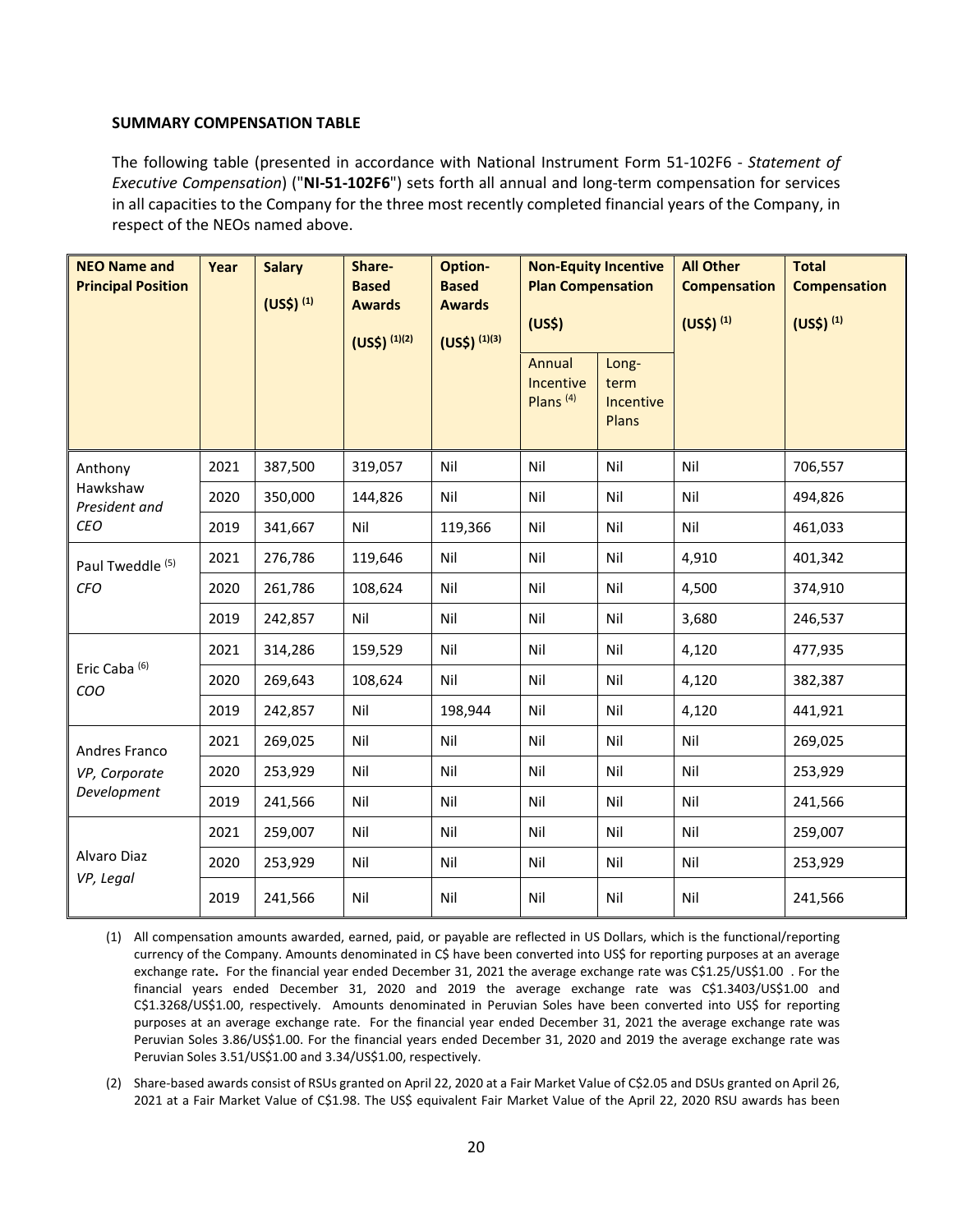#### <span id="page-19-0"></span>**SUMMARY COMPENSATION TABLE**

The following table (presented in accordance with National Instrument Form 51-102F6 - *Statement of Executive Compensation*) ("**NI-51-102F6**") sets forth all annual and long-term compensation for services in all capacities to the Company for the three most recently completed financial years of the Company, in respect of the NEOs named above.

| <b>NEO Name and</b><br><b>Principal Position</b> | Year | <b>Salary</b><br>$(US$)^{(1)}$ | Share-<br><b>Based</b><br><b>Awards</b><br>$(US$)^{(1)(2)}$ | Option-<br><b>Based</b><br><b>Awards</b><br>$(US$)^{(1)(3)}$ | <b>Non-Equity Incentive</b><br><b>Plan Compensation</b><br>(US <sup>5</sup> ) |                                     | <b>All Other</b><br><b>Compensation</b><br>(US <sup>5</sup> ) <sup>(1)</sup> | <b>Total</b><br><b>Compensation</b><br>(US <sup>5</sup> ) <sup>(1)</sup> |
|--------------------------------------------------|------|--------------------------------|-------------------------------------------------------------|--------------------------------------------------------------|-------------------------------------------------------------------------------|-------------------------------------|------------------------------------------------------------------------------|--------------------------------------------------------------------------|
|                                                  |      |                                |                                                             |                                                              | Annual<br>Incentive<br>Plans $(4)$                                            | Long-<br>term<br>Incentive<br>Plans |                                                                              |                                                                          |
| Anthony                                          | 2021 | 387,500                        | 319,057                                                     | Nil                                                          | Nil                                                                           | Nil                                 | Nil                                                                          | 706,557                                                                  |
| Hawkshaw<br>President and                        | 2020 | 350,000                        | 144,826                                                     | Nil                                                          | Nil                                                                           | Nil                                 | Nil                                                                          | 494,826                                                                  |
| <b>CEO</b>                                       | 2019 | 341,667                        | Nil                                                         | 119,366                                                      | Nil                                                                           | Nil                                 | Nil                                                                          | 461,033                                                                  |
| Paul Tweddle <sup>(5)</sup>                      | 2021 | 276,786                        | 119,646                                                     | Nil                                                          | Nil                                                                           | Nil                                 | 4,910                                                                        | 401,342                                                                  |
| <b>CFO</b>                                       | 2020 | 261,786                        | 108,624                                                     | Nil                                                          | Nil                                                                           | Nil                                 | 4,500                                                                        | 374,910                                                                  |
|                                                  | 2019 | 242,857                        | Nil                                                         | Nil                                                          | Nil                                                                           | Nil                                 | 3,680                                                                        | 246,537                                                                  |
|                                                  | 2021 | 314,286                        | 159,529                                                     | Nil                                                          | Nil                                                                           | Nil                                 | 4,120                                                                        | 477,935                                                                  |
| Eric Caba <sup>(6)</sup><br>COO                  | 2020 | 269,643                        | 108,624                                                     | Nil                                                          | Nil                                                                           | Nil                                 | 4,120                                                                        | 382,387                                                                  |
|                                                  | 2019 | 242,857                        | Nil                                                         | 198,944                                                      | Nil                                                                           | Nil                                 | 4,120                                                                        | 441,921                                                                  |
| Andres Franco                                    | 2021 | 269,025                        | Nil                                                         | Nil                                                          | Nil                                                                           | Nil                                 | Nil                                                                          | 269,025                                                                  |
| VP, Corporate                                    | 2020 | 253,929                        | Nil                                                         | Nil                                                          | Nil                                                                           | Nil                                 | Nil                                                                          | 253,929                                                                  |
| Development                                      | 2019 | 241,566                        | Nil                                                         | Nil                                                          | Nil                                                                           | Nil                                 | Nil                                                                          | 241,566                                                                  |
|                                                  | 2021 | 259,007                        | Nil                                                         | Nil                                                          | Nil                                                                           | Nil                                 | Nil                                                                          | 259,007                                                                  |
| Alvaro Diaz<br>VP, Legal                         | 2020 | 253,929                        | Nil                                                         | Nil                                                          | Nil                                                                           | Nil                                 | Nil                                                                          | 253,929                                                                  |
|                                                  | 2019 | 241,566                        | Nil                                                         | Nil                                                          | Nil                                                                           | Nil                                 | Nil                                                                          | 241,566                                                                  |

(1) All compensation amounts awarded, earned, paid, or payable are reflected in US Dollars, which is the functional/reporting currency of the Company. Amounts denominated in C\$ have been converted into US\$ for reporting purposes at an average exchange rate. For the financial year ended December 31, 2021 the average exchange rate was C\$1.25/US\$1.00 . For the financial years ended December 31, 2020 and 2019 the average exchange rate was C\$1.3403/US\$1.00 and C\$1.3268/US\$1.00, respectively. Amounts denominated in Peruvian Soles have been converted into US\$ for reporting purposes at an average exchange rate. For the financial year ended December 31, 2021 the average exchange rate was Peruvian Soles 3.86/US\$1.00. For the financial years ended December 31, 2020 and 2019 the average exchange rate was Peruvian Soles 3.51/US\$1.00 and 3.34/US\$1.00, respectively.

(2) Share-based awards consist of RSUs granted on April 22, 2020 at a Fair Market Value of C\$2.05 and DSUs granted on April 26, 2021 at a Fair Market Value of C\$1.98. The US\$ equivalent Fair Market Value of the April 22, 2020 RSU awards has been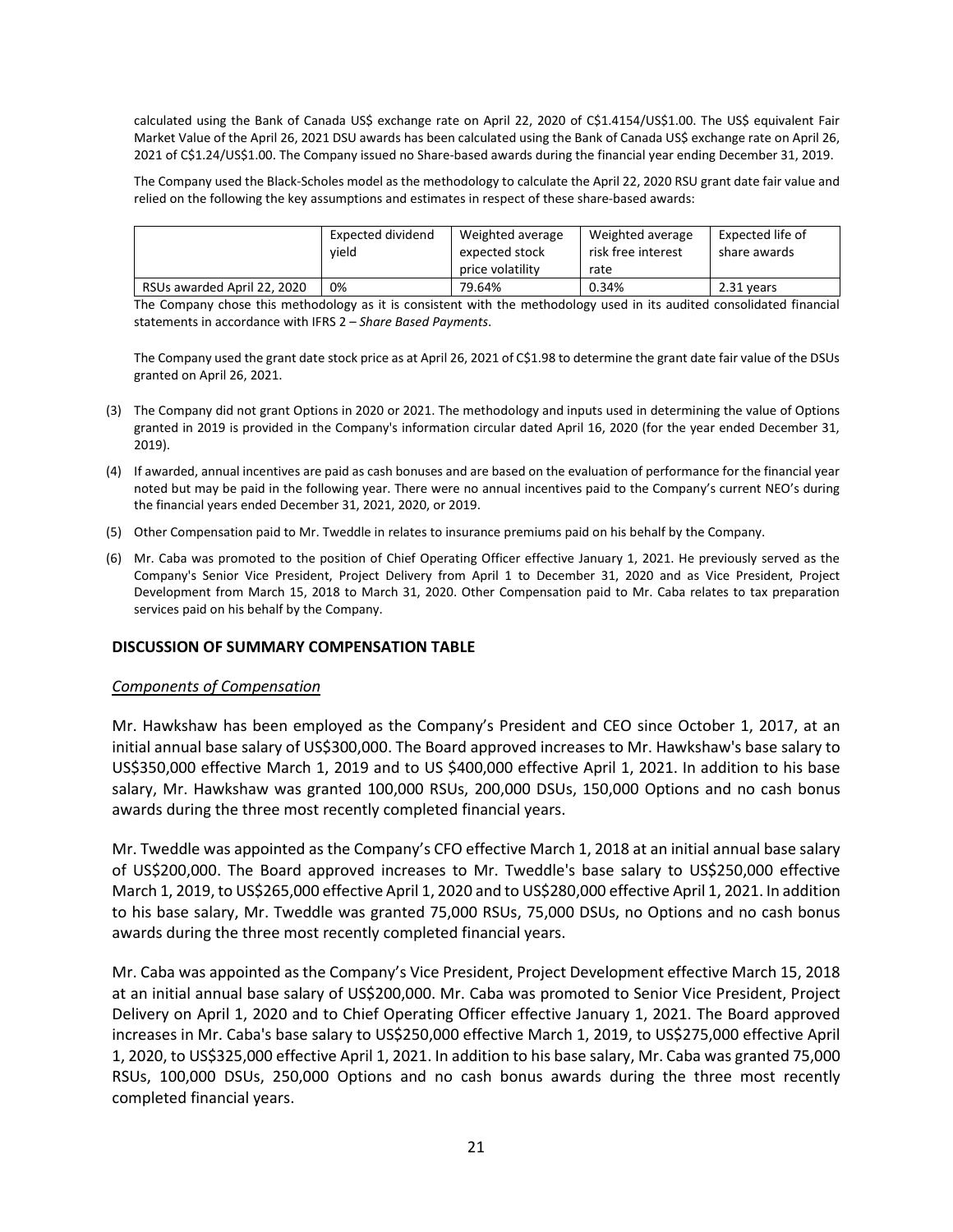calculated using the Bank of Canada US\$ exchange rate on April 22, 2020 of C\$1.4154/US\$1.00. The US\$ equivalent Fair Market Value of the April 26, 2021 DSU awards has been calculated using the Bank of Canada US\$ exchange rate on April 26, 2021 of C\$1.24/US\$1.00. The Company issued no Share-based awards during the financial year ending December 31, 2019.

The Company used the Black-Scholes model as the methodology to calculate the April 22, 2020 RSU grant date fair value and relied on the following the key assumptions and estimates in respect of these share-based awards:

|                             | Expected dividend<br>vield | Weighted average<br>expected stock | Weighted average<br>risk free interest | Expected life of<br>share awards |
|-----------------------------|----------------------------|------------------------------------|----------------------------------------|----------------------------------|
|                             |                            | price volatility                   | rate                                   |                                  |
| RSUs awarded April 22, 2020 | 0%                         | 79.64%                             | 0.34%                                  | 2.31 years                       |

The Company chose this methodology as it is consistent with the methodology used in its audited consolidated financial statements in accordance with IFRS 2 – *Share Based Payments*.

The Company used the grant date stock price as at April 26, 2021 of C\$1.98 to determine the grant date fair value of the DSUs granted on April 26, 2021.

- (3) The Company did not grant Options in 2020 or 2021. The methodology and inputs used in determining the value of Options granted in 2019 is provided in the Company's information circular dated April 16, 2020 (for the year ended December 31, 2019).
- (4) If awarded, annual incentives are paid as cash bonuses and are based on the evaluation of performance for the financial year noted but may be paid in the following year. There were no annual incentives paid to the Company's current NEO's during the financial years ended December 31, 2021, 2020, or 2019.
- (5) Other Compensation paid to Mr. Tweddle in relates to insurance premiums paid on his behalf by the Company.
- (6) Mr. Caba was promoted to the position of Chief Operating Officer effective January 1, 2021. He previously served as the Company's Senior Vice President, Project Delivery from April 1 to December 31, 2020 and as Vice President, Project Development from March 15, 2018 to March 31, 2020. Other Compensation paid to Mr. Caba relates to tax preparation services paid on his behalf by the Company.

#### <span id="page-20-0"></span>**DISCUSSION OF SUMMARY COMPENSATION TABLE**

#### *Components of Compensation*

Mr. Hawkshaw has been employed as the Company's President and CEO since October 1, 2017, at an initial annual base salary of US\$300,000. The Board approved increases to Mr. Hawkshaw's base salary to US\$350,000 effective March 1, 2019 and to US \$400,000 effective April 1, 2021. In addition to his base salary, Mr. Hawkshaw was granted 100,000 RSUs, 200,000 DSUs, 150,000 Options and no cash bonus awards during the three most recently completed financial years.

Mr. Tweddle was appointed as the Company's CFO effective March 1, 2018 at an initial annual base salary of US\$200,000. The Board approved increases to Mr. Tweddle's base salary to US\$250,000 effective March 1, 2019, to US\$265,000 effective April 1, 2020 and to US\$280,000 effective April 1, 2021. In addition to his base salary, Mr. Tweddle was granted 75,000 RSUs, 75,000 DSUs, no Options and no cash bonus awards during the three most recently completed financial years.

Mr. Caba was appointed as the Company's Vice President, Project Development effective March 15, 2018 at an initial annual base salary of US\$200,000. Mr. Caba was promoted to Senior Vice President, Project Delivery on April 1, 2020 and to Chief Operating Officer effective January 1, 2021. The Board approved increases in Mr. Caba's base salary to US\$250,000 effective March 1, 2019, to US\$275,000 effective April 1, 2020, to US\$325,000 effective April 1, 2021. In addition to his base salary, Mr. Caba was granted 75,000 RSUs, 100,000 DSUs, 250,000 Options and no cash bonus awards during the three most recently completed financial years.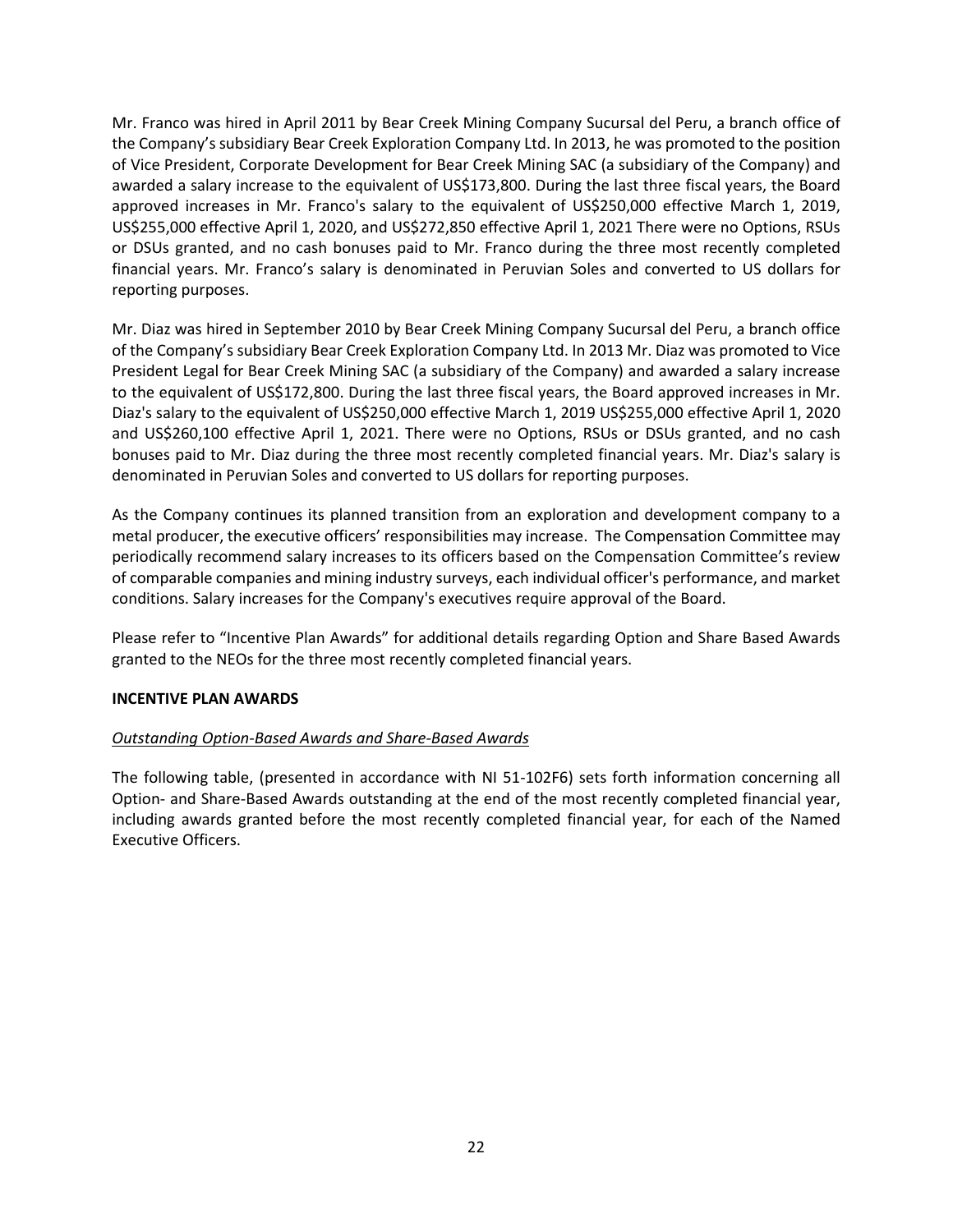Mr. Franco was hired in April 2011 by Bear Creek Mining Company Sucursal del Peru, a branch office of the Company's subsidiary Bear Creek Exploration Company Ltd. In 2013, he was promoted to the position of Vice President, Corporate Development for Bear Creek Mining SAC (a subsidiary of the Company) and awarded a salary increase to the equivalent of US\$173,800. During the last three fiscal years, the Board approved increases in Mr. Franco's salary to the equivalent of US\$250,000 effective March 1, 2019, US\$255,000 effective April 1, 2020, and US\$272,850 effective April 1, 2021 There were no Options, RSUs or DSUs granted, and no cash bonuses paid to Mr. Franco during the three most recently completed financial years. Mr. Franco's salary is denominated in Peruvian Soles and converted to US dollars for reporting purposes.

Mr. Diaz was hired in September 2010 by Bear Creek Mining Company Sucursal del Peru, a branch office of the Company's subsidiary Bear Creek Exploration Company Ltd. In 2013 Mr. Diaz was promoted to Vice President Legal for Bear Creek Mining SAC (a subsidiary of the Company) and awarded a salary increase to the equivalent of US\$172,800. During the last three fiscal years, the Board approved increases in Mr. Diaz's salary to the equivalent of US\$250,000 effective March 1, 2019 US\$255,000 effective April 1, 2020 and US\$260,100 effective April 1, 2021. There were no Options, RSUs or DSUs granted, and no cash bonuses paid to Mr. Diaz during the three most recently completed financial years. Mr. Diaz's salary is denominated in Peruvian Soles and converted to US dollars for reporting purposes.

As the Company continues its planned transition from an exploration and development company to a metal producer, the executive officers' responsibilities may increase. The Compensation Committee may periodically recommend salary increases to its officers based on the Compensation Committee's review of comparable companies and mining industry surveys, each individual officer's performance, and market conditions. Salary increases for the Company's executives require approval of the Board.

Please refer to "Incentive Plan Awards" for additional details regarding Option and Share Based Awards granted to the NEOs for the three most recently completed financial years.

## <span id="page-21-0"></span>**INCENTIVE PLAN AWARDS**

## *Outstanding Option-Based Awards and Share-Based Awards*

The following table, (presented in accordance with NI 51-102F6) sets forth information concerning all Option- and Share-Based Awards outstanding at the end of the most recently completed financial year, including awards granted before the most recently completed financial year, for each of the Named Executive Officers.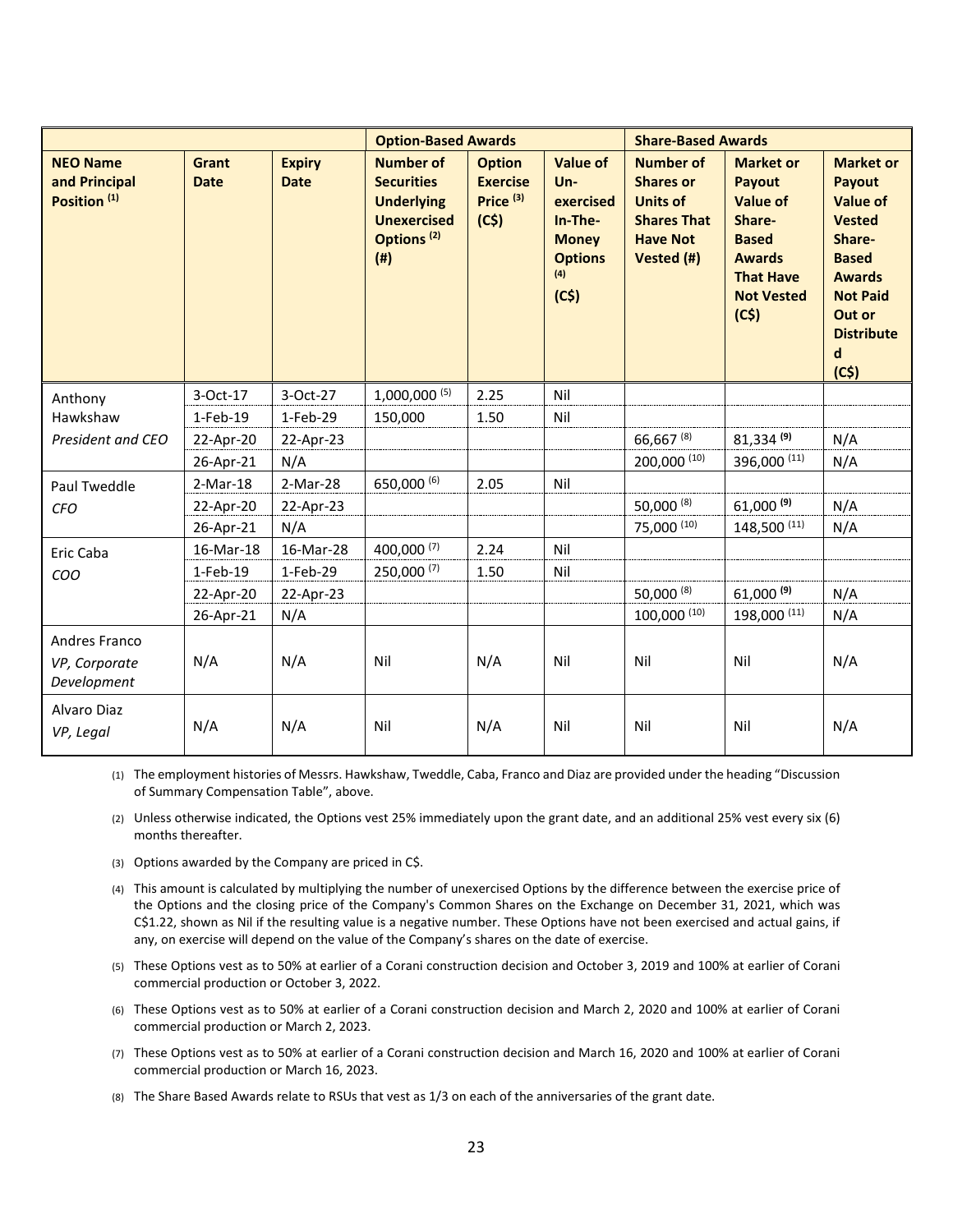|                                                             |                             |                              | <b>Option-Based Awards</b>                                                                                        |                                                         |                                                                                                    | <b>Share-Based Awards</b>                                                                                      |                                                                                                                                           |                                                                                                                                                                                    |
|-------------------------------------------------------------|-----------------------------|------------------------------|-------------------------------------------------------------------------------------------------------------------|---------------------------------------------------------|----------------------------------------------------------------------------------------------------|----------------------------------------------------------------------------------------------------------------|-------------------------------------------------------------------------------------------------------------------------------------------|------------------------------------------------------------------------------------------------------------------------------------------------------------------------------------|
| <b>NEO Name</b><br>and Principal<br>Position <sup>(1)</sup> | <b>Grant</b><br><b>Date</b> | <b>Expiry</b><br><b>Date</b> | <b>Number of</b><br><b>Securities</b><br><b>Underlying</b><br><b>Unexercised</b><br>Options <sup>(2)</sup><br>(#) | <b>Option</b><br><b>Exercise</b><br>Price $(3)$<br>(C5) | <b>Value of</b><br>$Un -$<br>exercised<br>In-The-<br><b>Money</b><br><b>Options</b><br>(4)<br>(C5) | <b>Number of</b><br><b>Shares or</b><br><b>Units of</b><br><b>Shares That</b><br><b>Have Not</b><br>Vested (#) | <b>Market or</b><br>Payout<br><b>Value of</b><br>Share-<br><b>Based</b><br><b>Awards</b><br><b>That Have</b><br><b>Not Vested</b><br>(C5) | <b>Market or</b><br>Payout<br><b>Value of</b><br><b>Vested</b><br>Share-<br><b>Based</b><br><b>Awards</b><br><b>Not Paid</b><br>Out or<br><b>Distribute</b><br>$\mathbf d$<br>(C5) |
| Anthony                                                     | 3-Oct-17                    | 3-Oct-27                     | $1,000,000^{(5)}$                                                                                                 | 2.25                                                    | Nil                                                                                                |                                                                                                                |                                                                                                                                           |                                                                                                                                                                                    |
| Hawkshaw                                                    | 1-Feb-19                    | 1-Feb-29                     | 150,000                                                                                                           | 1.50                                                    | Nil                                                                                                |                                                                                                                |                                                                                                                                           |                                                                                                                                                                                    |
| President and CEO                                           | 22-Apr-20                   | 22-Apr-23                    |                                                                                                                   |                                                         |                                                                                                    | 66,667 (8)                                                                                                     | $81,334^{(9)}$                                                                                                                            | N/A                                                                                                                                                                                |
|                                                             | 26-Apr-21                   | N/A                          |                                                                                                                   |                                                         |                                                                                                    | 200,000 (10)                                                                                                   | 396,000 (11)                                                                                                                              | N/A                                                                                                                                                                                |
| Paul Tweddle                                                | $2-Mar-18$                  | 2-Mar-28                     | 650,000 (6)                                                                                                       | 2.05                                                    | Nil                                                                                                |                                                                                                                |                                                                                                                                           |                                                                                                                                                                                    |
| <b>CFO</b>                                                  | 22-Apr-20                   | 22-Apr-23                    |                                                                                                                   |                                                         |                                                                                                    | 50,000 (8)                                                                                                     | $61,000^{(9)}$                                                                                                                            | N/A                                                                                                                                                                                |
|                                                             | 26-Apr-21                   | N/A                          |                                                                                                                   |                                                         |                                                                                                    | 75,000 (10)                                                                                                    | 148,500 (11)                                                                                                                              | N/A                                                                                                                                                                                |
| Eric Caba                                                   | 16-Mar-18                   | 16-Mar-28                    | 400,000 (7)                                                                                                       | 2.24                                                    | Nil                                                                                                |                                                                                                                |                                                                                                                                           |                                                                                                                                                                                    |
| COO                                                         | 1-Feb-19                    | 1-Feb-29                     | 250,000 (7)                                                                                                       | 1.50                                                    | Nil                                                                                                |                                                                                                                |                                                                                                                                           |                                                                                                                                                                                    |
|                                                             | 22-Apr-20                   | 22-Apr-23                    |                                                                                                                   |                                                         |                                                                                                    | 50,000 (8)                                                                                                     | $61,000^{(9)}$                                                                                                                            | N/A                                                                                                                                                                                |
|                                                             | 26-Apr-21                   | N/A                          |                                                                                                                   |                                                         |                                                                                                    | 100,000 (10)                                                                                                   | 198,000 (11)                                                                                                                              | N/A                                                                                                                                                                                |
| Andres Franco<br>VP, Corporate<br>Development               | N/A                         | N/A                          | Nil                                                                                                               | N/A                                                     | Nil                                                                                                | Nil                                                                                                            | Nil                                                                                                                                       | N/A                                                                                                                                                                                |
| Alvaro Diaz<br>VP, Legal                                    | N/A                         | N/A                          | Nil                                                                                                               | N/A                                                     | Nil                                                                                                | Nil                                                                                                            | Nil                                                                                                                                       | N/A                                                                                                                                                                                |

(1) The employment histories of Messrs. Hawkshaw, Tweddle, Caba, Franco and Diaz are provided under the heading "Discussion of Summary Compensation Table", above.

- (2) Unless otherwise indicated, the Options vest 25% immediately upon the grant date, and an additional 25% vest every six (6) months thereafter.
- (3) Options awarded by the Company are priced in C\$.
- (4) This amount is calculated by multiplying the number of unexercised Options by the difference between the exercise price of the Options and the closing price of the Company's Common Shares on the Exchange on December 31, 2021, which was C\$1.22, shown as Nil if the resulting value is a negative number. These Options have not been exercised and actual gains, if any, on exercise will depend on the value of the Company's shares on the date of exercise.
- (5) These Options vest as to 50% at earlier of a Corani construction decision and October 3, 2019 and 100% at earlier of Corani commercial production or October 3, 2022.
- (6) These Options vest as to 50% at earlier of a Corani construction decision and March 2, 2020 and 100% at earlier of Corani commercial production or March 2, 2023.
- (7) These Options vest as to 50% at earlier of a Corani construction decision and March 16, 2020 and 100% at earlier of Corani commercial production or March 16, 2023.
- (8) The Share Based Awards relate to RSUs that vest as 1/3 on each of the anniversaries of the grant date.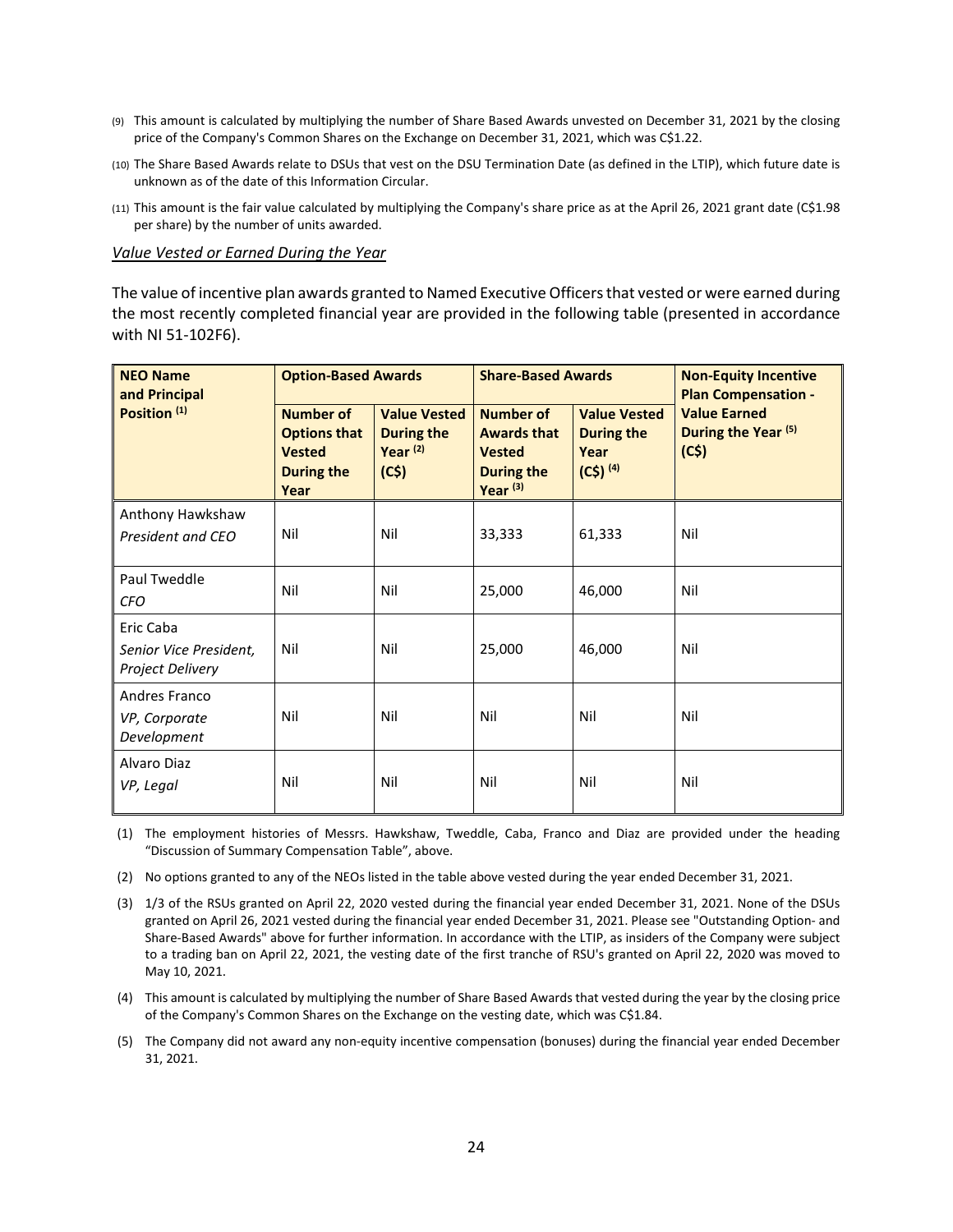- (9) This amount is calculated by multiplying the number of Share Based Awards unvested on December 31, 2021 by the closing price of the Company's Common Shares on the Exchange on December 31, 2021, which was C\$1.22.
- (10) The Share Based Awards relate to DSUs that vest on the DSU Termination Date (as defined in the LTIP), which future date is unknown as of the date of this Information Circular.
- (11) This amount is the fair value calculated by multiplying the Company's share price as at the April 26, 2021 grant date (C\$1.98 per share) by the number of units awarded.

*Value Vested or Earned During the Year*

The value of incentive plan awards granted to Named Executive Officers that vested or were earned during the most recently completed financial year are provided in the following table (presented in accordance with NI 51-102F6).

| <b>NEO Name</b><br>and Principal                        |                                                                                       | <b>Option-Based Awards</b>                                     |                                                                                                     | <b>Share-Based Awards</b>                                        | <b>Non-Equity Incentive</b><br><b>Plan Compensation -</b>     |  |
|---------------------------------------------------------|---------------------------------------------------------------------------------------|----------------------------------------------------------------|-----------------------------------------------------------------------------------------------------|------------------------------------------------------------------|---------------------------------------------------------------|--|
| Position <sup>(1)</sup>                                 | <b>Number of</b><br><b>Options that</b><br><b>Vested</b><br><b>During the</b><br>Year | <b>Value Vested</b><br><b>During the</b><br>Year $(2)$<br>(C5) | <b>Number of</b><br><b>Awards that</b><br><b>Vested</b><br><b>During the</b><br>Year <sup>(3)</sup> | <b>Value Vested</b><br><b>During the</b><br>Year<br>$(C5)^{(4)}$ | <b>Value Earned</b><br>During the Year <sup>(5)</sup><br>(C5) |  |
| Anthony Hawkshaw                                        |                                                                                       |                                                                |                                                                                                     |                                                                  |                                                               |  |
| President and CEO                                       | Nil                                                                                   | Nil                                                            | 33,333                                                                                              | 61,333                                                           | Nil                                                           |  |
| Paul Tweddle                                            | Nil                                                                                   | Nil                                                            | 25,000                                                                                              | 46,000                                                           | Nil                                                           |  |
| <b>CFO</b>                                              |                                                                                       |                                                                |                                                                                                     |                                                                  |                                                               |  |
| Eric Caba<br>Senior Vice President,<br>Project Delivery | Nil                                                                                   | Nil                                                            | 25,000                                                                                              | 46,000                                                           | Nil                                                           |  |
| Andres Franco<br>VP, Corporate<br>Development           | Nil                                                                                   | Nil                                                            | Nil                                                                                                 | Nil                                                              | Nil                                                           |  |
| Alvaro Diaz<br>VP, Legal                                | Nil                                                                                   | Nil                                                            | Nil                                                                                                 | Nil                                                              | Nil                                                           |  |

(1) The employment histories of Messrs. Hawkshaw, Tweddle, Caba, Franco and Diaz are provided under the heading "Discussion of Summary Compensation Table", above.

(2) No options granted to any of the NEOs listed in the table above vested during the year ended December 31, 2021.

(3) 1/3 of the RSUs granted on April 22, 2020 vested during the financial year ended December 31, 2021. None of the DSUs granted on April 26, 2021 vested during the financial year ended December 31, 2021. Please see "Outstanding Option- and Share-Based Awards" above for further information. In accordance with the LTIP, as insiders of the Company were subject to a trading ban on April 22, 2021, the vesting date of the first tranche of RSU's granted on April 22, 2020 was moved to May 10, 2021.

(4) This amount is calculated by multiplying the number of Share Based Awards that vested during the year by the closing price of the Company's Common Shares on the Exchange on the vesting date, which was C\$1.84.

(5) The Company did not award any non-equity incentive compensation (bonuses) during the financial year ended December 31, 2021.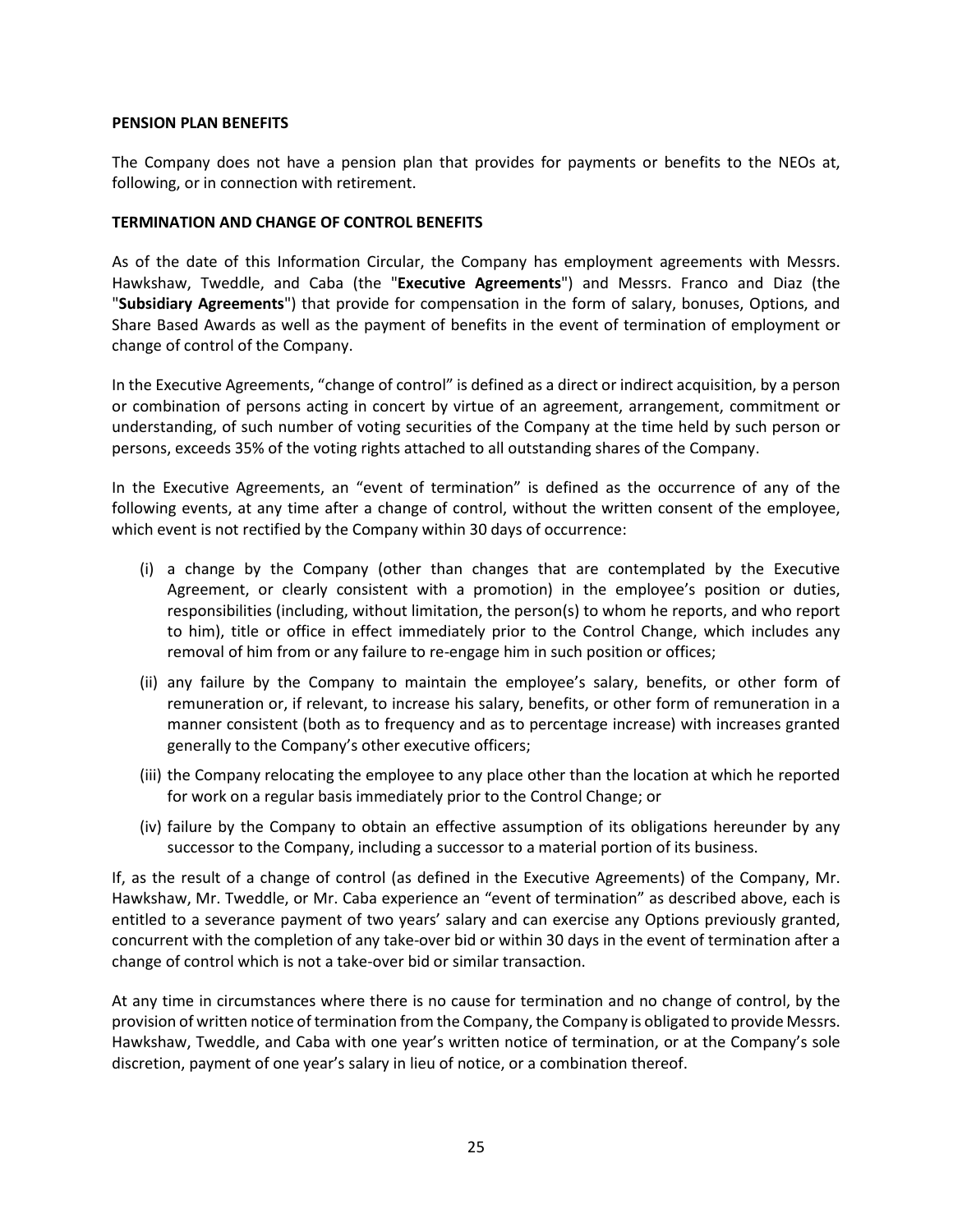#### <span id="page-24-0"></span>**PENSION PLAN BENEFITS**

The Company does not have a pension plan that provides for payments or benefits to the NEOs at, following, or in connection with retirement.

#### <span id="page-24-1"></span>**TERMINATION AND CHANGE OF CONTROL BENEFITS**

As of the date of this Information Circular, the Company has employment agreements with Messrs. Hawkshaw, Tweddle, and Caba (the "**Executive Agreements**") and Messrs. Franco and Diaz (the "**Subsidiary Agreements**") that provide for compensation in the form of salary, bonuses, Options, and Share Based Awards as well as the payment of benefits in the event of termination of employment or change of control of the Company.

In the Executive Agreements, "change of control" is defined as a direct or indirect acquisition, by a person or combination of persons acting in concert by virtue of an agreement, arrangement, commitment or understanding, of such number of voting securities of the Company at the time held by such person or persons, exceeds 35% of the voting rights attached to all outstanding shares of the Company.

In the Executive Agreements, an "event of termination" is defined as the occurrence of any of the following events, at any time after a change of control, without the written consent of the employee, which event is not rectified by the Company within 30 days of occurrence:

- (i) a change by the Company (other than changes that are contemplated by the Executive Agreement, or clearly consistent with a promotion) in the employee's position or duties, responsibilities (including, without limitation, the person(s) to whom he reports, and who report to him), title or office in effect immediately prior to the Control Change, which includes any removal of him from or any failure to re-engage him in such position or offices;
- (ii) any failure by the Company to maintain the employee's salary, benefits, or other form of remuneration or, if relevant, to increase his salary, benefits, or other form of remuneration in a manner consistent (both as to frequency and as to percentage increase) with increases granted generally to the Company's other executive officers;
- (iii) the Company relocating the employee to any place other than the location at which he reported for work on a regular basis immediately prior to the Control Change; or
- (iv) failure by the Company to obtain an effective assumption of its obligations hereunder by any successor to the Company, including a successor to a material portion of its business.

If, as the result of a change of control (as defined in the Executive Agreements) of the Company, Mr. Hawkshaw, Mr. Tweddle, or Mr. Caba experience an "event of termination" as described above, each is entitled to a severance payment of two years' salary and can exercise any Options previously granted, concurrent with the completion of any take-over bid or within 30 days in the event of termination after a change of control which is not a take-over bid or similar transaction.

At any time in circumstances where there is no cause for termination and no change of control, by the provision of written notice of termination from the Company, the Company is obligated to provide Messrs. Hawkshaw, Tweddle, and Caba with one year's written notice of termination, or at the Company's sole discretion, payment of one year's salary in lieu of notice, or a combination thereof.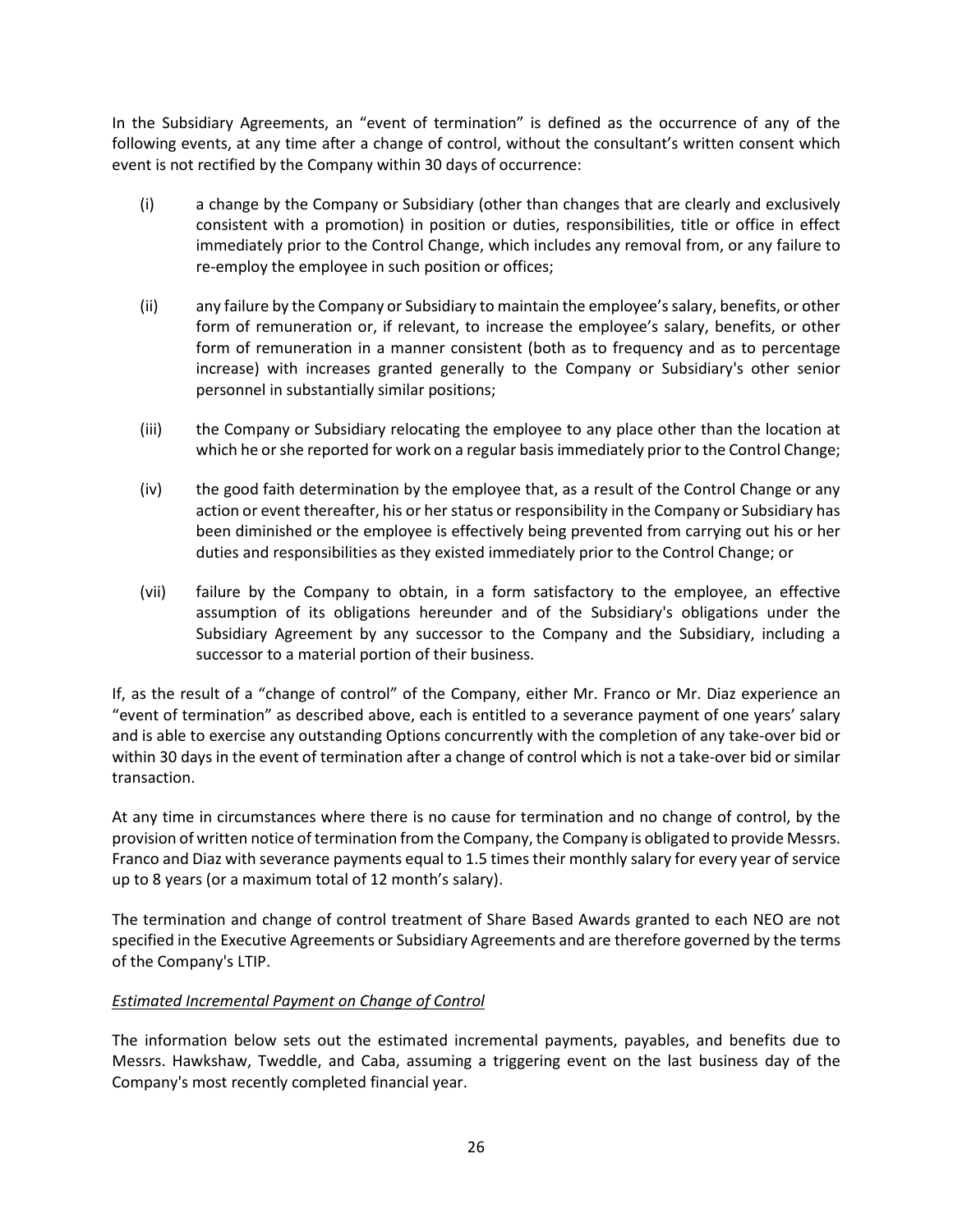In the Subsidiary Agreements, an "event of termination" is defined as the occurrence of any of the following events, at any time after a change of control, without the consultant's written consent which event is not rectified by the Company within 30 days of occurrence:

- (i) a change by the Company or Subsidiary (other than changes that are clearly and exclusively consistent with a promotion) in position or duties, responsibilities, title or office in effect immediately prior to the Control Change, which includes any removal from, or any failure to re-employ the employee in such position or offices;
- (ii) any failure by the Company or Subsidiary to maintain the employee'ssalary, benefits, or other form of remuneration or, if relevant, to increase the employee's salary, benefits, or other form of remuneration in a manner consistent (both as to frequency and as to percentage increase) with increases granted generally to the Company or Subsidiary's other senior personnel in substantially similar positions;
- (iii) the Company or Subsidiary relocating the employee to any place other than the location at which he or she reported for work on a regular basis immediately prior to the Control Change;
- (iv) the good faith determination by the employee that, as a result of the Control Change or any action or event thereafter, his or her status or responsibility in the Company or Subsidiary has been diminished or the employee is effectively being prevented from carrying out his or her duties and responsibilities as they existed immediately prior to the Control Change; or
- (vii) failure by the Company to obtain, in a form satisfactory to the employee, an effective assumption of its obligations hereunder and of the Subsidiary's obligations under the Subsidiary Agreement by any successor to the Company and the Subsidiary, including a successor to a material portion of their business.

If, as the result of a "change of control" of the Company, either Mr. Franco or Mr. Diaz experience an "event of termination" as described above, each is entitled to a severance payment of one years' salary and is able to exercise any outstanding Options concurrently with the completion of any take-over bid or within 30 days in the event of termination after a change of control which is not a take-over bid or similar transaction.

At any time in circumstances where there is no cause for termination and no change of control, by the provision of written notice of termination from the Company, the Company is obligated to provide Messrs. Franco and Diaz with severance payments equal to 1.5 times their monthly salary for every year of service up to 8 years (or a maximum total of 12 month's salary).

The termination and change of control treatment of Share Based Awards granted to each NEO are not specified in the Executive Agreements or Subsidiary Agreements and are therefore governed by the terms of the Company's LTIP.

# *Estimated Incremental Payment on Change of Control*

The information below sets out the estimated incremental payments, payables, and benefits due to Messrs. Hawkshaw, Tweddle, and Caba, assuming a triggering event on the last business day of the Company's most recently completed financial year.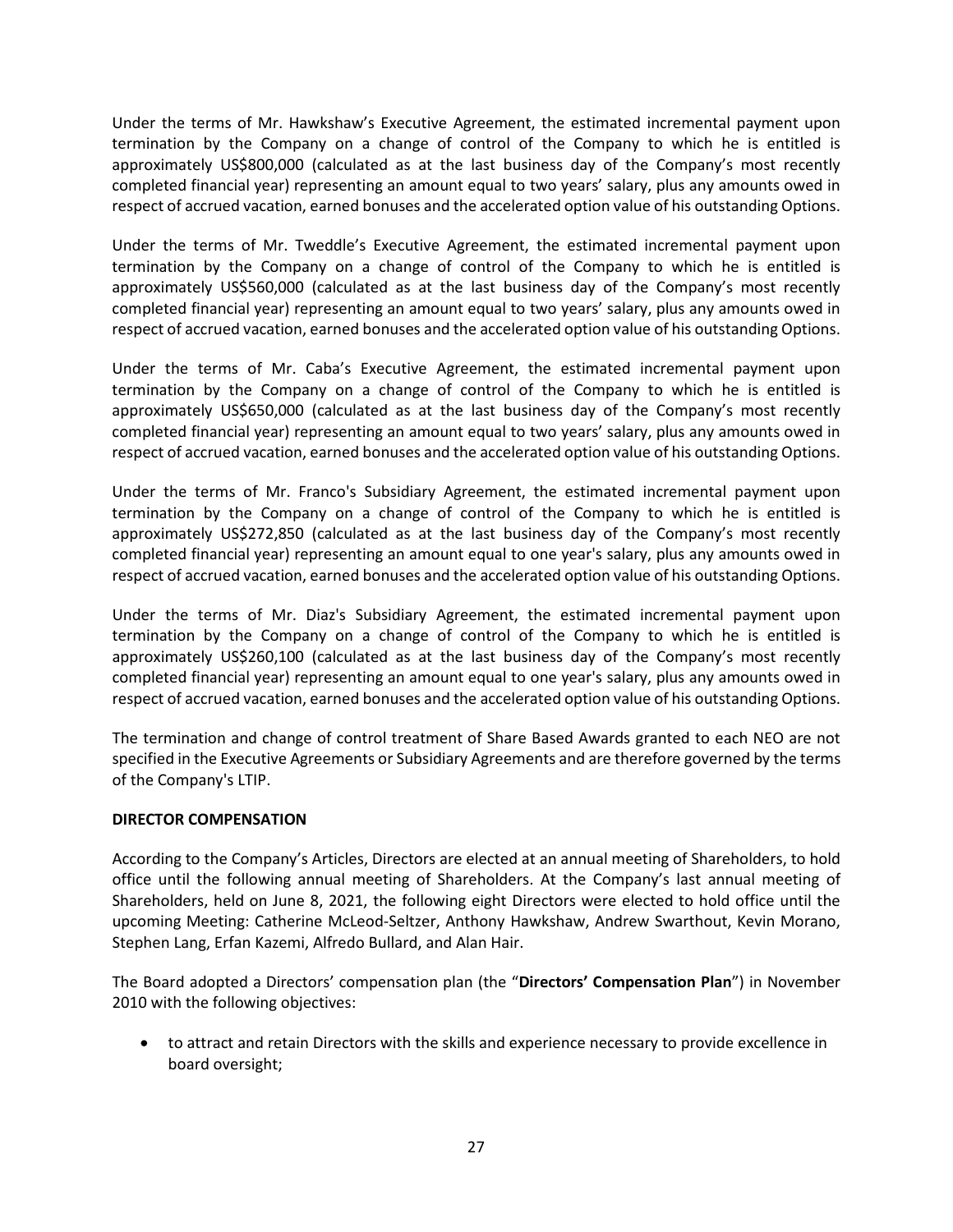Under the terms of Mr. Hawkshaw's Executive Agreement, the estimated incremental payment upon termination by the Company on a change of control of the Company to which he is entitled is approximately US\$800,000 (calculated as at the last business day of the Company's most recently completed financial year) representing an amount equal to two years' salary, plus any amounts owed in respect of accrued vacation, earned bonuses and the accelerated option value of his outstanding Options.

Under the terms of Mr. Tweddle's Executive Agreement, the estimated incremental payment upon termination by the Company on a change of control of the Company to which he is entitled is approximately US\$560,000 (calculated as at the last business day of the Company's most recently completed financial year) representing an amount equal to two years' salary, plus any amounts owed in respect of accrued vacation, earned bonuses and the accelerated option value of his outstanding Options.

Under the terms of Mr. Caba's Executive Agreement, the estimated incremental payment upon termination by the Company on a change of control of the Company to which he is entitled is approximately US\$650,000 (calculated as at the last business day of the Company's most recently completed financial year) representing an amount equal to two years' salary, plus any amounts owed in respect of accrued vacation, earned bonuses and the accelerated option value of his outstanding Options.

Under the terms of Mr. Franco's Subsidiary Agreement, the estimated incremental payment upon termination by the Company on a change of control of the Company to which he is entitled is approximately US\$272,850 (calculated as at the last business day of the Company's most recently completed financial year) representing an amount equal to one year's salary, plus any amounts owed in respect of accrued vacation, earned bonuses and the accelerated option value of his outstanding Options.

Under the terms of Mr. Diaz's Subsidiary Agreement, the estimated incremental payment upon termination by the Company on a change of control of the Company to which he is entitled is approximately US\$260,100 (calculated as at the last business day of the Company's most recently completed financial year) representing an amount equal to one year's salary, plus any amounts owed in respect of accrued vacation, earned bonuses and the accelerated option value of his outstanding Options.

The termination and change of control treatment of Share Based Awards granted to each NEO are not specified in the Executive Agreements or Subsidiary Agreements and are therefore governed by the terms of the Company's LTIP.

## <span id="page-26-0"></span>**DIRECTOR COMPENSATION**

According to the Company's Articles, Directors are elected at an annual meeting of Shareholders, to hold office until the following annual meeting of Shareholders. At the Company's last annual meeting of Shareholders, held on June 8, 2021, the following eight Directors were elected to hold office until the upcoming Meeting: Catherine McLeod-Seltzer, Anthony Hawkshaw, Andrew Swarthout, Kevin Morano, Stephen Lang, Erfan Kazemi, Alfredo Bullard, and Alan Hair.

The Board adopted a Directors' compensation plan (the "**Directors' Compensation Plan**") in November 2010 with the following objectives:

• to attract and retain Directors with the skills and experience necessary to provide excellence in board oversight;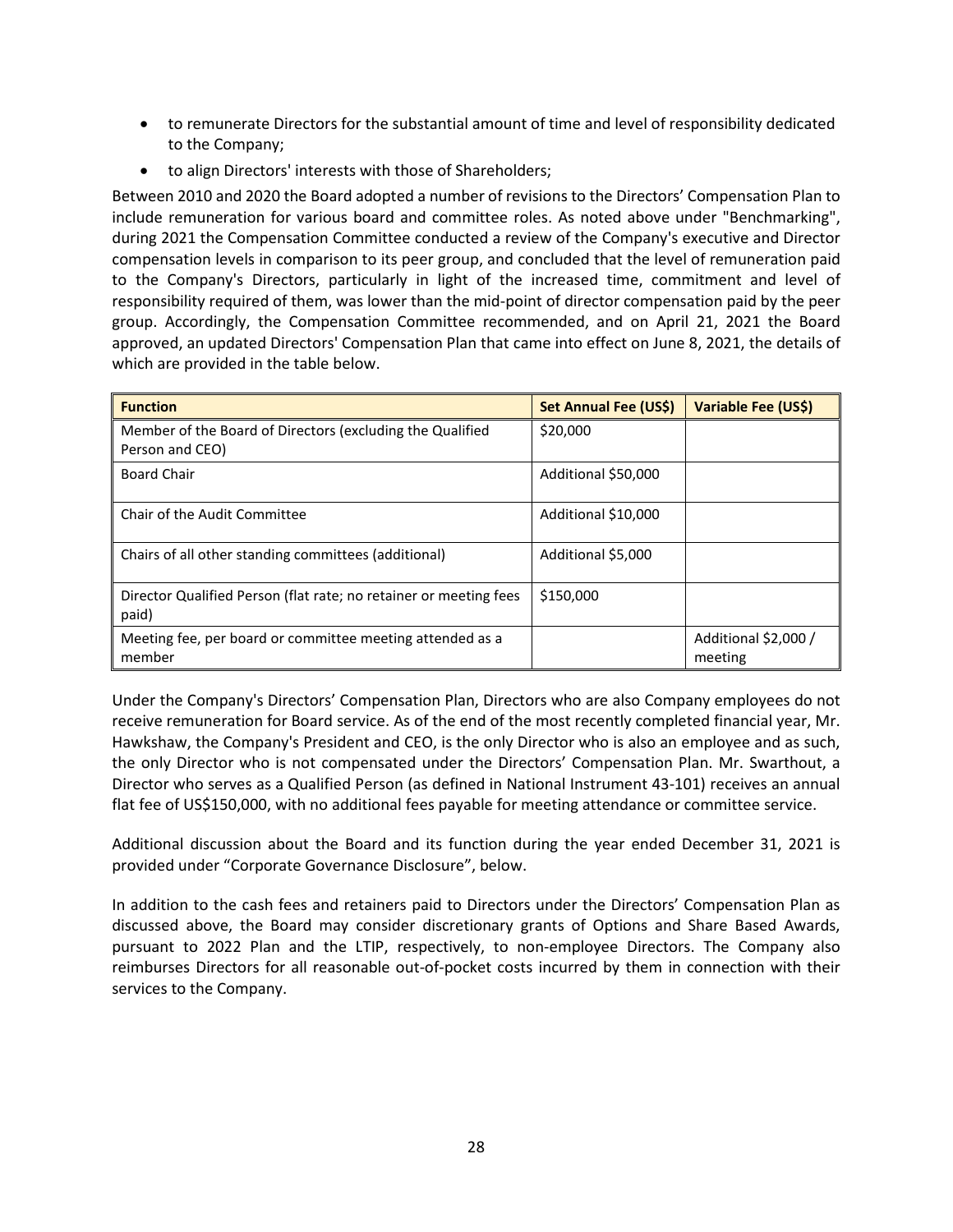- to remunerate Directors for the substantial amount of time and level of responsibility dedicated to the Company;
- to align Directors' interests with those of Shareholders;

Between 2010 and 2020 the Board adopted a number of revisions to the Directors' Compensation Plan to include remuneration for various board and committee roles. As noted above under "Benchmarking", during 2021 the Compensation Committee conducted a review of the Company's executive and Director compensation levels in comparison to its peer group, and concluded that the level of remuneration paid to the Company's Directors, particularly in light of the increased time, commitment and level of responsibility required of them, was lower than the mid-point of director compensation paid by the peer group. Accordingly, the Compensation Committee recommended, and on April 21, 2021 the Board approved, an updated Directors' Compensation Plan that came into effect on June 8, 2021, the details of which are provided in the table below.

| <b>Function</b>                                                              | Set Annual Fee (US\$) | Variable Fee (US\$)             |
|------------------------------------------------------------------------------|-----------------------|---------------------------------|
| Member of the Board of Directors (excluding the Qualified<br>Person and CEO) | \$20,000              |                                 |
| <b>Board Chair</b>                                                           | Additional \$50,000   |                                 |
| Chair of the Audit Committee                                                 | Additional \$10,000   |                                 |
| Chairs of all other standing committees (additional)                         | Additional \$5,000    |                                 |
| Director Qualified Person (flat rate; no retainer or meeting fees<br>paid)   | \$150,000             |                                 |
| Meeting fee, per board or committee meeting attended as a<br>member          |                       | Additional \$2,000 /<br>meeting |

Under the Company's Directors' Compensation Plan, Directors who are also Company employees do not receive remuneration for Board service. As of the end of the most recently completed financial year, Mr. Hawkshaw, the Company's President and CEO, is the only Director who is also an employee and as such, the only Director who is not compensated under the Directors' Compensation Plan. Mr. Swarthout, a Director who serves as a Qualified Person (as defined in National Instrument 43-101) receives an annual flat fee of US\$150,000, with no additional fees payable for meeting attendance or committee service.

Additional discussion about the Board and its function during the year ended December 31, 2021 is provided under "Corporate Governance Disclosure", below.

In addition to the cash fees and retainers paid to Directors under the Directors' Compensation Plan as discussed above, the Board may consider discretionary grants of Options and Share Based Awards, pursuant to 2022 Plan and the LTIP, respectively, to non-employee Directors. The Company also reimburses Directors for all reasonable out-of-pocket costs incurred by them in connection with their services to the Company.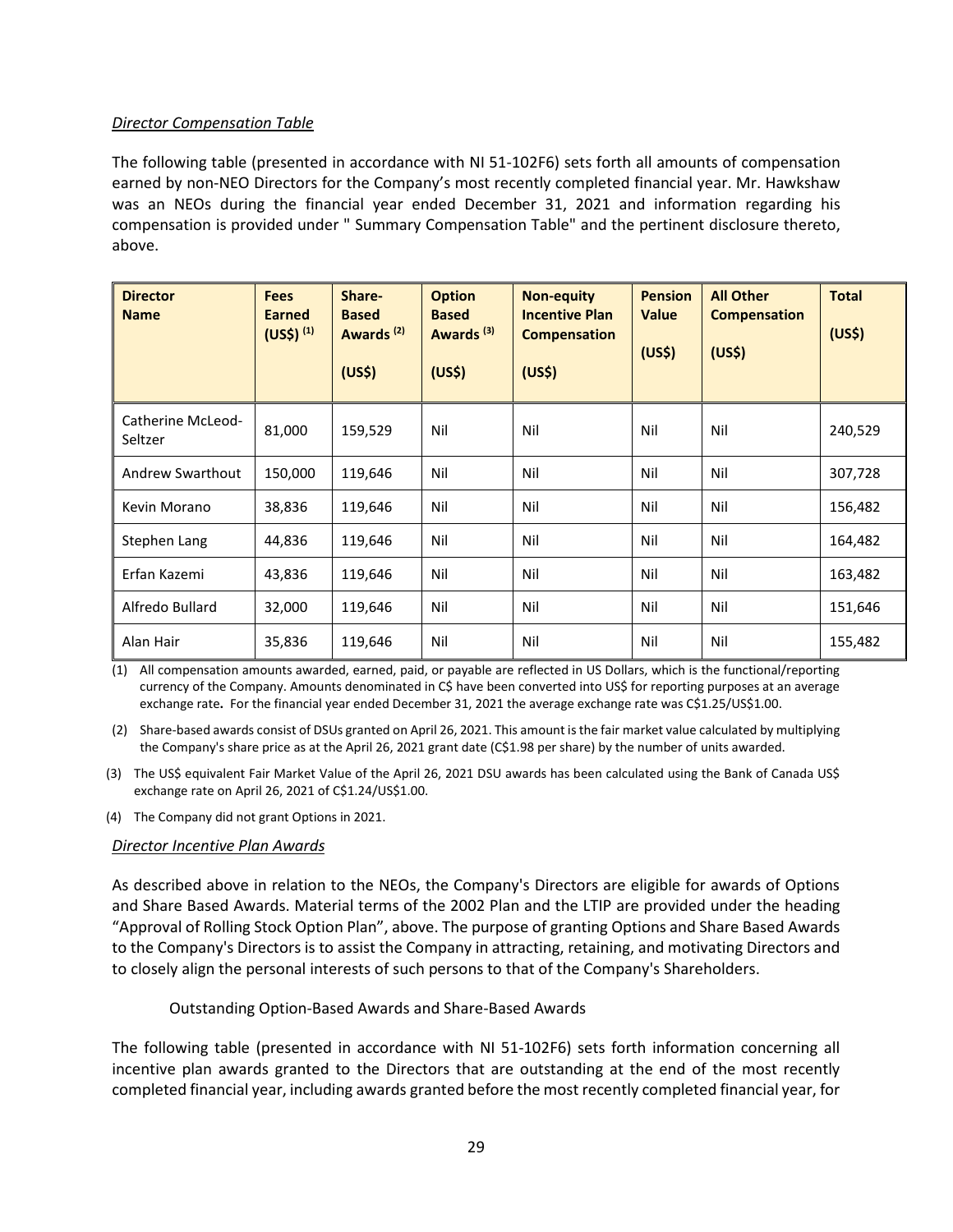## *Director Compensation Table*

The following table (presented in accordance with NI 51-102F6) sets forth all amounts of compensation earned by non-NEO Directors for the Company's most recently completed financial year. Mr. Hawkshaw was an NEOs during the financial year ended December 31, 2021 and information regarding his compensation is provided under " Summary Compensation Table" and the pertinent disclosure thereto, above.

| <b>Director</b><br><b>Name</b> | <b>Fees</b><br><b>Earned</b><br>(US <sup>2</sup> ) <sup>(1)</sup> | Share-<br><b>Based</b><br>Awards <sup>(2)</sup><br>(US <sup>5</sup> ) | <b>Option</b><br><b>Based</b><br>Awards <sup>(3)</sup><br>(US <sup>5</sup> ) | <b>Non-equity</b><br><b>Incentive Plan</b><br><b>Compensation</b><br>(US <sup>5</sup> ) | <b>Pension</b><br><b>Value</b><br>(US <sup>2</sup> ) | <b>All Other</b><br><b>Compensation</b><br>(US <sup>2</sup> ) | <b>Total</b><br>(US <sup>5</sup> ) |
|--------------------------------|-------------------------------------------------------------------|-----------------------------------------------------------------------|------------------------------------------------------------------------------|-----------------------------------------------------------------------------------------|------------------------------------------------------|---------------------------------------------------------------|------------------------------------|
| Catherine McLeod-<br>Seltzer   | 81,000                                                            | 159,529                                                               | Nil                                                                          | Nil                                                                                     | Nil                                                  | Nil                                                           | 240,529                            |
| Andrew Swarthout               | 150,000                                                           | 119,646                                                               | Nil                                                                          | Nil                                                                                     | Nil                                                  | Nil                                                           | 307,728                            |
| Kevin Morano                   | 38,836                                                            | 119,646                                                               | Nil                                                                          | Nil                                                                                     | Nil                                                  | Nil                                                           | 156,482                            |
| Stephen Lang                   | 44,836                                                            | 119,646                                                               | Nil                                                                          | Nil                                                                                     | Nil                                                  | Nil                                                           | 164,482                            |
| Erfan Kazemi                   | 43,836                                                            | 119,646                                                               | Nil                                                                          | Nil                                                                                     | Nil                                                  | Nil                                                           | 163,482                            |
| Alfredo Bullard                | 32,000                                                            | 119,646                                                               | Nil                                                                          | Nil                                                                                     | Nil                                                  | Nil                                                           | 151,646                            |
| Alan Hair                      | 35,836                                                            | 119,646                                                               | Nil                                                                          | Nil                                                                                     | Nil                                                  | Nil                                                           | 155,482                            |

(1) All compensation amounts awarded, earned, paid, or payable are reflected in US Dollars, which is the functional/reporting currency of the Company. Amounts denominated in C\$ have been converted into US\$ for reporting purposes at an average exchange rate**.** For the financial year ended December 31, 2021 the average exchange rate was C\$1.25/US\$1.00.

(2) Share-based awards consist of DSUs granted on April 26, 2021. This amount is the fair market value calculated by multiplying the Company's share price as at the April 26, 2021 grant date (C\$1.98 per share) by the number of units awarded.

(3) The US\$ equivalent Fair Market Value of the April 26, 2021 DSU awards has been calculated using the Bank of Canada US\$ exchange rate on April 26, 2021 of C\$1.24/US\$1.00.

(4) The Company did not grant Options in 2021.

#### *Director Incentive Plan Awards*

As described above in relation to the NEOs, the Company's Directors are eligible for awards of Options and Share Based Awards. Material terms of the 2002 Plan and the LTIP are provided under the heading "Approval of Rolling Stock Option Plan", above. The purpose of granting Options and Share Based Awards to the Company's Directors is to assist the Company in attracting, retaining, and motivating Directors and to closely align the personal interests of such persons to that of the Company's Shareholders.

#### Outstanding Option-Based Awards and Share-Based Awards

The following table (presented in accordance with NI 51-102F6) sets forth information concerning all incentive plan awards granted to the Directors that are outstanding at the end of the most recently completed financial year, including awards granted before the most recently completed financial year, for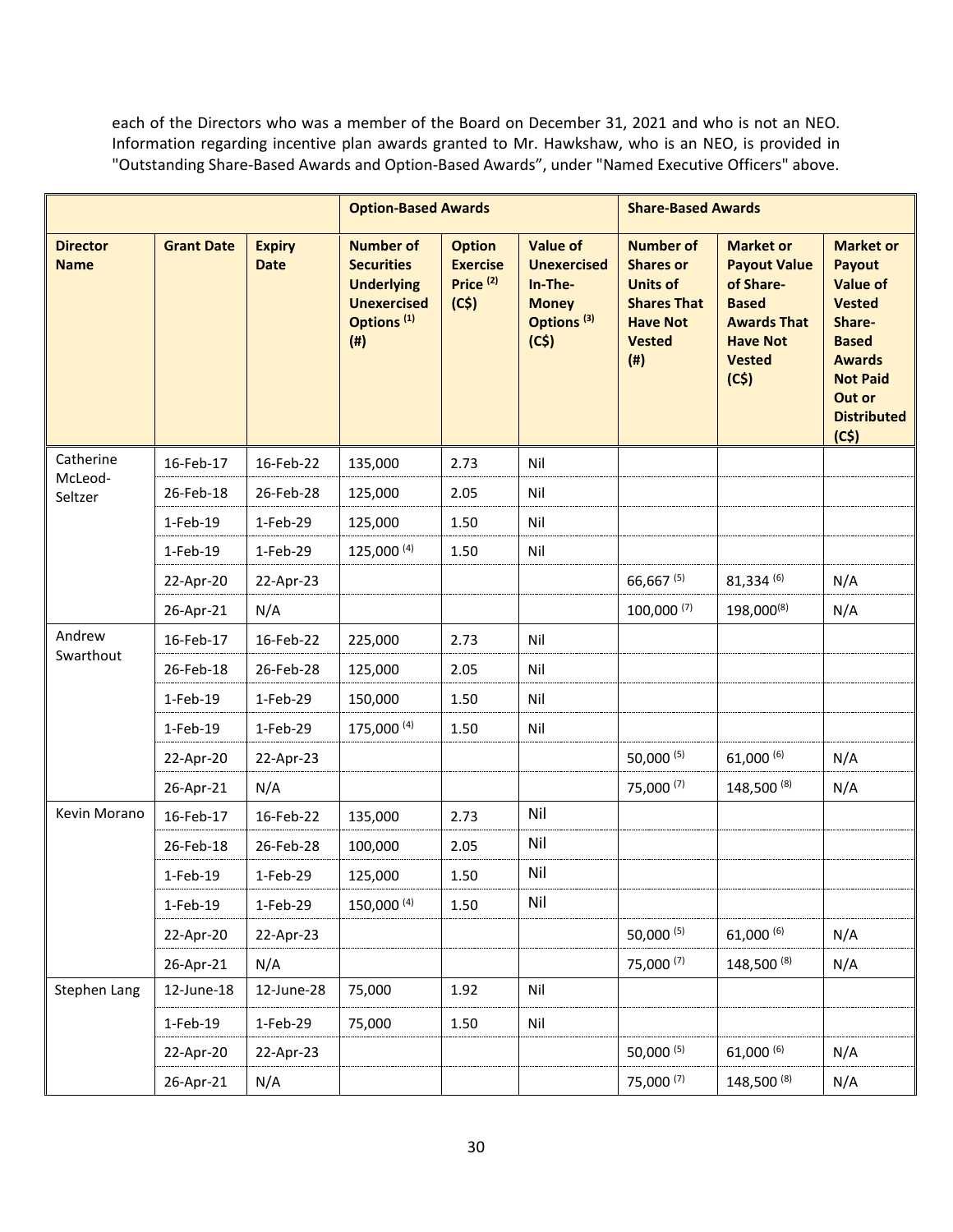each of the Directors who was a member of the Board on December 31, 2021 and who is not an NEO. Information regarding incentive plan awards granted to Mr. Hawkshaw, who is an NEO, is provided in "Outstanding Share-Based Awards and Option-Based Awards", under "Named Executive Officers" above.

|                                |                   |                              | <b>Option-Based Awards</b>                                                                                        |                                                                  |                                                                                                    | <b>Share-Based Awards</b>                                                                                                      |                                                                                                                                        |                                                                                                                                                                      |
|--------------------------------|-------------------|------------------------------|-------------------------------------------------------------------------------------------------------------------|------------------------------------------------------------------|----------------------------------------------------------------------------------------------------|--------------------------------------------------------------------------------------------------------------------------------|----------------------------------------------------------------------------------------------------------------------------------------|----------------------------------------------------------------------------------------------------------------------------------------------------------------------|
| <b>Director</b><br><b>Name</b> | <b>Grant Date</b> | <b>Expiry</b><br><b>Date</b> | <b>Number of</b><br><b>Securities</b><br><b>Underlying</b><br><b>Unexercised</b><br>Options <sup>(1)</sup><br>(#) | <b>Option</b><br><b>Exercise</b><br>Price <sup>(2)</sup><br>(C5) | <b>Value of</b><br><b>Unexercised</b><br>In-The-<br><b>Money</b><br>Options <sup>(3)</sup><br>(C5) | <b>Number of</b><br><b>Shares or</b><br><b>Units of</b><br><b>Shares That</b><br><b>Have Not</b><br><b>Vested</b><br>$($ # $)$ | <b>Market or</b><br><b>Payout Value</b><br>of Share-<br><b>Based</b><br><b>Awards That</b><br><b>Have Not</b><br><b>Vested</b><br>(C5) | <b>Market or</b><br>Payout<br><b>Value of</b><br><b>Vested</b><br>Share-<br><b>Based</b><br><b>Awards</b><br><b>Not Paid</b><br>Out or<br><b>Distributed</b><br>(C5) |
| Catherine                      | 16-Feb-17         | 16-Feb-22                    | 135,000                                                                                                           | 2.73                                                             | Nil                                                                                                |                                                                                                                                |                                                                                                                                        |                                                                                                                                                                      |
| McLeod-<br>Seltzer             | 26-Feb-18         | 26-Feb-28                    | 125,000                                                                                                           | 2.05                                                             | Nil                                                                                                |                                                                                                                                |                                                                                                                                        |                                                                                                                                                                      |
|                                | 1-Feb-19          | 1-Feb-29                     | 125,000                                                                                                           | 1.50                                                             | Nil                                                                                                |                                                                                                                                |                                                                                                                                        |                                                                                                                                                                      |
|                                | 1-Feb-19          | 1-Feb-29                     | $125,000^{(4)}$                                                                                                   | 1.50                                                             | Nil                                                                                                |                                                                                                                                |                                                                                                                                        |                                                                                                                                                                      |
|                                | 22-Apr-20         | 22-Apr-23                    |                                                                                                                   |                                                                  |                                                                                                    | 66,667 (5)                                                                                                                     | $81,334^{(6)}$                                                                                                                         | N/A                                                                                                                                                                  |
|                                | 26-Apr-21         | N/A                          |                                                                                                                   |                                                                  |                                                                                                    | $100,000^{ (7)}$                                                                                                               | 198,000(8)                                                                                                                             | N/A                                                                                                                                                                  |
| Andrew                         | 16-Feb-17         | 16-Feb-22                    | 225,000                                                                                                           | 2.73                                                             | Nil                                                                                                |                                                                                                                                |                                                                                                                                        |                                                                                                                                                                      |
| Swarthout                      | 26-Feb-18         | 26-Feb-28                    | 125,000                                                                                                           | 2.05                                                             | Nil                                                                                                |                                                                                                                                |                                                                                                                                        |                                                                                                                                                                      |
|                                | 1-Feb-19          | 1-Feb-29                     | 150,000                                                                                                           | 1.50                                                             | Nil                                                                                                |                                                                                                                                |                                                                                                                                        |                                                                                                                                                                      |
|                                | 1-Feb-19          | 1-Feb-29                     | 175,000 (4)                                                                                                       | 1.50                                                             | Nil                                                                                                |                                                                                                                                |                                                                                                                                        |                                                                                                                                                                      |
|                                | 22-Apr-20         | 22-Apr-23                    |                                                                                                                   |                                                                  |                                                                                                    | 50,000 $(5)$                                                                                                                   | $61,000^{(6)}$                                                                                                                         | N/A                                                                                                                                                                  |
|                                | 26-Apr-21         | N/A                          |                                                                                                                   |                                                                  |                                                                                                    | 75,000 (7)                                                                                                                     | 148,500 (8)                                                                                                                            | N/A                                                                                                                                                                  |
| Kevin Morano                   | 16-Feb-17         | 16-Feb-22                    | 135,000                                                                                                           | 2.73                                                             | Nil                                                                                                |                                                                                                                                |                                                                                                                                        |                                                                                                                                                                      |
|                                | 26-Feb-18         | 26-Feb-28                    | 100,000                                                                                                           | 2.05                                                             | Nil                                                                                                |                                                                                                                                |                                                                                                                                        |                                                                                                                                                                      |
|                                | 1-Feb-19          | 1-Feb-29                     | 125,000                                                                                                           | 1.50                                                             | Nil                                                                                                |                                                                                                                                |                                                                                                                                        |                                                                                                                                                                      |
|                                | 1-Feb-19          | 1-Feb-29                     | 150,000 (4)                                                                                                       | 1.50                                                             | Nil                                                                                                |                                                                                                                                |                                                                                                                                        |                                                                                                                                                                      |
|                                | 22-Apr-20         | 22-Apr-23                    |                                                                                                                   |                                                                  |                                                                                                    | 50,000 $(5)$                                                                                                                   | $61,000^{(6)}$                                                                                                                         | N/A                                                                                                                                                                  |
|                                | 26-Apr-21         | N/A                          |                                                                                                                   |                                                                  |                                                                                                    | 75,000 (7)                                                                                                                     | 148,500 (8)                                                                                                                            | N/A                                                                                                                                                                  |
| Stephen Lang                   | 12-June-18        | 12-June-28                   | 75,000                                                                                                            | 1.92                                                             | Nil                                                                                                |                                                                                                                                |                                                                                                                                        |                                                                                                                                                                      |
|                                | 1-Feb-19          | 1-Feb-29                     | 75,000                                                                                                            | 1.50                                                             | Nil                                                                                                |                                                                                                                                |                                                                                                                                        |                                                                                                                                                                      |
|                                | 22-Apr-20         | 22-Apr-23                    |                                                                                                                   |                                                                  |                                                                                                    | 50,000 (5)                                                                                                                     | $61,000^{(6)}$                                                                                                                         | N/A                                                                                                                                                                  |
|                                | 26-Apr-21         | N/A                          |                                                                                                                   |                                                                  |                                                                                                    | 75,000 (7)                                                                                                                     | 148,500 (8)                                                                                                                            | N/A                                                                                                                                                                  |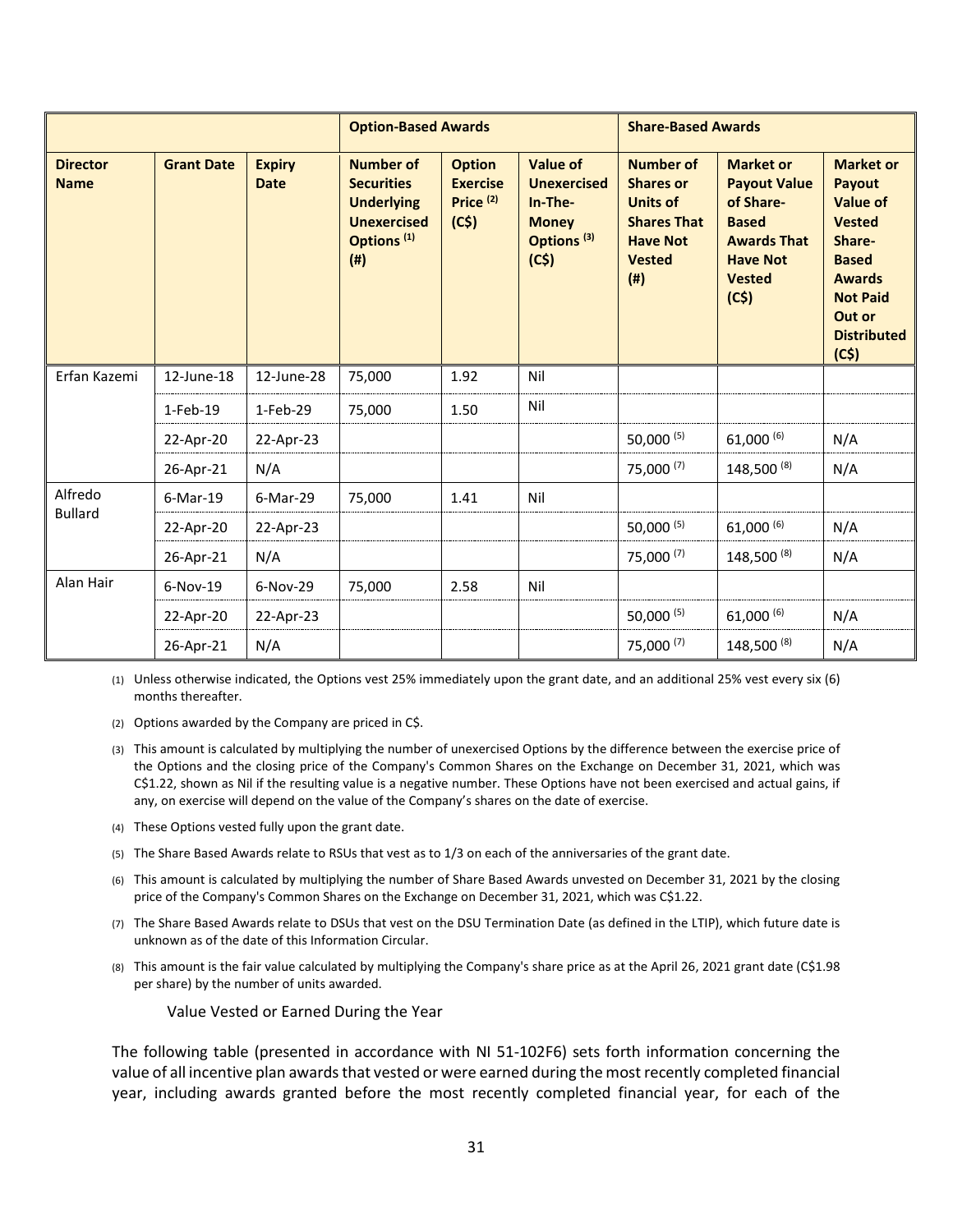|                                |                   |                              | <b>Option-Based Awards</b>                                                                                              |                                                                  |                                                                                                    | <b>Share-Based Awards</b>                                                                                                |                                                                                                                                        |                                                                                                                                                                             |
|--------------------------------|-------------------|------------------------------|-------------------------------------------------------------------------------------------------------------------------|------------------------------------------------------------------|----------------------------------------------------------------------------------------------------|--------------------------------------------------------------------------------------------------------------------------|----------------------------------------------------------------------------------------------------------------------------------------|-----------------------------------------------------------------------------------------------------------------------------------------------------------------------------|
| <b>Director</b><br><b>Name</b> | <b>Grant Date</b> | <b>Expiry</b><br><b>Date</b> | <b>Number of</b><br><b>Securities</b><br><b>Underlying</b><br><b>Unexercised</b><br>Options <sup>(1)</sup><br>$($ # $)$ | <b>Option</b><br><b>Exercise</b><br>Price <sup>(2)</sup><br>(C5) | <b>Value of</b><br><b>Unexercised</b><br>In-The-<br><b>Money</b><br>Options <sup>(3)</sup><br>(C5) | <b>Number of</b><br><b>Shares or</b><br><b>Units of</b><br><b>Shares That</b><br><b>Have Not</b><br><b>Vested</b><br>(#) | <b>Market or</b><br><b>Payout Value</b><br>of Share-<br><b>Based</b><br><b>Awards That</b><br><b>Have Not</b><br><b>Vested</b><br>(C5) | <b>Market or</b><br><b>Payout</b><br><b>Value of</b><br><b>Vested</b><br>Share-<br><b>Based</b><br><b>Awards</b><br><b>Not Paid</b><br>Out or<br><b>Distributed</b><br>(C5) |
| Erfan Kazemi                   | 12-June-18        | 12-June-28                   | 75,000                                                                                                                  | 1.92                                                             | Nil                                                                                                |                                                                                                                          |                                                                                                                                        |                                                                                                                                                                             |
|                                | $1-Feb-19$        | $1-Feb-29$                   | 75,000                                                                                                                  | 1.50                                                             | Nil                                                                                                |                                                                                                                          |                                                                                                                                        |                                                                                                                                                                             |
|                                | 22-Apr-20         | 22-Apr-23                    |                                                                                                                         |                                                                  |                                                                                                    | 50,000 (5)                                                                                                               | $61,000^{(6)}$                                                                                                                         | N/A                                                                                                                                                                         |
|                                | 26-Apr-21         | N/A                          |                                                                                                                         |                                                                  |                                                                                                    | 75,000 (7)                                                                                                               | 148,500 (8)                                                                                                                            | N/A                                                                                                                                                                         |
| Alfredo                        | $6$ -Mar-19       | 6-Mar-29                     | 75,000                                                                                                                  | 1.41                                                             | Nil                                                                                                |                                                                                                                          |                                                                                                                                        |                                                                                                                                                                             |
| <b>Bullard</b>                 | 22-Apr-20         | 22-Apr-23                    |                                                                                                                         |                                                                  |                                                                                                    | 50,000 (5)                                                                                                               | $61,000^{(6)}$                                                                                                                         | N/A                                                                                                                                                                         |
|                                | 26-Apr-21         | N/A                          |                                                                                                                         |                                                                  |                                                                                                    | 75,000 (7)                                                                                                               | 148,500 (8)                                                                                                                            | N/A                                                                                                                                                                         |
| Alan Hair                      | $6-Nov-19$        | $6-Nov-29$                   | 75,000                                                                                                                  | 2.58                                                             | Nil                                                                                                |                                                                                                                          |                                                                                                                                        |                                                                                                                                                                             |
|                                | 22-Apr-20         | 22-Apr-23                    |                                                                                                                         |                                                                  |                                                                                                    | 50,000 $(5)$                                                                                                             | $61,000^{(6)}$                                                                                                                         | N/A                                                                                                                                                                         |
|                                | 26-Apr-21         | N/A                          |                                                                                                                         |                                                                  |                                                                                                    | 75,000 (7)                                                                                                               | 148,500 (8)                                                                                                                            | N/A                                                                                                                                                                         |

(1) Unless otherwise indicated, the Options vest 25% immediately upon the grant date, and an additional 25% vest every six (6) months thereafter.

(2) Options awarded by the Company are priced in C\$.

- (3) This amount is calculated by multiplying the number of unexercised Options by the difference between the exercise price of the Options and the closing price of the Company's Common Shares on the Exchange on December 31, 2021, which was C\$1.22, shown as Nil if the resulting value is a negative number. These Options have not been exercised and actual gains, if any, on exercise will depend on the value of the Company's shares on the date of exercise.
- (4) These Options vested fully upon the grant date.
- (5) The Share Based Awards relate to RSUs that vest as to 1/3 on each of the anniversaries of the grant date.
- (6) This amount is calculated by multiplying the number of Share Based Awards unvested on December 31, 2021 by the closing price of the Company's Common Shares on the Exchange on December 31, 2021, which was C\$1.22.
- (7) The Share Based Awards relate to DSUs that vest on the DSU Termination Date (as defined in the LTIP), which future date is unknown as of the date of this Information Circular.
- (8) This amount is the fair value calculated by multiplying the Company's share price as at the April 26, 2021 grant date (C\$1.98 per share) by the number of units awarded.

Value Vested or Earned During the Year

The following table (presented in accordance with NI 51-102F6) sets forth information concerning the value of all incentive plan awards that vested or were earned during the most recently completed financial year, including awards granted before the most recently completed financial year, for each of the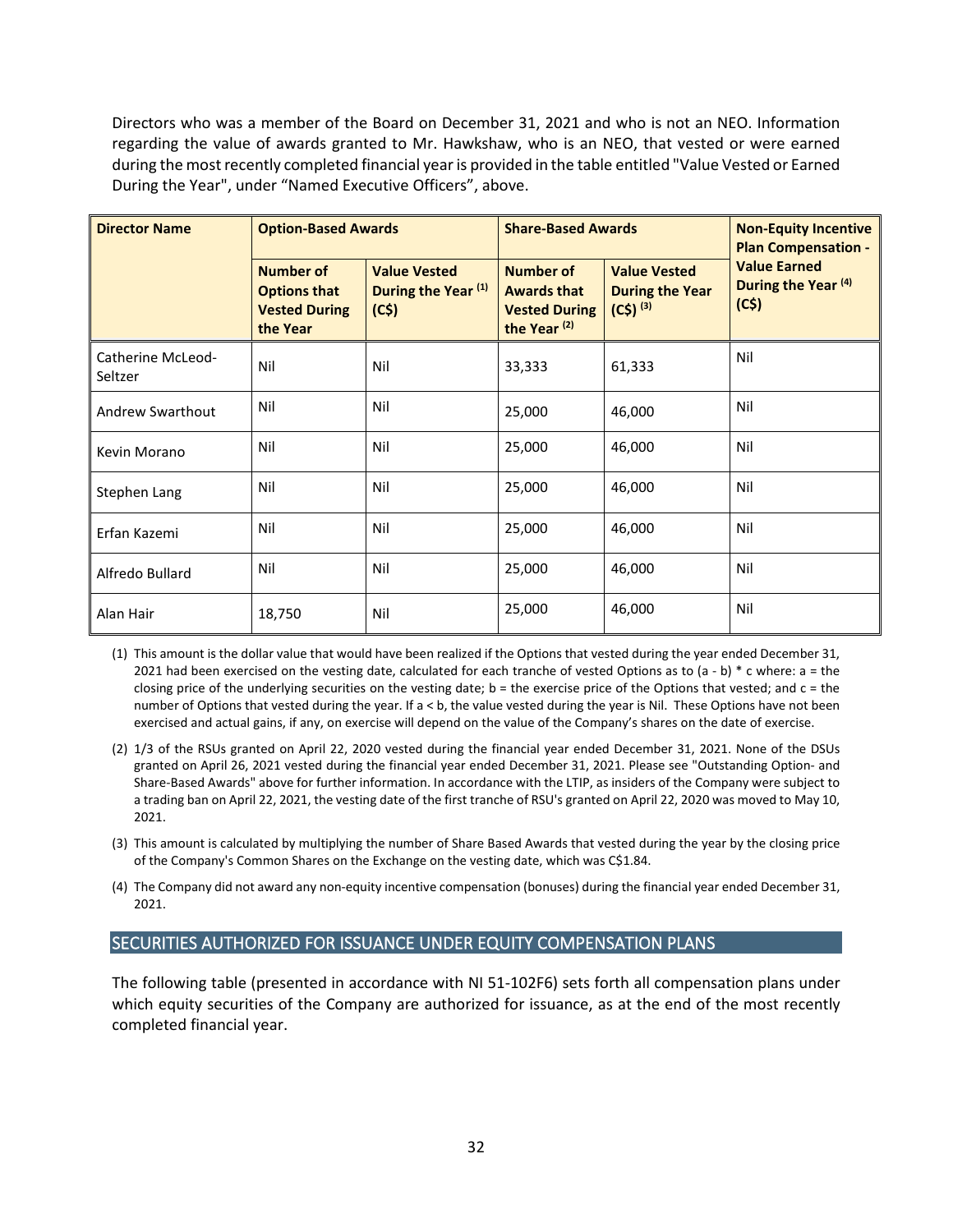Directors who was a member of the Board on December 31, 2021 and who is not an NEO. Information regarding the value of awards granted to Mr. Hawkshaw, who is an NEO, that vested or were earned during the most recently completed financial year is provided in the table entitled "Value Vested or Earned During the Year", under "Named Executive Officers", above.

| <b>Director Name</b>         | <b>Option-Based Awards</b>                                                  |                                                               | <b>Share-Based Awards</b>                                                          |                                                               | <b>Non-Equity Incentive</b><br><b>Plan Compensation -</b> |  |
|------------------------------|-----------------------------------------------------------------------------|---------------------------------------------------------------|------------------------------------------------------------------------------------|---------------------------------------------------------------|-----------------------------------------------------------|--|
|                              | <b>Number of</b><br><b>Options that</b><br><b>Vested During</b><br>the Year | <b>Value Vested</b><br>During the Year <sup>(1)</sup><br>(C5) | Number of<br><b>Awards that</b><br><b>Vested During</b><br>the Year <sup>(2)</sup> | <b>Value Vested</b><br><b>During the Year</b><br>$(C5)^{(3)}$ | <b>Value Earned</b><br>During the Year (4)<br>(C5)        |  |
| Catherine McLeod-<br>Seltzer | Nil                                                                         | Nil                                                           | 33,333                                                                             | 61,333                                                        | Nil                                                       |  |
| Andrew Swarthout             | Nil                                                                         | Nil                                                           | 25,000                                                                             | 46,000                                                        | Nil                                                       |  |
| Kevin Morano                 | Nil                                                                         | Nil                                                           | 25,000                                                                             | 46,000                                                        | Nil                                                       |  |
| Stephen Lang                 | Nil                                                                         | Nil                                                           | 25,000                                                                             | 46,000                                                        | Nil                                                       |  |
| Erfan Kazemi                 | Nil                                                                         | Nil                                                           | 25,000                                                                             | 46,000                                                        | Nil                                                       |  |
| Alfredo Bullard              | Nil                                                                         | Nil                                                           | 25,000                                                                             | 46,000                                                        | Nil                                                       |  |
| Alan Hair                    | 18,750                                                                      | Nil                                                           | 25,000                                                                             | 46,000                                                        | Nil                                                       |  |

(1) This amount is the dollar value that would have been realized if the Options that vested during the year ended December 31, 2021 had been exercised on the vesting date, calculated for each tranche of vested Options as to  $(a - b) * c$  where: a = the closing price of the underlying securities on the vesting date;  $b =$  the exercise price of the Options that vested; and  $c =$  the number of Options that vested during the year. If a < b, the value vested during the year is Nil. These Options have not been exercised and actual gains, if any, on exercise will depend on the value of the Company's shares on the date of exercise.

- (2) 1/3 of the RSUs granted on April 22, 2020 vested during the financial year ended December 31, 2021. None of the DSUs granted on April 26, 2021 vested during the financial year ended December 31, 2021. Please see "Outstanding Option- and Share-Based Awards" above for further information. In accordance with the LTIP, as insiders of the Company were subject to a trading ban on April 22, 2021, the vesting date of the first tranche of RSU's granted on April 22, 2020 was moved to May 10, 2021.
- (3) This amount is calculated by multiplying the number of Share Based Awards that vested during the year by the closing price of the Company's Common Shares on the Exchange on the vesting date, which was C\$1.84.
- (4) The Company did not award any non-equity incentive compensation (bonuses) during the financial year ended December 31, 2021.

# <span id="page-31-0"></span>SECURITIES AUTHORIZED FOR ISSUANCE UNDER EQUITY COMPENSATION PLANS

The following table (presented in accordance with NI 51-102F6) sets forth all compensation plans under which equity securities of the Company are authorized for issuance, as at the end of the most recently completed financial year.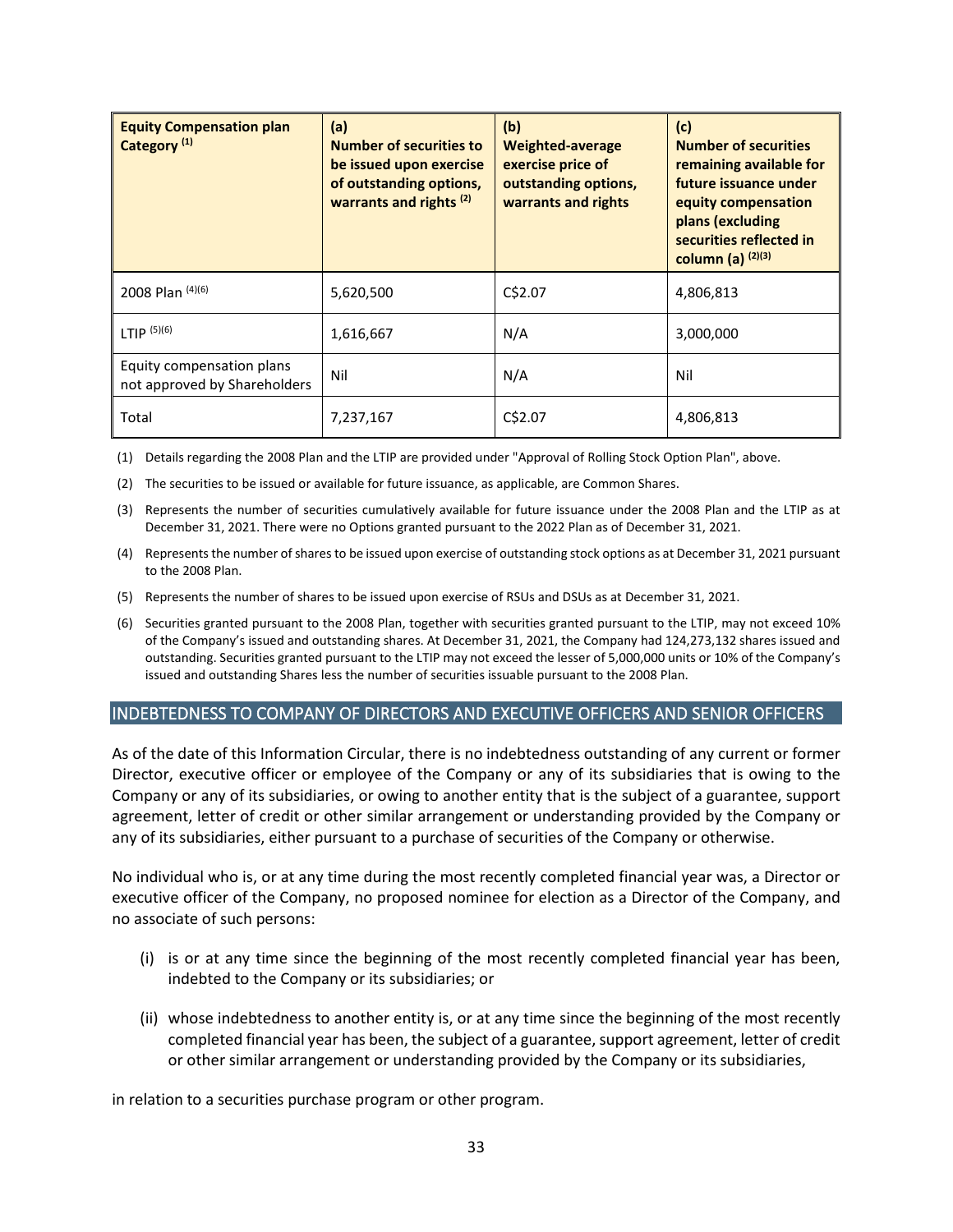| <b>Equity Compensation plan</b><br>Category <sup>(1)</sup> | (a)<br><b>Number of securities to</b><br>be issued upon exercise<br>of outstanding options,<br>warrants and rights <sup>(2)</sup> | (b)<br><b>Weighted-average</b><br>exercise price of<br>outstanding options,<br>warrants and rights | (c)<br><b>Number of securities</b><br>remaining available for<br>future issuance under<br>equity compensation<br>plans (excluding<br>securities reflected in<br>column (a) $(2)(3)$ |
|------------------------------------------------------------|-----------------------------------------------------------------------------------------------------------------------------------|----------------------------------------------------------------------------------------------------|-------------------------------------------------------------------------------------------------------------------------------------------------------------------------------------|
| 2008 Plan (4)(6)                                           | 5,620,500                                                                                                                         | C\$2.07                                                                                            | 4,806,813                                                                                                                                                                           |
| LTIP $(5)(6)$                                              | 1,616,667                                                                                                                         | N/A                                                                                                | 3,000,000                                                                                                                                                                           |
| Equity compensation plans<br>not approved by Shareholders  | Nil                                                                                                                               | N/A                                                                                                | Nil                                                                                                                                                                                 |
| Total                                                      | 7,237,167                                                                                                                         | C\$2.07                                                                                            | 4,806,813                                                                                                                                                                           |

(1) Details regarding the 2008 Plan and the LTIP are provided under "Approval of Rolling Stock Option Plan", above.

(2) The securities to be issued or available for future issuance, as applicable, are Common Shares.

- (3) Represents the number of securities cumulatively available for future issuance under the 2008 Plan and the LTIP as at December 31, 2021. There were no Options granted pursuant to the 2022 Plan as of December 31, 2021.
- (4) Represents the number of shares to be issued upon exercise of outstanding stock options as at December 31, 2021 pursuant to the 2008 Plan.
- (5) Represents the number of shares to be issued upon exercise of RSUs and DSUs as at December 31, 2021.
- (6) Securities granted pursuant to the 2008 Plan, together with securities granted pursuant to the LTIP, may not exceed 10% of the Company's issued and outstanding shares. At December 31, 2021, the Company had 124,273,132 shares issued and outstanding. Securities granted pursuant to the LTIP may not exceed the lesser of 5,000,000 units or 10% of the Company's issued and outstanding Shares less the number of securities issuable pursuant to the 2008 Plan.

## <span id="page-32-0"></span>INDEBTEDNESS TO COMPANY OF DIRECTORS AND EXECUTIVE OFFICERS AND SENIOR OFFICERS

As of the date of this Information Circular, there is no indebtedness outstanding of any current or former Director, executive officer or employee of the Company or any of its subsidiaries that is owing to the Company or any of its subsidiaries, or owing to another entity that is the subject of a guarantee, support agreement, letter of credit or other similar arrangement or understanding provided by the Company or any of its subsidiaries, either pursuant to a purchase of securities of the Company or otherwise.

No individual who is, or at any time during the most recently completed financial year was, a Director or executive officer of the Company, no proposed nominee for election as a Director of the Company, and no associate of such persons:

- (i) is or at any time since the beginning of the most recently completed financial year has been, indebted to the Company or its subsidiaries; or
- (ii) whose indebtedness to another entity is, or at any time since the beginning of the most recently completed financial year has been, the subject of a guarantee, support agreement, letter of credit or other similar arrangement or understanding provided by the Company or its subsidiaries,

in relation to a securities purchase program or other program.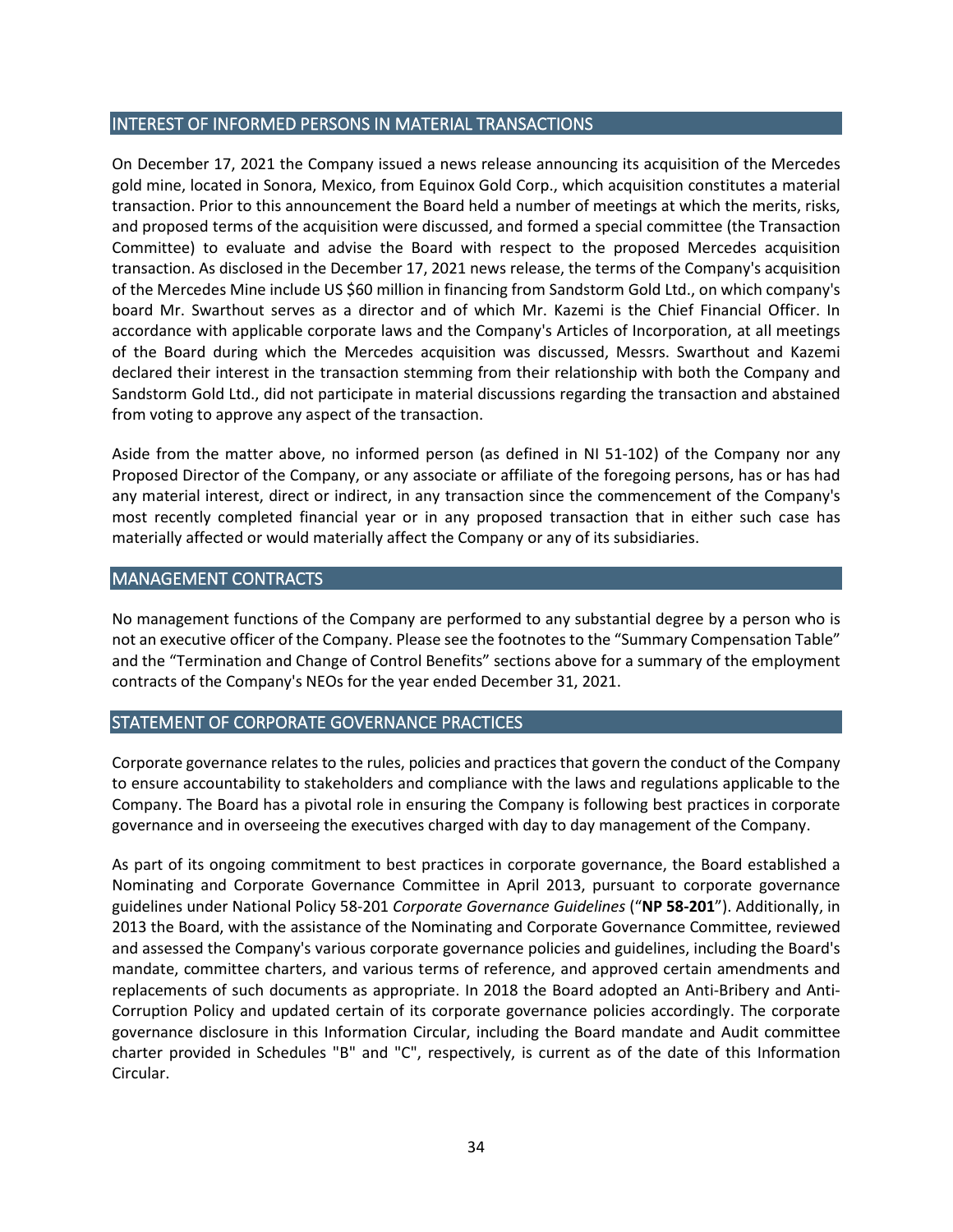## <span id="page-33-0"></span>INTEREST OF INFORMED PERSONS IN MATERIAL TRANSACTIONS

On December 17, 2021 the Company issued a news release announcing its acquisition of the Mercedes gold mine, located in Sonora, Mexico, from Equinox Gold Corp., which acquisition constitutes a material transaction. Prior to this announcement the Board held a number of meetings at which the merits, risks, and proposed terms of the acquisition were discussed, and formed a special committee (the Transaction Committee) to evaluate and advise the Board with respect to the proposed Mercedes acquisition transaction. As disclosed in the December 17, 2021 news release, the terms of the Company's acquisition of the Mercedes Mine include US \$60 million in financing from Sandstorm Gold Ltd., on which company's board Mr. Swarthout serves as a director and of which Mr. Kazemi is the Chief Financial Officer. In accordance with applicable corporate laws and the Company's Articles of Incorporation, at all meetings of the Board during which the Mercedes acquisition was discussed, Messrs. Swarthout and Kazemi declared their interest in the transaction stemming from their relationship with both the Company and Sandstorm Gold Ltd., did not participate in material discussions regarding the transaction and abstained from voting to approve any aspect of the transaction.

Aside from the matter above, no informed person (as defined in NI 51-102) of the Company nor any Proposed Director of the Company, or any associate or affiliate of the foregoing persons, has or has had any material interest, direct or indirect, in any transaction since the commencement of the Company's most recently completed financial year or in any proposed transaction that in either such case has materially affected or would materially affect the Company or any of its subsidiaries.

## <span id="page-33-1"></span>MANAGEMENT CONTRACTS

No management functions of the Company are performed to any substantial degree by a person who is not an executive officer of the Company. Please see the footnotes to the "Summary Compensation Table" and the "Termination and Change of Control Benefits" sections above for a summary of the employment contracts of the Company's NEOs for the year ended December 31, 2021.

# <span id="page-33-2"></span>STATEMENT OF CORPORATE GOVERNANCE PRACTICES

Corporate governance relates to the rules, policies and practices that govern the conduct of the Company to ensure accountability to stakeholders and compliance with the laws and regulations applicable to the Company. The Board has a pivotal role in ensuring the Company is following best practices in corporate governance and in overseeing the executives charged with day to day management of the Company.

As part of its ongoing commitment to best practices in corporate governance, the Board established a Nominating and Corporate Governance Committee in April 2013, pursuant to corporate governance guidelines under National Policy 58-201 *Corporate Governance Guidelines* ("**NP 58-201**"). Additionally, in 2013 the Board, with the assistance of the Nominating and Corporate Governance Committee, reviewed and assessed the Company's various corporate governance policies and guidelines, including the Board's mandate, committee charters, and various terms of reference, and approved certain amendments and replacements of such documents as appropriate. In 2018 the Board adopted an Anti-Bribery and Anti-Corruption Policy and updated certain of its corporate governance policies accordingly. The corporate governance disclosure in this Information Circular, including the Board mandate and Audit committee charter provided in Schedules "B" and "C", respectively, is current as of the date of this Information Circular.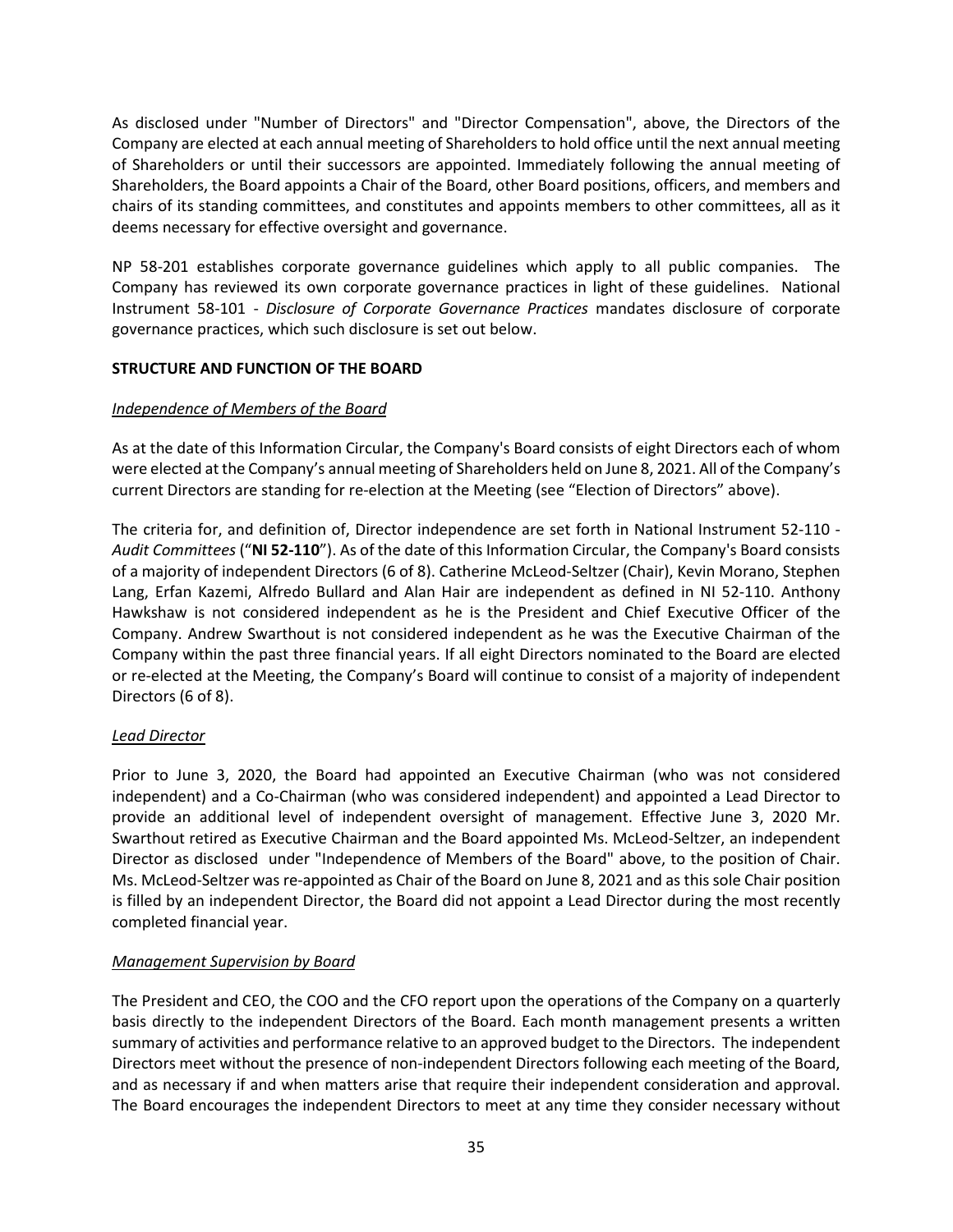As disclosed under "Number of Directors" and "Director Compensation", above, the Directors of the Company are elected at each annual meeting of Shareholders to hold office until the next annual meeting of Shareholders or until their successors are appointed. Immediately following the annual meeting of Shareholders, the Board appoints a Chair of the Board, other Board positions, officers, and members and chairs of its standing committees, and constitutes and appoints members to other committees, all as it deems necessary for effective oversight and governance.

NP 58-201 establishes corporate governance guidelines which apply to all public companies. The Company has reviewed its own corporate governance practices in light of these guidelines. National Instrument 58-101 - *Disclosure of Corporate Governance Practices* mandates disclosure of corporate governance practices, which such disclosure is set out below.

# <span id="page-34-0"></span>**STRUCTURE AND FUNCTION OF THE BOARD**

# *Independence of Members of the Board*

As at the date of this Information Circular, the Company's Board consists of eight Directors each of whom were elected at the Company's annual meeting of Shareholders held on June 8, 2021. All of the Company's current Directors are standing for re-election at the Meeting (see "Election of Directors" above).

The criteria for, and definition of, Director independence are set forth in National Instrument 52-110 - *Audit Committees* ("**NI 52-110**"). As of the date of this Information Circular, the Company's Board consists of a majority of independent Directors (6 of 8). Catherine McLeod-Seltzer (Chair), Kevin Morano, Stephen Lang, Erfan Kazemi, Alfredo Bullard and Alan Hair are independent as defined in NI 52-110. Anthony Hawkshaw is not considered independent as he is the President and Chief Executive Officer of the Company. Andrew Swarthout is not considered independent as he was the Executive Chairman of the Company within the past three financial years. If all eight Directors nominated to the Board are elected or re-elected at the Meeting, the Company's Board will continue to consist of a majority of independent Directors (6 of 8).

## *Lead Director*

Prior to June 3, 2020, the Board had appointed an Executive Chairman (who was not considered independent) and a Co-Chairman (who was considered independent) and appointed a Lead Director to provide an additional level of independent oversight of management. Effective June 3, 2020 Mr. Swarthout retired as Executive Chairman and the Board appointed Ms. McLeod-Seltzer, an independent Director as disclosed under "Independence of Members of the Board" above, to the position of Chair. Ms. McLeod-Seltzer was re-appointed as Chair of the Board on June 8, 2021 and as this sole Chair position is filled by an independent Director, the Board did not appoint a Lead Director during the most recently completed financial year.

## *Management Supervision by Board*

The President and CEO, the COO and the CFO report upon the operations of the Company on a quarterly basis directly to the independent Directors of the Board. Each month management presents a written summary of activities and performance relative to an approved budget to the Directors.The independent Directors meet without the presence of non-independent Directors following each meeting of the Board, and as necessary if and when matters arise that require their independent consideration and approval. The Board encourages the independent Directors to meet at any time they consider necessary without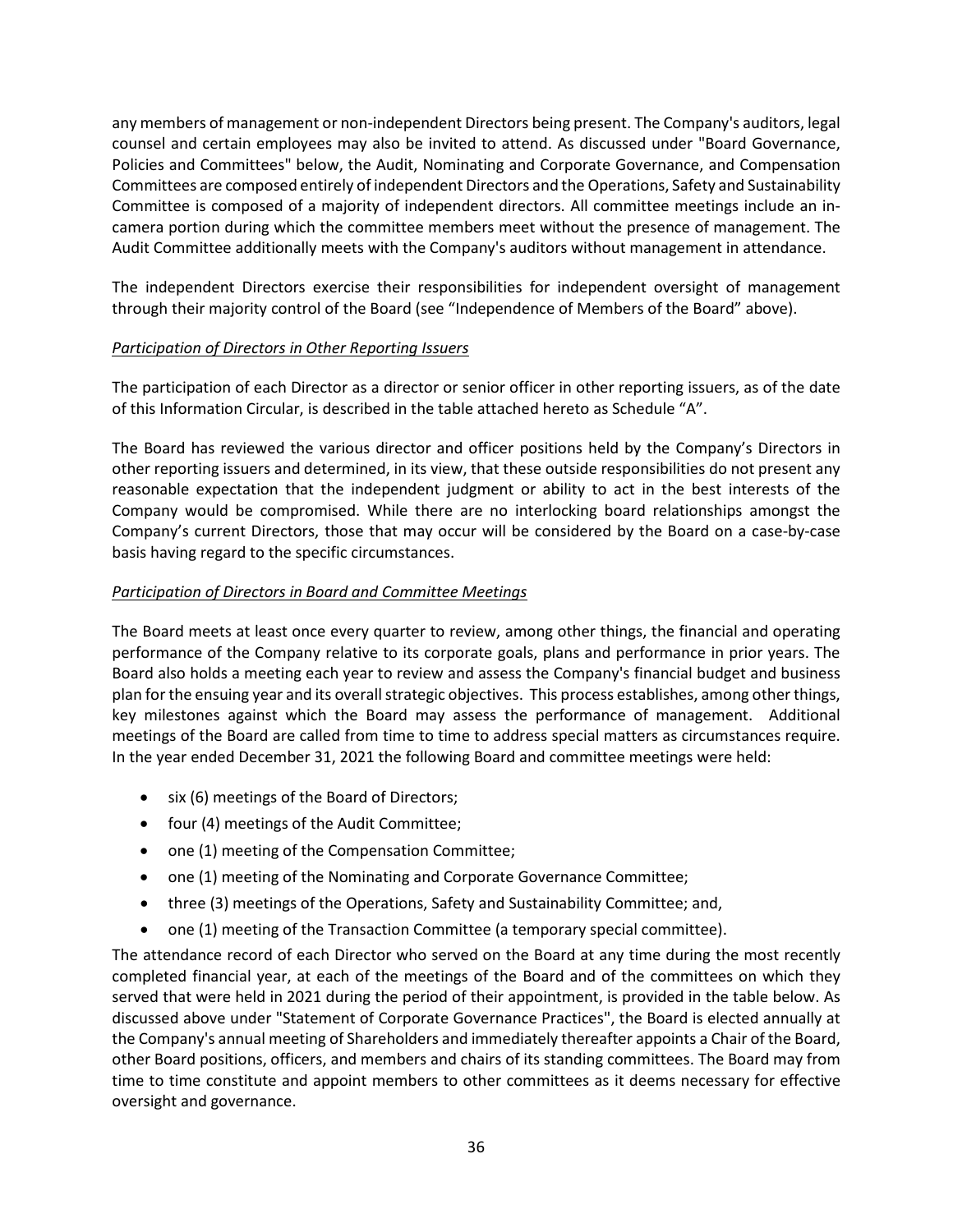any members of management or non-independent Directors being present. The Company's auditors, legal counsel and certain employees may also be invited to attend. As discussed under "Board Governance, Policies and Committees" below, the Audit, Nominating and Corporate Governance, and Compensation Committees are composed entirely of independent Directors and the Operations, Safety and Sustainability Committee is composed of a majority of independent directors. All committee meetings include an incamera portion during which the committee members meet without the presence of management. The Audit Committee additionally meets with the Company's auditors without management in attendance.

The independent Directors exercise their responsibilities for independent oversight of management through their majority control of the Board (see "Independence of Members of the Board" above).

# *Participation of Directors in Other Reporting Issuers*

The participation of each Director as a director or senior officer in other reporting issuers, as of the date of this Information Circular, is described in the table attached hereto as Schedule "A".

The Board has reviewed the various director and officer positions held by the Company's Directors in other reporting issuers and determined, in its view, that these outside responsibilities do not present any reasonable expectation that the independent judgment or ability to act in the best interests of the Company would be compromised. While there are no interlocking board relationships amongst the Company's current Directors, those that may occur will be considered by the Board on a case-by-case basis having regard to the specific circumstances.

## *Participation of Directors in Board and Committee Meetings*

The Board meets at least once every quarter to review, among other things, the financial and operating performance of the Company relative to its corporate goals, plans and performance in prior years. The Board also holds a meeting each year to review and assess the Company's financial budget and business plan for the ensuing year and its overall strategic objectives. This process establishes, among other things, key milestones against which the Board may assess the performance of management. Additional meetings of the Board are called from time to time to address special matters as circumstances require. In the year ended December 31, 2021 the following Board and committee meetings were held:

- six (6) meetings of the Board of Directors;
- four (4) meetings of the Audit Committee;
- one (1) meeting of the Compensation Committee;
- one (1) meeting of the Nominating and Corporate Governance Committee;
- three (3) meetings of the Operations, Safety and Sustainability Committee; and,
- one (1) meeting of the Transaction Committee (a temporary special committee).

The attendance record of each Director who served on the Board at any time during the most recently completed financial year, at each of the meetings of the Board and of the committees on which they served that were held in 2021 during the period of their appointment, is provided in the table below. As discussed above under "Statement of Corporate Governance Practices", the Board is elected annually at the Company's annual meeting of Shareholders and immediately thereafter appoints a Chair of the Board, other Board positions, officers, and members and chairs of its standing committees. The Board may from time to time constitute and appoint members to other committees as it deems necessary for effective oversight and governance.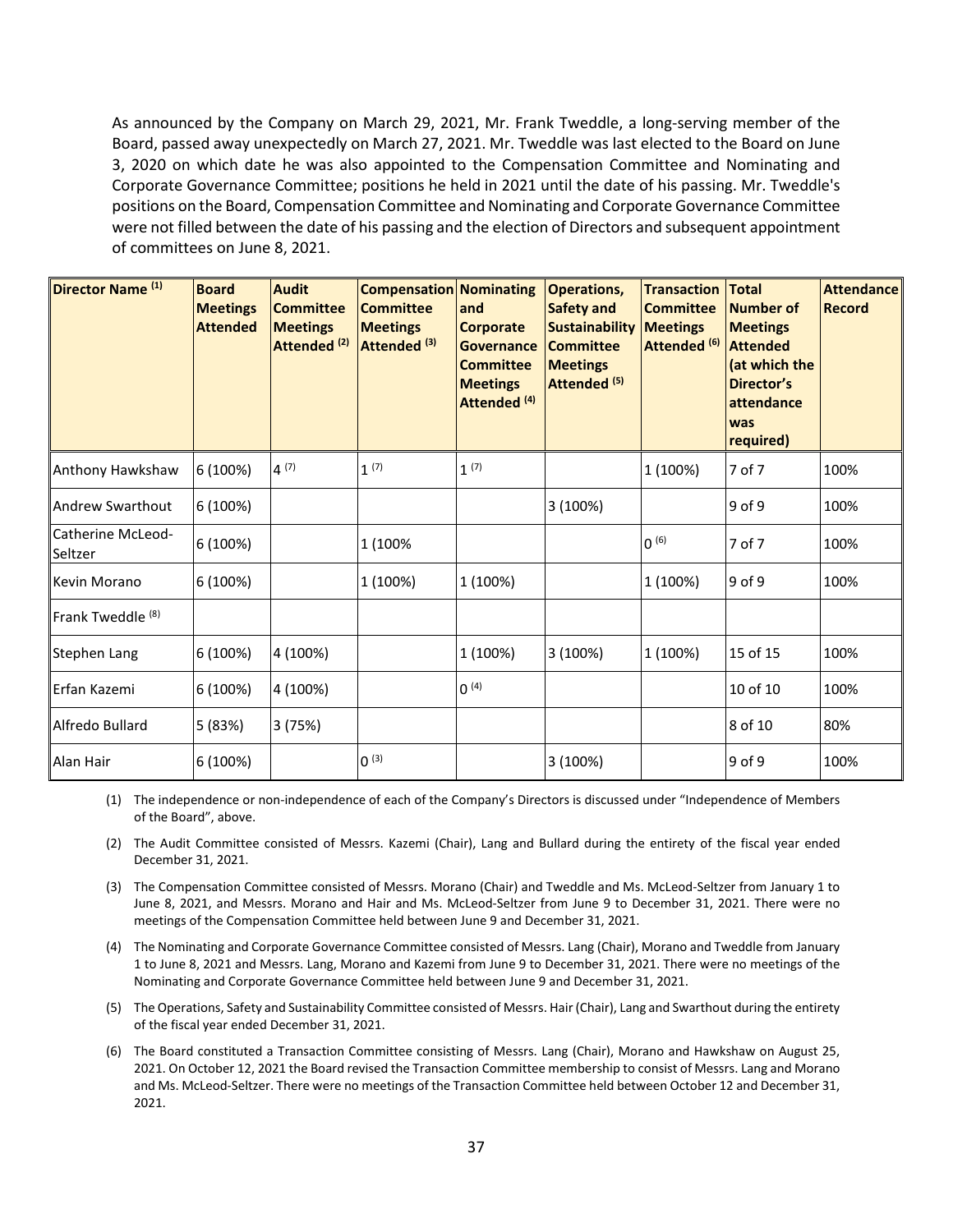As announced by the Company on March 29, 2021, Mr. Frank Tweddle, a long-serving member of the Board, passed away unexpectedly on March 27, 2021. Mr. Tweddle was last elected to the Board on June 3, 2020 on which date he was also appointed to the Compensation Committee and Nominating and Corporate Governance Committee; positions he held in 2021 until the date of his passing. Mr. Tweddle's positions on the Board, Compensation Committee and Nominating and Corporate Governance Committee were not filled between the date of his passing and the election of Directors and subsequent appointment of committees on June 8, 2021.

| Director Name <sup>(1)</sup> | <b>Board</b><br><b>Meetings</b><br><b>Attended</b> | <b>Audit</b><br><b>Committee</b><br><b>Meetings</b><br>Attended <sup>(2)</sup> | <b>Compensation Nominating</b><br><b>Committee</b><br><b>Meetings</b><br>Attended <sup>(3)</sup> | and<br><b>Corporate</b><br><b>Governance</b><br><b>Committee</b><br><b>Meetings</b><br>Attended <sup>(4)</sup> | <b>Operations,</b><br><b>Safety and</b><br><b>Sustainability</b><br><b>Committee</b><br><b>Meetings</b><br>Attended <sup>(5)</sup> | <b>Transaction Total</b><br><b>Committee</b><br><b>Meetings</b><br>Attended <sup>(6)</sup> | <b>Number of</b><br><b>Meetings</b><br><b>Attended</b><br>(at which the<br>Director's<br>attendance<br>was<br>required) | <b>Attendance</b><br><b>Record</b> |
|------------------------------|----------------------------------------------------|--------------------------------------------------------------------------------|--------------------------------------------------------------------------------------------------|----------------------------------------------------------------------------------------------------------------|------------------------------------------------------------------------------------------------------------------------------------|--------------------------------------------------------------------------------------------|-------------------------------------------------------------------------------------------------------------------------|------------------------------------|
| Anthony Hawkshaw             | 6 (100%)                                           | $4^{(7)}$                                                                      | 1 <sup>(7)</sup>                                                                                 | 1 <sup>(7)</sup>                                                                                               |                                                                                                                                    | 1 (100%)                                                                                   | 7 of 7                                                                                                                  | 100%                               |
| Andrew Swarthout             | 6 (100%)                                           |                                                                                |                                                                                                  |                                                                                                                | 3(100%)                                                                                                                            |                                                                                            | 9 of 9                                                                                                                  | 100%                               |
| Catherine McLeod-<br>Seltzer | 6 (100%)                                           |                                                                                | 1 (100%                                                                                          |                                                                                                                |                                                                                                                                    | (6)                                                                                        | 7 of 7                                                                                                                  | 100%                               |
| Kevin Morano                 | 6 (100%)                                           |                                                                                | 1 (100%)                                                                                         | 1 (100%)                                                                                                       |                                                                                                                                    | 1 (100%)                                                                                   | 9 of 9                                                                                                                  | 100%                               |
| Frank Tweddle <sup>(8)</sup> |                                                    |                                                                                |                                                                                                  |                                                                                                                |                                                                                                                                    |                                                                                            |                                                                                                                         |                                    |
| Stephen Lang                 | 6 (100%)                                           | 4 (100%)                                                                       |                                                                                                  | 1 (100%)                                                                                                       | 3(100%)                                                                                                                            | 1 (100%)                                                                                   | 15 of 15                                                                                                                | 100%                               |
| Erfan Kazemi                 | 6 (100%)                                           | 4 (100%)                                                                       |                                                                                                  | $0^{(4)}$                                                                                                      |                                                                                                                                    |                                                                                            | 10 of 10                                                                                                                | 100%                               |
| Alfredo Bullard              | 5 (83%)                                            | 3(75%)                                                                         |                                                                                                  |                                                                                                                |                                                                                                                                    |                                                                                            | 8 of 10                                                                                                                 | 80%                                |
| Alan Hair                    | 6 (100%)                                           |                                                                                | (3)                                                                                              |                                                                                                                | 3 (100%)                                                                                                                           |                                                                                            | 9 of 9                                                                                                                  | 100%                               |

(1) The independence or non-independence of each of the Company's Directors is discussed under "Independence of Members of the Board", above.

(2) The Audit Committee consisted of Messrs. Kazemi (Chair), Lang and Bullard during the entirety of the fiscal year ended December 31, 2021.

(3) The Compensation Committee consisted of Messrs. Morano (Chair) and Tweddle and Ms. McLeod-Seltzer from January 1 to June 8, 2021, and Messrs. Morano and Hair and Ms. McLeod-Seltzer from June 9 to December 31, 2021. There were no meetings of the Compensation Committee held between June 9 and December 31, 2021.

(4) The Nominating and Corporate Governance Committee consisted of Messrs. Lang (Chair), Morano and Tweddle from January 1 to June 8, 2021 and Messrs. Lang, Morano and Kazemi from June 9 to December 31, 2021. There were no meetings of the Nominating and Corporate Governance Committee held between June 9 and December 31, 2021.

(5) The Operations, Safety and Sustainability Committee consisted of Messrs. Hair (Chair), Lang and Swarthout during the entirety of the fiscal year ended December 31, 2021.

(6) The Board constituted a Transaction Committee consisting of Messrs. Lang (Chair), Morano and Hawkshaw on August 25, 2021. On October 12, 2021 the Board revised the Transaction Committee membership to consist of Messrs. Lang and Morano and Ms. McLeod-Seltzer. There were no meetings of the Transaction Committee held between October 12 and December 31, 2021.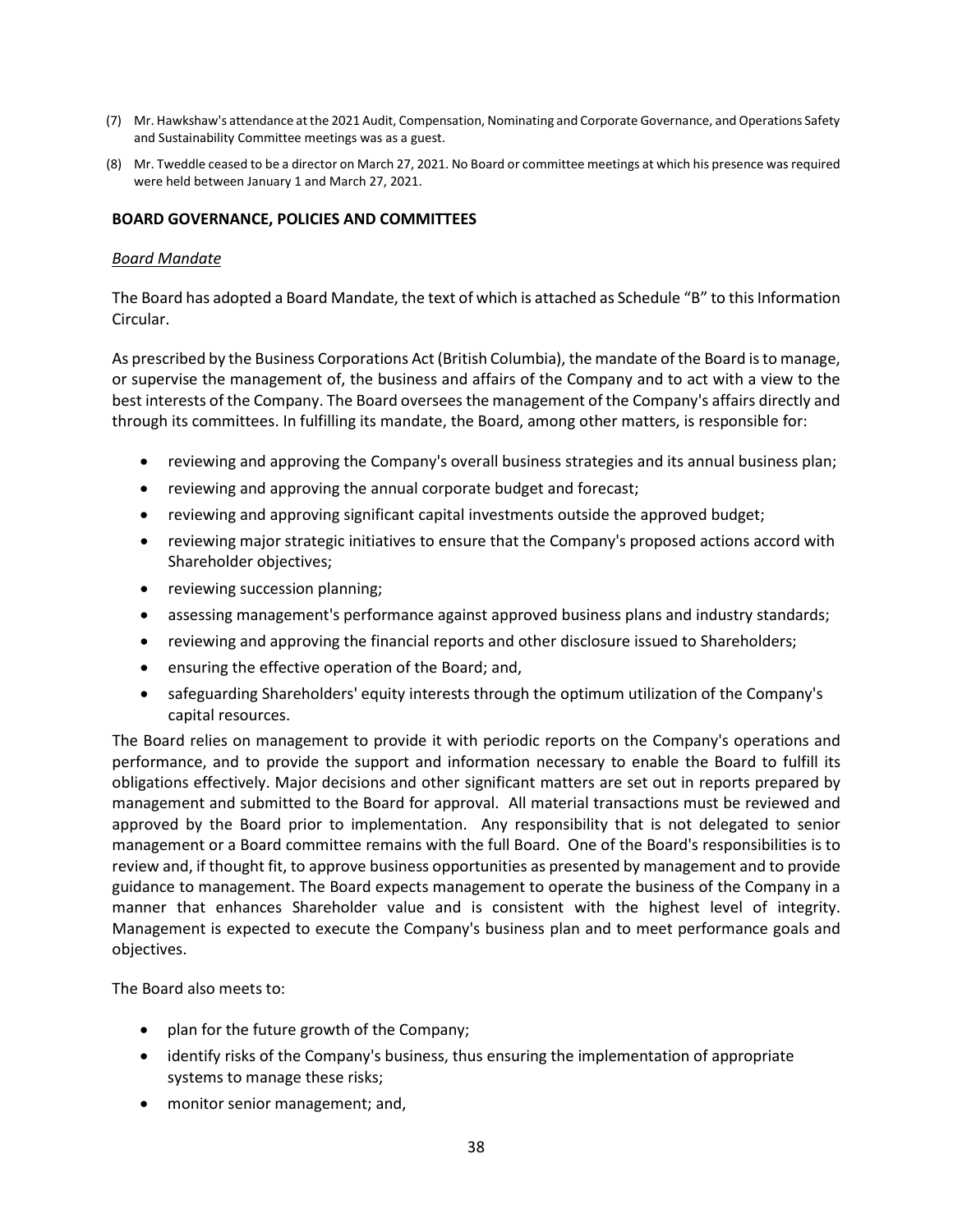- (7) Mr. Hawkshaw's attendance at the 2021 Audit, Compensation, Nominating and Corporate Governance, and Operations Safety and Sustainability Committee meetings was as a guest.
- (8) Mr. Tweddle ceased to be a director on March 27, 2021. No Board or committee meetings at which his presence was required were held between January 1 and March 27, 2021.

## <span id="page-37-0"></span>**BOARD GOVERNANCE, POLICIES AND COMMITTEES**

#### *Board Mandate*

The Board has adopted a Board Mandate, the text of which is attached as Schedule "B" to this Information Circular.

As prescribed by the Business Corporations Act (British Columbia), the mandate of the Board is to manage, or supervise the management of, the business and affairs of the Company and to act with a view to the best interests of the Company. The Board oversees the management of the Company's affairs directly and through its committees. In fulfilling its mandate, the Board, among other matters, is responsible for:

- reviewing and approving the Company's overall business strategies and its annual business plan;
- reviewing and approving the annual corporate budget and forecast;
- reviewing and approving significant capital investments outside the approved budget;
- reviewing major strategic initiatives to ensure that the Company's proposed actions accord with Shareholder objectives;
- reviewing succession planning;
- assessing management's performance against approved business plans and industry standards;
- reviewing and approving the financial reports and other disclosure issued to Shareholders;
- ensuring the effective operation of the Board; and,
- safeguarding Shareholders' equity interests through the optimum utilization of the Company's capital resources.

The Board relies on management to provide it with periodic reports on the Company's operations and performance, and to provide the support and information necessary to enable the Board to fulfill its obligations effectively. Major decisions and other significant matters are set out in reports prepared by management and submitted to the Board for approval. All material transactions must be reviewed and approved by the Board prior to implementation. Any responsibility that is not delegated to senior management or a Board committee remains with the full Board. One of the Board's responsibilities is to review and, if thought fit, to approve business opportunities as presented by management and to provide guidance to management. The Board expects management to operate the business of the Company in a manner that enhances Shareholder value and is consistent with the highest level of integrity. Management is expected to execute the Company's business plan and to meet performance goals and objectives.

The Board also meets to:

- plan for the future growth of the Company;
- identify risks of the Company's business, thus ensuring the implementation of appropriate systems to manage these risks;
- monitor senior management; and,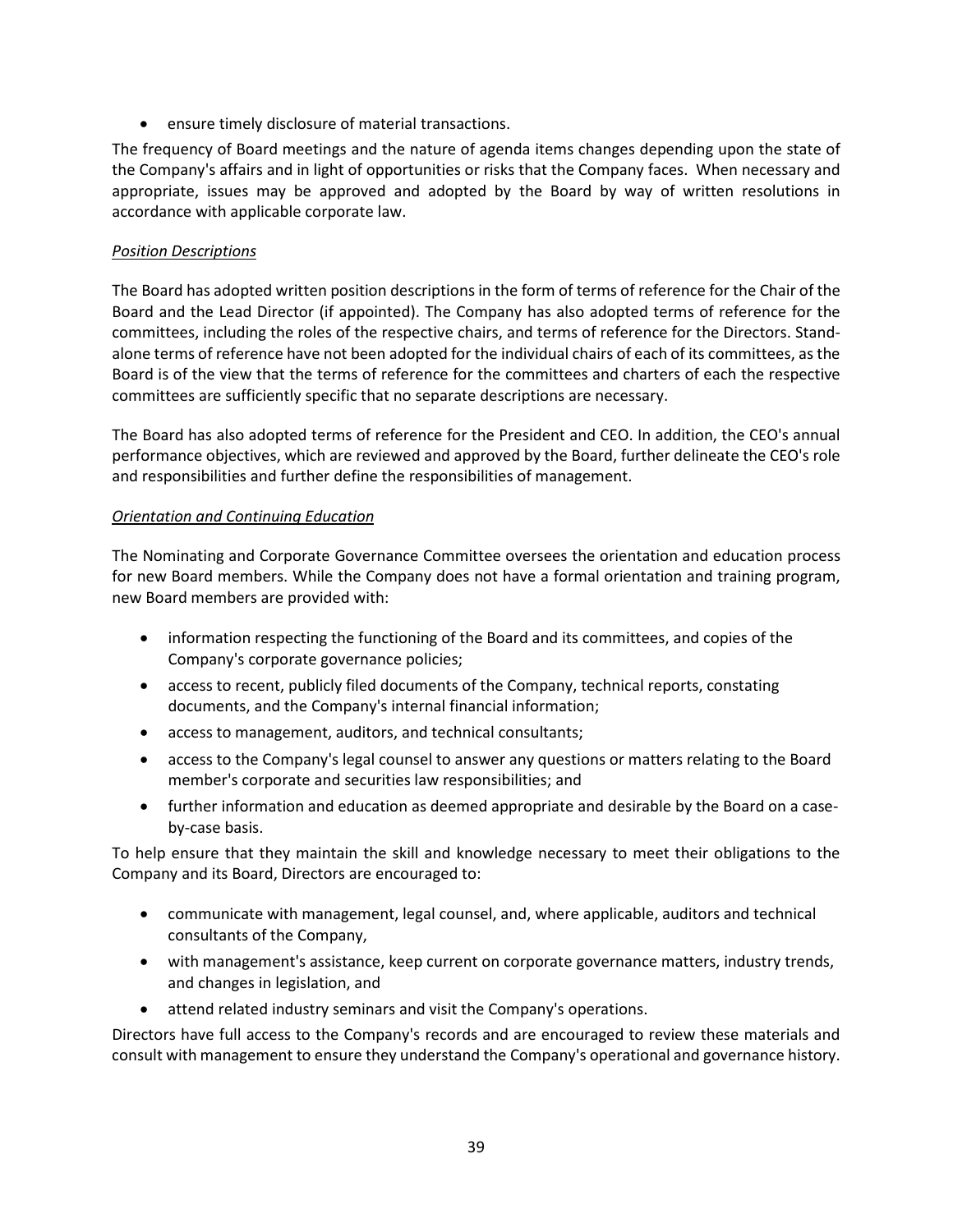• ensure timely disclosure of material transactions.

The frequency of Board meetings and the nature of agenda items changes depending upon the state of the Company's affairs and in light of opportunities or risks that the Company faces. When necessary and appropriate, issues may be approved and adopted by the Board by way of written resolutions in accordance with applicable corporate law.

# *Position Descriptions*

The Board has adopted written position descriptions in the form of terms of reference for the Chair of the Board and the Lead Director (if appointed). The Company has also adopted terms of reference for the committees, including the roles of the respective chairs, and terms of reference for the Directors. Standalone terms of reference have not been adopted for the individual chairs of each of its committees, as the Board is of the view that the terms of reference for the committees and charters of each the respective committees are sufficiently specific that no separate descriptions are necessary.

The Board has also adopted terms of reference for the President and CEO. In addition, the CEO's annual performance objectives, which are reviewed and approved by the Board, further delineate the CEO's role and responsibilities and further define the responsibilities of management.

# *Orientation and Continuing Education*

The Nominating and Corporate Governance Committee oversees the orientation and education process for new Board members. While the Company does not have a formal orientation and training program, new Board members are provided with:

- information respecting the functioning of the Board and its committees, and copies of the Company's corporate governance policies;
- access to recent, publicly filed documents of the Company, technical reports, constating documents, and the Company's internal financial information;
- access to management, auditors, and technical consultants;
- access to the Company's legal counsel to answer any questions or matters relating to the Board member's corporate and securities law responsibilities; and
- further information and education as deemed appropriate and desirable by the Board on a caseby-case basis.

To help ensure that they maintain the skill and knowledge necessary to meet their obligations to the Company and its Board, Directors are encouraged to:

- communicate with management, legal counsel, and, where applicable, auditors and technical consultants of the Company,
- with management's assistance, keep current on corporate governance matters, industry trends, and changes in legislation, and
- attend related industry seminars and visit the Company's operations.

Directors have full access to the Company's records and are encouraged to review these materials and consult with management to ensure they understand the Company's operational and governance history.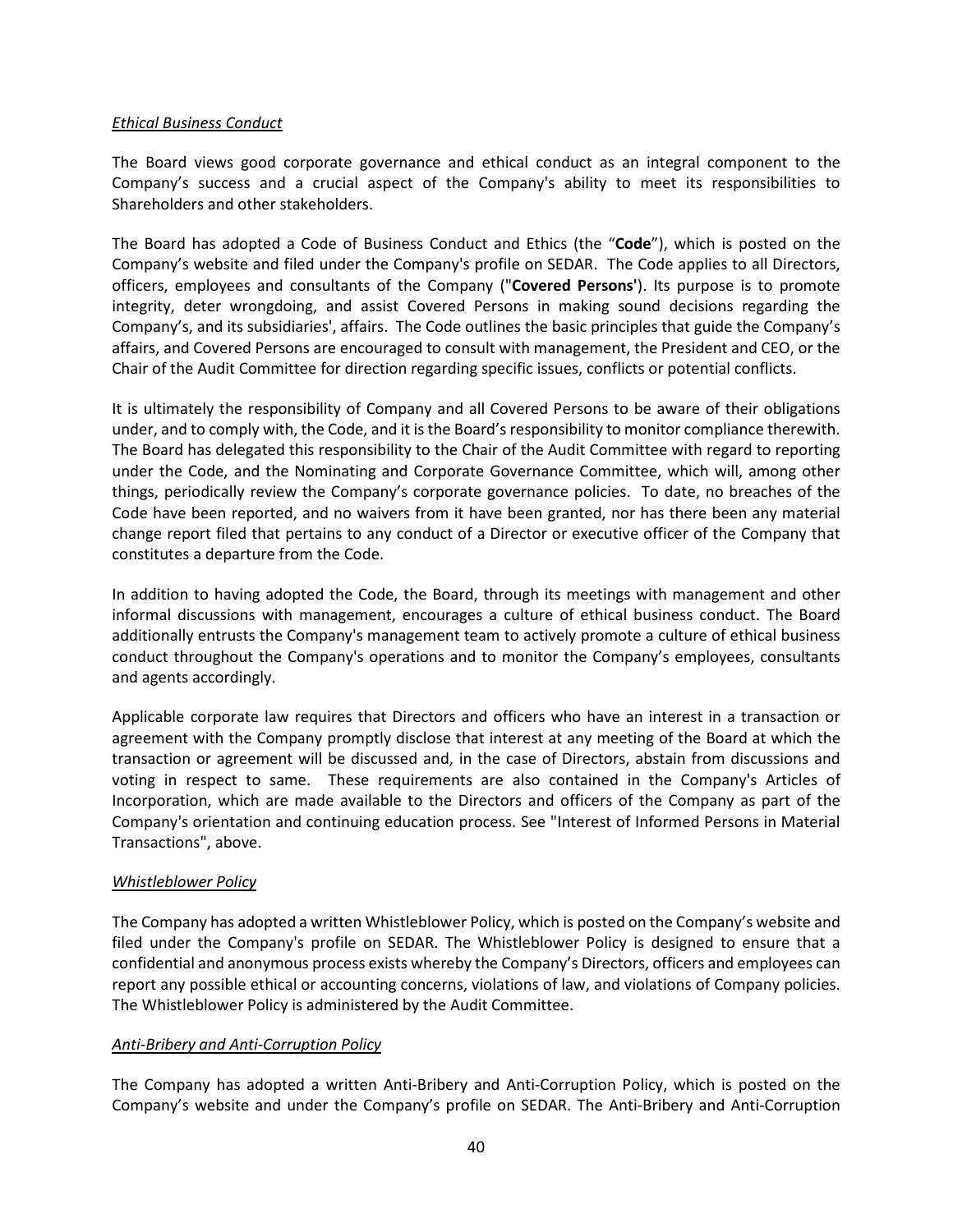## *Ethical Business Conduct*

The Board views good corporate governance and ethical conduct as an integral component to the Company's success and a crucial aspect of the Company's ability to meet its responsibilities to Shareholders and other stakeholders.

The Board has adopted a Code of Business Conduct and Ethics (the "**Code**"), which is posted on the Company's website and filed under the Company's profile on SEDAR. The Code applies to all Directors, officers, employees and consultants of the Company ("**Covered Persons'**). Its purpose is to promote integrity, deter wrongdoing, and assist Covered Persons in making sound decisions regarding the Company's, and its subsidiaries', affairs. The Code outlines the basic principles that guide the Company's affairs, and Covered Persons are encouraged to consult with management, the President and CEO, or the Chair of the Audit Committee for direction regarding specific issues, conflicts or potential conflicts.

It is ultimately the responsibility of Company and all Covered Persons to be aware of their obligations under, and to comply with, the Code, and it is the Board's responsibility to monitor compliance therewith. The Board has delegated this responsibility to the Chair of the Audit Committee with regard to reporting under the Code, and the Nominating and Corporate Governance Committee, which will, among other things, periodically review the Company's corporate governance policies. To date, no breaches of the Code have been reported, and no waivers from it have been granted, nor has there been any material change report filed that pertains to any conduct of a Director or executive officer of the Company that constitutes a departure from the Code.

In addition to having adopted the Code, the Board, through its meetings with management and other informal discussions with management, encourages a culture of ethical business conduct. The Board additionally entrusts the Company's management team to actively promote a culture of ethical business conduct throughout the Company's operations and to monitor the Company's employees, consultants and agents accordingly.

Applicable corporate law requires that Directors and officers who have an interest in a transaction or agreement with the Company promptly disclose that interest at any meeting of the Board at which the transaction or agreement will be discussed and, in the case of Directors, abstain from discussions and voting in respect to same. These requirements are also contained in the Company's Articles of Incorporation, which are made available to the Directors and officers of the Company as part of the Company's orientation and continuing education process. See "Interest of Informed Persons in Material Transactions", above.

## *Whistleblower Policy*

The Company has adopted a written Whistleblower Policy, which is posted on the Company's website and filed under the Company's profile on SEDAR. The Whistleblower Policy is designed to ensure that a confidential and anonymous process exists whereby the Company's Directors, officers and employees can report any possible ethical or accounting concerns, violations of law, and violations of Company policies. The Whistleblower Policy is administered by the Audit Committee.

## *Anti-Bribery and Anti-Corruption Policy*

The Company has adopted a written Anti-Bribery and Anti-Corruption Policy, which is posted on the Company's website and under the Company's profile on SEDAR. The Anti-Bribery and Anti-Corruption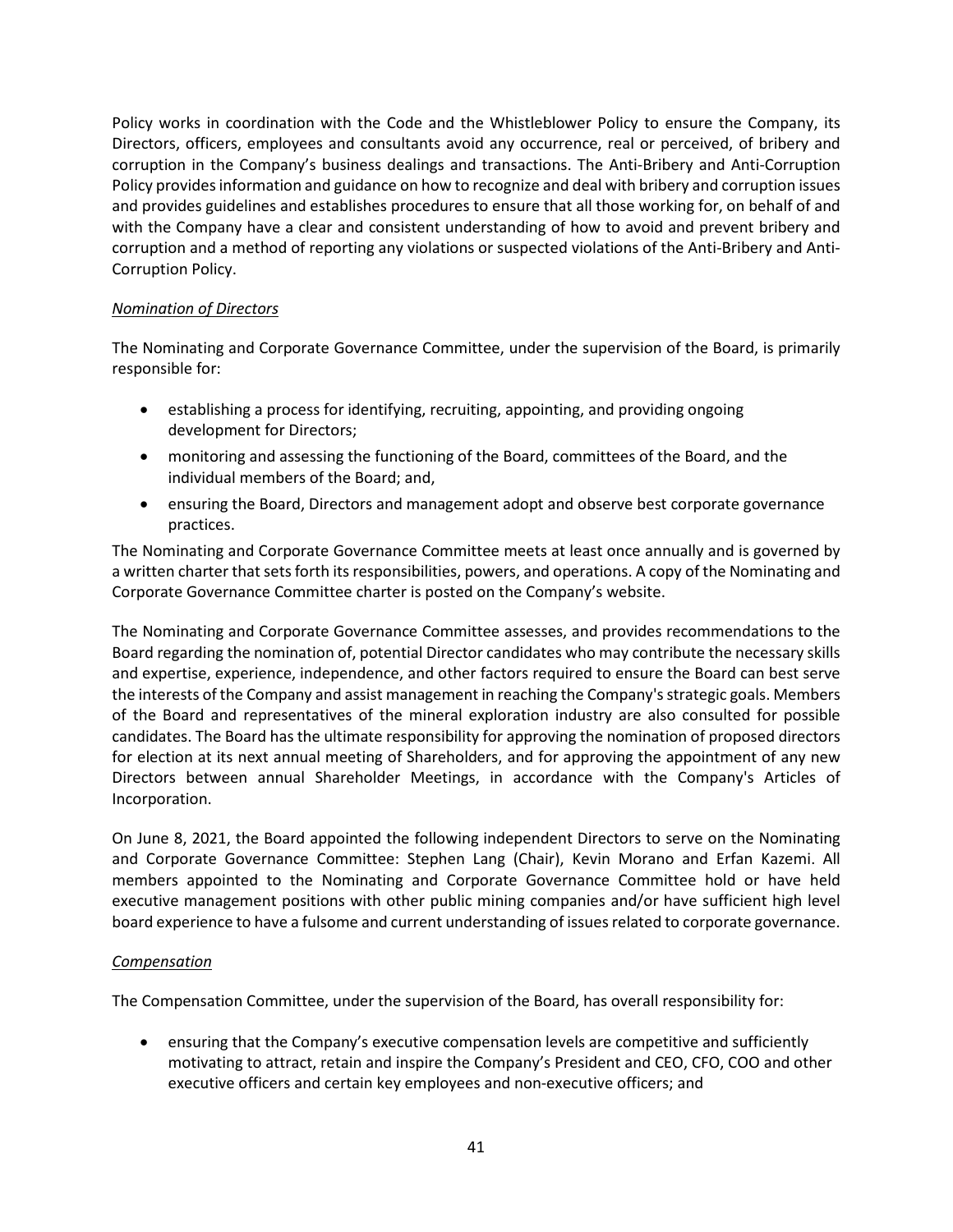Policy works in coordination with the Code and the Whistleblower Policy to ensure the Company, its Directors, officers, employees and consultants avoid any occurrence, real or perceived, of bribery and corruption in the Company's business dealings and transactions. The Anti-Bribery and Anti-Corruption Policy provides information and guidance on how to recognize and deal with bribery and corruption issues and provides guidelines and establishes procedures to ensure that all those working for, on behalf of and with the Company have a clear and consistent understanding of how to avoid and prevent bribery and corruption and a method of reporting any violations or suspected violations of the Anti-Bribery and Anti-Corruption Policy.

# *Nomination of Directors*

The Nominating and Corporate Governance Committee, under the supervision of the Board, is primarily responsible for:

- establishing a process for identifying, recruiting, appointing, and providing ongoing development for Directors;
- monitoring and assessing the functioning of the Board, committees of the Board, and the individual members of the Board; and,
- ensuring the Board, Directors and management adopt and observe best corporate governance practices.

The Nominating and Corporate Governance Committee meets at least once annually and is governed by a written charter that sets forth its responsibilities, powers, and operations. A copy of the Nominating and Corporate Governance Committee charter is posted on the Company's website.

The Nominating and Corporate Governance Committee assesses, and provides recommendations to the Board regarding the nomination of, potential Director candidates who may contribute the necessary skills and expertise, experience, independence, and other factors required to ensure the Board can best serve the interests of the Company and assist management in reaching the Company's strategic goals. Members of the Board and representatives of the mineral exploration industry are also consulted for possible candidates. The Board has the ultimate responsibility for approving the nomination of proposed directors for election at its next annual meeting of Shareholders, and for approving the appointment of any new Directors between annual Shareholder Meetings, in accordance with the Company's Articles of Incorporation.

On June 8, 2021, the Board appointed the following independent Directors to serve on the Nominating and Corporate Governance Committee: Stephen Lang (Chair), Kevin Morano and Erfan Kazemi. All members appointed to the Nominating and Corporate Governance Committee hold or have held executive management positions with other public mining companies and/or have sufficient high level board experience to have a fulsome and current understanding of issues related to corporate governance.

## *Compensation*

The Compensation Committee, under the supervision of the Board, has overall responsibility for:

• ensuring that the Company's executive compensation levels are competitive and sufficiently motivating to attract, retain and inspire the Company's President and CEO, CFO, COO and other executive officers and certain key employees and non-executive officers; and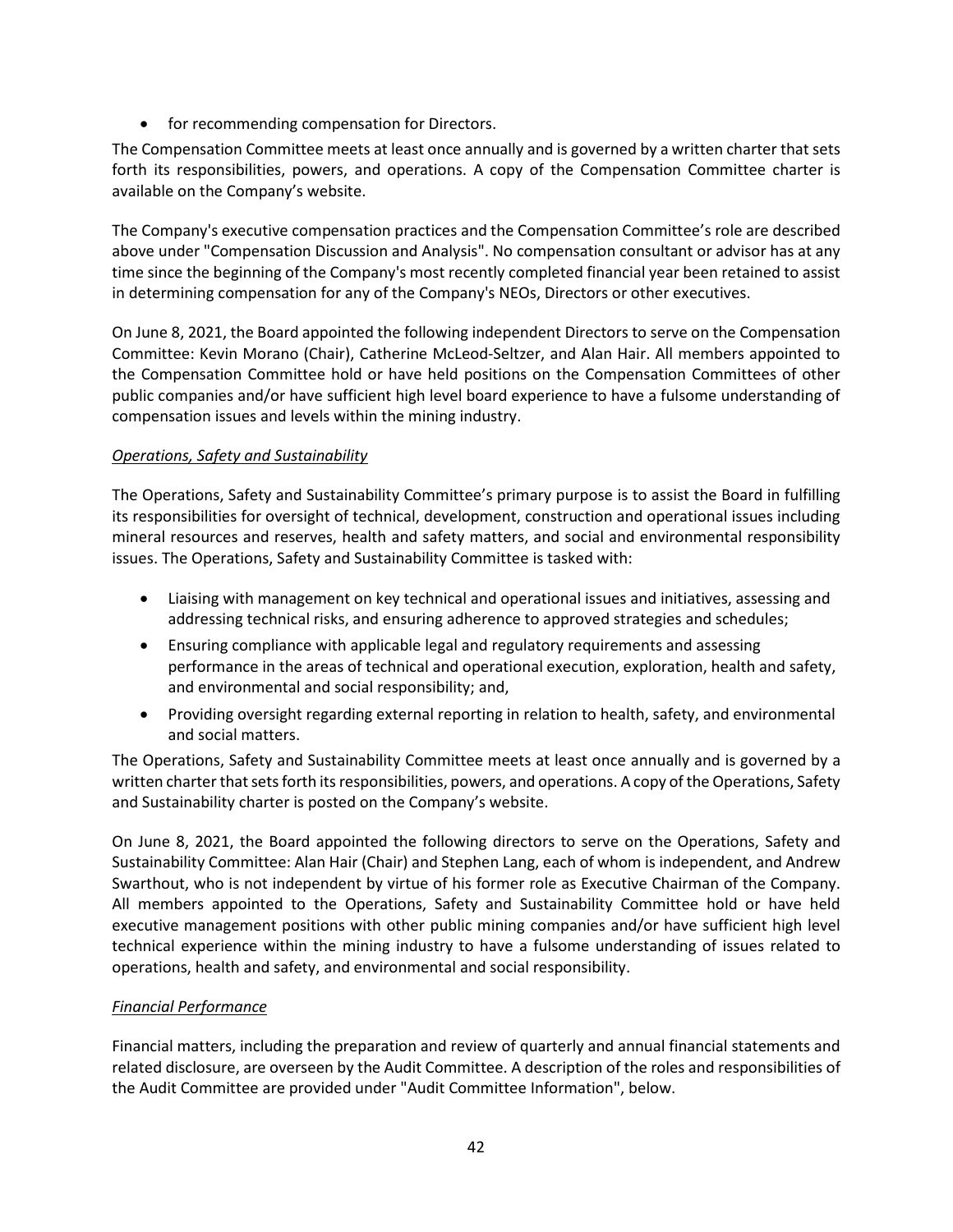• for recommending compensation for Directors.

The Compensation Committee meets at least once annually and is governed by a written charter that sets forth its responsibilities, powers, and operations. A copy of the Compensation Committee charter is available on the Company's website.

The Company's executive compensation practices and the Compensation Committee's role are described above under "Compensation Discussion and Analysis". No compensation consultant or advisor has at any time since the beginning of the Company's most recently completed financial year been retained to assist in determining compensation for any of the Company's NEOs, Directors or other executives.

On June 8, 2021, the Board appointed the following independent Directors to serve on the Compensation Committee: Kevin Morano (Chair), Catherine McLeod-Seltzer, and Alan Hair. All members appointed to the Compensation Committee hold or have held positions on the Compensation Committees of other public companies and/or have sufficient high level board experience to have a fulsome understanding of compensation issues and levels within the mining industry.

# *Operations, Safety and Sustainability*

The Operations, Safety and Sustainability Committee's primary purpose is to assist the Board in fulfilling its responsibilities for oversight of technical, development, construction and operational issues including mineral resources and reserves, health and safety matters, and social and environmental responsibility issues. The Operations, Safety and Sustainability Committee is tasked with:

- Liaising with management on key technical and operational issues and initiatives, assessing and addressing technical risks, and ensuring adherence to approved strategies and schedules;
- Ensuring compliance with applicable legal and regulatory requirements and assessing performance in the areas of technical and operational execution, exploration, health and safety, and environmental and social responsibility; and,
- Providing oversight regarding external reporting in relation to health, safety, and environmental and social matters.

The Operations, Safety and Sustainability Committee meets at least once annually and is governed by a written charter that sets forth its responsibilities, powers, and operations. A copy of the Operations, Safety and Sustainability charter is posted on the Company's website.

On June 8, 2021, the Board appointed the following directors to serve on the Operations, Safety and Sustainability Committee: Alan Hair (Chair) and Stephen Lang, each of whom is independent, and Andrew Swarthout, who is not independent by virtue of his former role as Executive Chairman of the Company. All members appointed to the Operations, Safety and Sustainability Committee hold or have held executive management positions with other public mining companies and/or have sufficient high level technical experience within the mining industry to have a fulsome understanding of issues related to operations, health and safety, and environmental and social responsibility.

## *Financial Performance*

Financial matters, including the preparation and review of quarterly and annual financial statements and related disclosure, are overseen by the Audit Committee. A description of the roles and responsibilities of the Audit Committee are provided under "Audit Committee Information", below.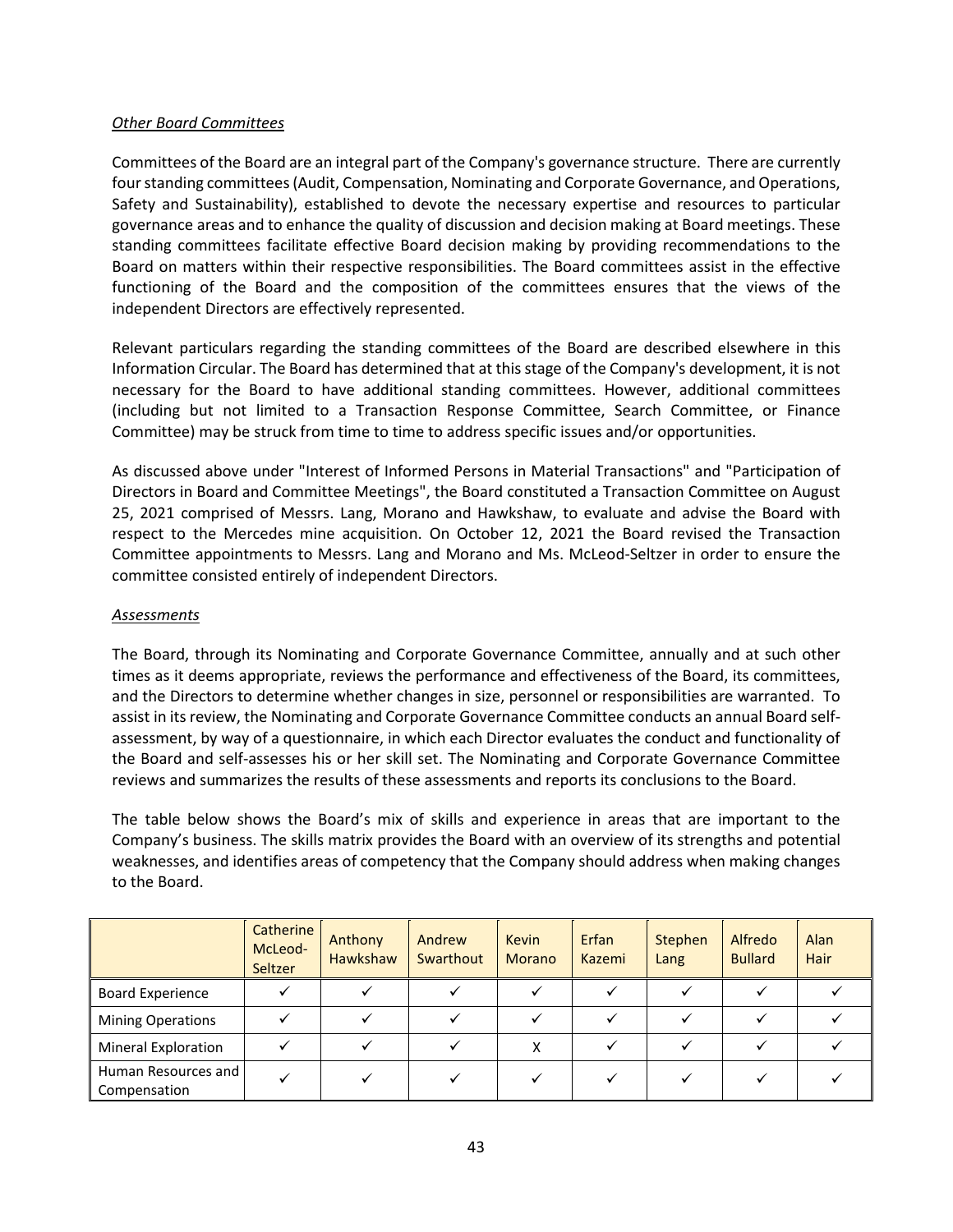#### *Other Board Committees*

Committees of the Board are an integral part of the Company's governance structure. There are currently four standing committees (Audit, Compensation, Nominating and Corporate Governance, and Operations, Safety and Sustainability), established to devote the necessary expertise and resources to particular governance areas and to enhance the quality of discussion and decision making at Board meetings. These standing committees facilitate effective Board decision making by providing recommendations to the Board on matters within their respective responsibilities. The Board committees assist in the effective functioning of the Board and the composition of the committees ensures that the views of the independent Directors are effectively represented.

Relevant particulars regarding the standing committees of the Board are described elsewhere in this Information Circular. The Board has determined that at this stage of the Company's development, it is not necessary for the Board to have additional standing committees. However, additional committees (including but not limited to a Transaction Response Committee, Search Committee, or Finance Committee) may be struck from time to time to address specific issues and/or opportunities.

As discussed above under "Interest of Informed Persons in Material Transactions" and "Participation of Directors in Board and Committee Meetings", the Board constituted a Transaction Committee on August 25, 2021 comprised of Messrs. Lang, Morano and Hawkshaw, to evaluate and advise the Board with respect to the Mercedes mine acquisition. On October 12, 2021 the Board revised the Transaction Committee appointments to Messrs. Lang and Morano and Ms. McLeod-Seltzer in order to ensure the committee consisted entirely of independent Directors.

## *Assessments*

The Board, through its Nominating and Corporate Governance Committee, annually and at such other times as it deems appropriate, reviews the performance and effectiveness of the Board, its committees, and the Directors to determine whether changes in size, personnel or responsibilities are warranted. To assist in its review, the Nominating and Corporate Governance Committee conducts an annual Board selfassessment, by way of a questionnaire, in which each Director evaluates the conduct and functionality of the Board and self-assesses his or her skill set. The Nominating and Corporate Governance Committee reviews and summarizes the results of these assessments and reports its conclusions to the Board.

The table below shows the Board's mix of skills and experience in areas that are important to the Company's business. The skills matrix provides the Board with an overview of its strengths and potential weaknesses, and identifies areas of competency that the Company should address when making changes to the Board.

|                                     | <b>Catherine</b><br>McLeod-<br>Seltzer | Anthony<br>Hawkshaw | Andrew<br>Swarthout | <b>Kevin</b><br><b>Morano</b> | Erfan<br>Kazemi | Stephen<br>Lang | Alfredo<br><b>Bullard</b> | <b>Alan</b><br><b>Hair</b> |
|-------------------------------------|----------------------------------------|---------------------|---------------------|-------------------------------|-----------------|-----------------|---------------------------|----------------------------|
| <b>Board Experience</b>             |                                        |                     |                     |                               |                 |                 |                           |                            |
| <b>Mining Operations</b>            |                                        |                     |                     |                               |                 |                 |                           |                            |
| <b>Mineral Exploration</b>          |                                        |                     |                     | X                             |                 |                 |                           |                            |
| Human Resources and<br>Compensation |                                        |                     |                     |                               |                 |                 |                           |                            |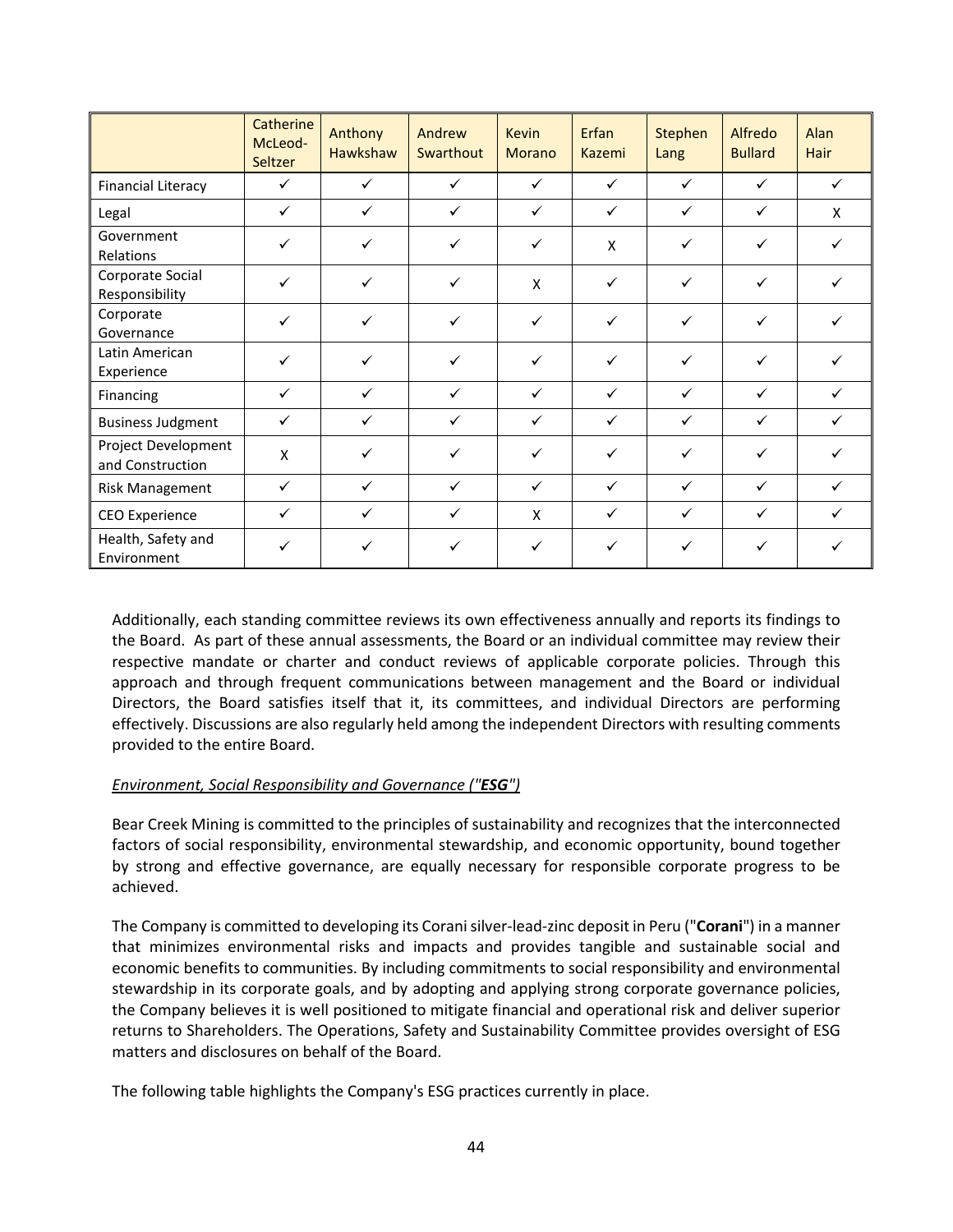|                                         | Catherine<br>McLeod-<br>Seltzer | Anthony<br>Hawkshaw | Andrew<br>Swarthout | <b>Kevin</b><br>Morano | Erfan<br>Kazemi | Stephen<br>Lang | Alfredo<br><b>Bullard</b> | Alan<br>Hair |
|-----------------------------------------|---------------------------------|---------------------|---------------------|------------------------|-----------------|-----------------|---------------------------|--------------|
| <b>Financial Literacy</b>               | $\checkmark$                    | $\checkmark$        | $\checkmark$        | $\checkmark$           | $\checkmark$    | $\checkmark$    | $\checkmark$              | $\checkmark$ |
| Legal                                   | $\checkmark$                    | $\checkmark$        | $\checkmark$        | $\checkmark$           | $\checkmark$    | $\checkmark$    | $\checkmark$              | X            |
| Government<br>Relations                 | $\checkmark$                    | $\checkmark$        | $\checkmark$        | $\checkmark$           | X               | $\checkmark$    | $\checkmark$              | ✓            |
| Corporate Social<br>Responsibility      | $\checkmark$                    | $\checkmark$        | $\checkmark$        | X                      | $\checkmark$    | $\checkmark$    | $\checkmark$              |              |
| Corporate<br>Governance                 | $\checkmark$                    | $\checkmark$        | $\checkmark$        | $\checkmark$           | $\checkmark$    | $\checkmark$    | $\checkmark$              | ✓            |
| Latin American<br>Experience            | $\checkmark$                    | $\checkmark$        | $\checkmark$        | $\checkmark$           | $\checkmark$    | $\checkmark$    | $\checkmark$              |              |
| Financing                               | $\checkmark$                    | $\checkmark$        | $\checkmark$        | $\checkmark$           | $\checkmark$    | $\checkmark$    | $\checkmark$              | ✓            |
| <b>Business Judgment</b>                | $\checkmark$                    | $\checkmark$        | $\checkmark$        | $\checkmark$           | $\checkmark$    | $\checkmark$    | $\checkmark$              | $\checkmark$ |
| Project Development<br>and Construction | X                               | $\checkmark$        | ✓                   | $\checkmark$           | $\checkmark$    | $\checkmark$    | $\checkmark$              |              |
| <b>Risk Management</b>                  | $\checkmark$                    | $\checkmark$        | $\checkmark$        | $\checkmark$           | $\checkmark$    | $\checkmark$    | $\checkmark$              | ✓            |
| <b>CEO</b> Experience                   | $\checkmark$                    | ✓                   | ✓                   | X                      | $\checkmark$    | ✓               | $\checkmark$              |              |
| Health, Safety and<br>Environment       | ✓                               | $\checkmark$        | $\checkmark$        | $\checkmark$           | $\checkmark$    | $\checkmark$    | $\checkmark$              |              |

Additionally, each standing committee reviews its own effectiveness annually and reports its findings to the Board. As part of these annual assessments, the Board or an individual committee may review their respective mandate or charter and conduct reviews of applicable corporate policies. Through this approach and through frequent communications between management and the Board or individual Directors, the Board satisfies itself that it, its committees, and individual Directors are performing effectively. Discussions are also regularly held among the independent Directors with resulting comments provided to the entire Board.

## *Environment, Social Responsibility and Governance ("ESG")*

Bear Creek Mining is committed to the principles of sustainability and recognizes that the interconnected factors of social responsibility, environmental stewardship, and economic opportunity, bound together by strong and effective governance, are equally necessary for responsible corporate progress to be achieved.

The Company is committed to developing its Corani silver-lead-zinc deposit in Peru ("**Corani**") in a manner that minimizes environmental risks and impacts and provides tangible and sustainable social and economic benefits to communities. By including commitments to social responsibility and environmental stewardship in its corporate goals, and by adopting and applying strong corporate governance policies, the Company believes it is well positioned to mitigate financial and operational risk and deliver superior returns to Shareholders. The Operations, Safety and Sustainability Committee provides oversight of ESG matters and disclosures on behalf of the Board.

The following table highlights the Company's ESG practices currently in place.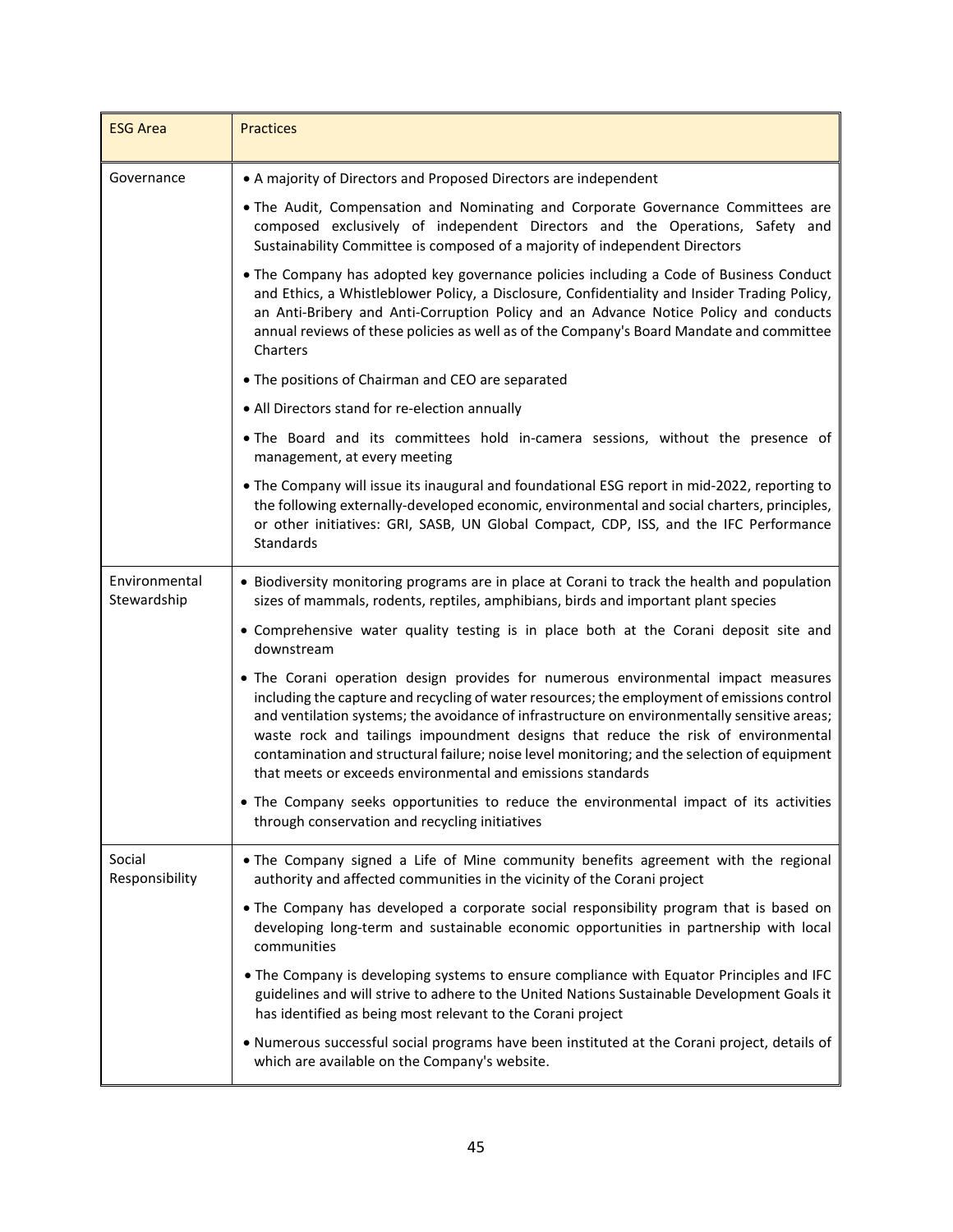| <b>ESG Area</b>              | <b>Practices</b>                                                                                                                                                                                                                                                                                                                                                                                                                                                                                                                     |
|------------------------------|--------------------------------------------------------------------------------------------------------------------------------------------------------------------------------------------------------------------------------------------------------------------------------------------------------------------------------------------------------------------------------------------------------------------------------------------------------------------------------------------------------------------------------------|
| Governance                   | • A majority of Directors and Proposed Directors are independent                                                                                                                                                                                                                                                                                                                                                                                                                                                                     |
|                              | . The Audit, Compensation and Nominating and Corporate Governance Committees are<br>composed exclusively of independent Directors and the Operations, Safety and<br>Sustainability Committee is composed of a majority of independent Directors                                                                                                                                                                                                                                                                                      |
|                              | • The Company has adopted key governance policies including a Code of Business Conduct<br>and Ethics, a Whistleblower Policy, a Disclosure, Confidentiality and Insider Trading Policy,<br>an Anti-Bribery and Anti-Corruption Policy and an Advance Notice Policy and conducts<br>annual reviews of these policies as well as of the Company's Board Mandate and committee<br>Charters                                                                                                                                              |
|                              | • The positions of Chairman and CEO are separated                                                                                                                                                                                                                                                                                                                                                                                                                                                                                    |
|                              | • All Directors stand for re-election annually                                                                                                                                                                                                                                                                                                                                                                                                                                                                                       |
|                              | . The Board and its committees hold in-camera sessions, without the presence of<br>management, at every meeting                                                                                                                                                                                                                                                                                                                                                                                                                      |
|                              | • The Company will issue its inaugural and foundational ESG report in mid-2022, reporting to<br>the following externally-developed economic, environmental and social charters, principles,<br>or other initiatives: GRI, SASB, UN Global Compact, CDP, ISS, and the IFC Performance<br>Standards                                                                                                                                                                                                                                    |
| Environmental<br>Stewardship | • Biodiversity monitoring programs are in place at Corani to track the health and population<br>sizes of mammals, rodents, reptiles, amphibians, birds and important plant species                                                                                                                                                                                                                                                                                                                                                   |
|                              | • Comprehensive water quality testing is in place both at the Corani deposit site and<br>downstream                                                                                                                                                                                                                                                                                                                                                                                                                                  |
|                              | . The Corani operation design provides for numerous environmental impact measures<br>including the capture and recycling of water resources; the employment of emissions control<br>and ventilation systems; the avoidance of infrastructure on environmentally sensitive areas;<br>waste rock and tailings impoundment designs that reduce the risk of environmental<br>contamination and structural failure; noise level monitoring; and the selection of equipment<br>that meets or exceeds environmental and emissions standards |
|                              | . The Company seeks opportunities to reduce the environmental impact of its activities<br>through conservation and recycling initiatives                                                                                                                                                                                                                                                                                                                                                                                             |
| Social<br>Responsibility     | . The Company signed a Life of Mine community benefits agreement with the regional<br>authority and affected communities in the vicinity of the Corani project                                                                                                                                                                                                                                                                                                                                                                       |
|                              | . The Company has developed a corporate social responsibility program that is based on<br>developing long-term and sustainable economic opportunities in partnership with local<br>communities                                                                                                                                                                                                                                                                                                                                       |
|                              | . The Company is developing systems to ensure compliance with Equator Principles and IFC<br>guidelines and will strive to adhere to the United Nations Sustainable Development Goals it<br>has identified as being most relevant to the Corani project                                                                                                                                                                                                                                                                               |
|                              | . Numerous successful social programs have been instituted at the Corani project, details of<br>which are available on the Company's website.                                                                                                                                                                                                                                                                                                                                                                                        |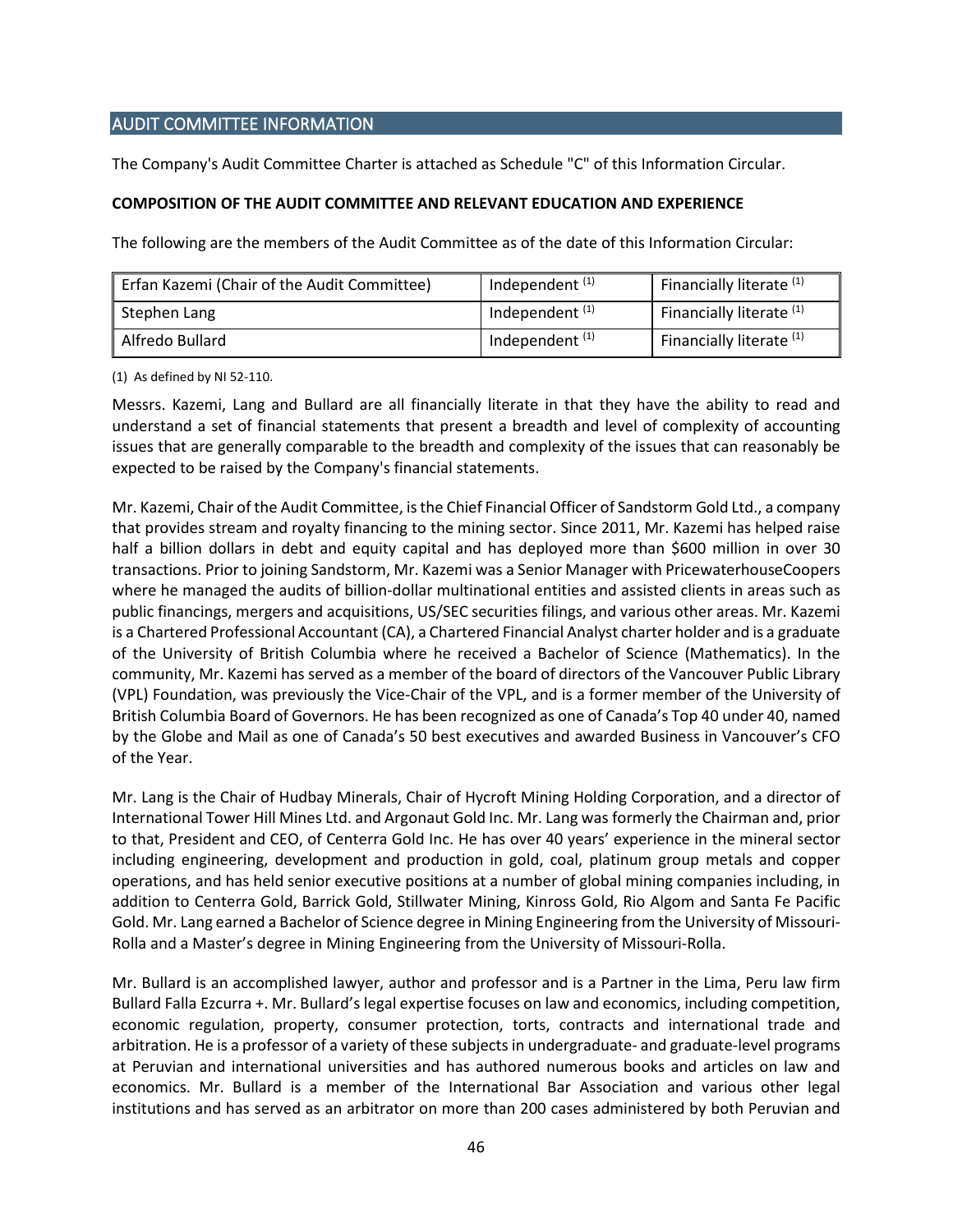# <span id="page-45-0"></span>AUDIT COMMITTEE INFORMATION

The Company's Audit Committee Charter is attached as Schedule "C" of this Information Circular.

## <span id="page-45-1"></span>**COMPOSITION OF THE AUDIT COMMITTEE AND RELEVANT EDUCATION AND EXPERIENCE**

The following are the members of the Audit Committee as of the date of this Information Circular:

| Erfan Kazemi (Chair of the Audit Committee) | Independent <sup>(1)</sup> | Financially literate (1)            |
|---------------------------------------------|----------------------------|-------------------------------------|
| Stephen Lang                                | Independent $(1)$          | Financially literate <sup>(1)</sup> |
| Alfredo Bullard                             | Independent $(1)$          | Financially literate <sup>(1)</sup> |

(1) As defined by NI 52-110.

Messrs. Kazemi, Lang and Bullard are all financially literate in that they have the ability to read and understand a set of financial statements that present a breadth and level of complexity of accounting issues that are generally comparable to the breadth and complexity of the issues that can reasonably be expected to be raised by the Company's financial statements.

Mr. Kazemi, Chair of the Audit Committee, is the Chief Financial Officer of Sandstorm Gold Ltd., a company that provides stream and royalty financing to the mining sector. Since 2011, Mr. Kazemi has helped raise half a billion dollars in debt and equity capital and has deployed more than \$600 million in over 30 transactions. Prior to joining Sandstorm, Mr. Kazemi was a Senior Manager with PricewaterhouseCoopers where he managed the audits of billion-dollar multinational entities and assisted clients in areas such as public financings, mergers and acquisitions, US/SEC securities filings, and various other areas. Mr. Kazemi is a Chartered Professional Accountant (CA), a Chartered Financial Analyst charter holder and is a graduate of the University of British Columbia where he received a Bachelor of Science (Mathematics). In the community, Mr. Kazemi has served as a member of the board of directors of the Vancouver Public Library (VPL) Foundation, was previously the Vice-Chair of the VPL, and is a former member of the University of British Columbia Board of Governors. He has been recognized as one of Canada's Top 40 under 40, named by the Globe and Mail as one of Canada's 50 best executives and awarded Business in Vancouver's CFO of the Year.

Mr. Lang is the Chair of Hudbay Minerals, Chair of Hycroft Mining Holding Corporation, and a director of International Tower Hill Mines Ltd. and Argonaut Gold Inc. Mr. Lang was formerly the Chairman and, prior to that, President and CEO, of Centerra Gold Inc. He has over 40 years' experience in the mineral sector including engineering, development and production in gold, coal, platinum group metals and copper operations, and has held senior executive positions at a number of global mining companies including, in addition to Centerra Gold, Barrick Gold, Stillwater Mining, Kinross Gold, Rio Algom and Santa Fe Pacific Gold. Mr. Lang earned a Bachelor of Science degree in Mining Engineering from the University of Missouri-Rolla and a Master's degree in Mining Engineering from the University of Missouri-Rolla.

Mr. Bullard is an accomplished lawyer, author and professor and is a Partner in the Lima, Peru law firm Bullard Falla Ezcurra +. Mr. Bullard's legal expertise focuses on law and economics, including competition, economic regulation, property, consumer protection, torts, contracts and international trade and arbitration. He is a professor of a variety of these subjects in undergraduate- and graduate-level programs at Peruvian and international universities and has authored numerous books and articles on law and economics. Mr. Bullard is a member of the International Bar Association and various other legal institutions and has served as an arbitrator on more than 200 cases administered by both Peruvian and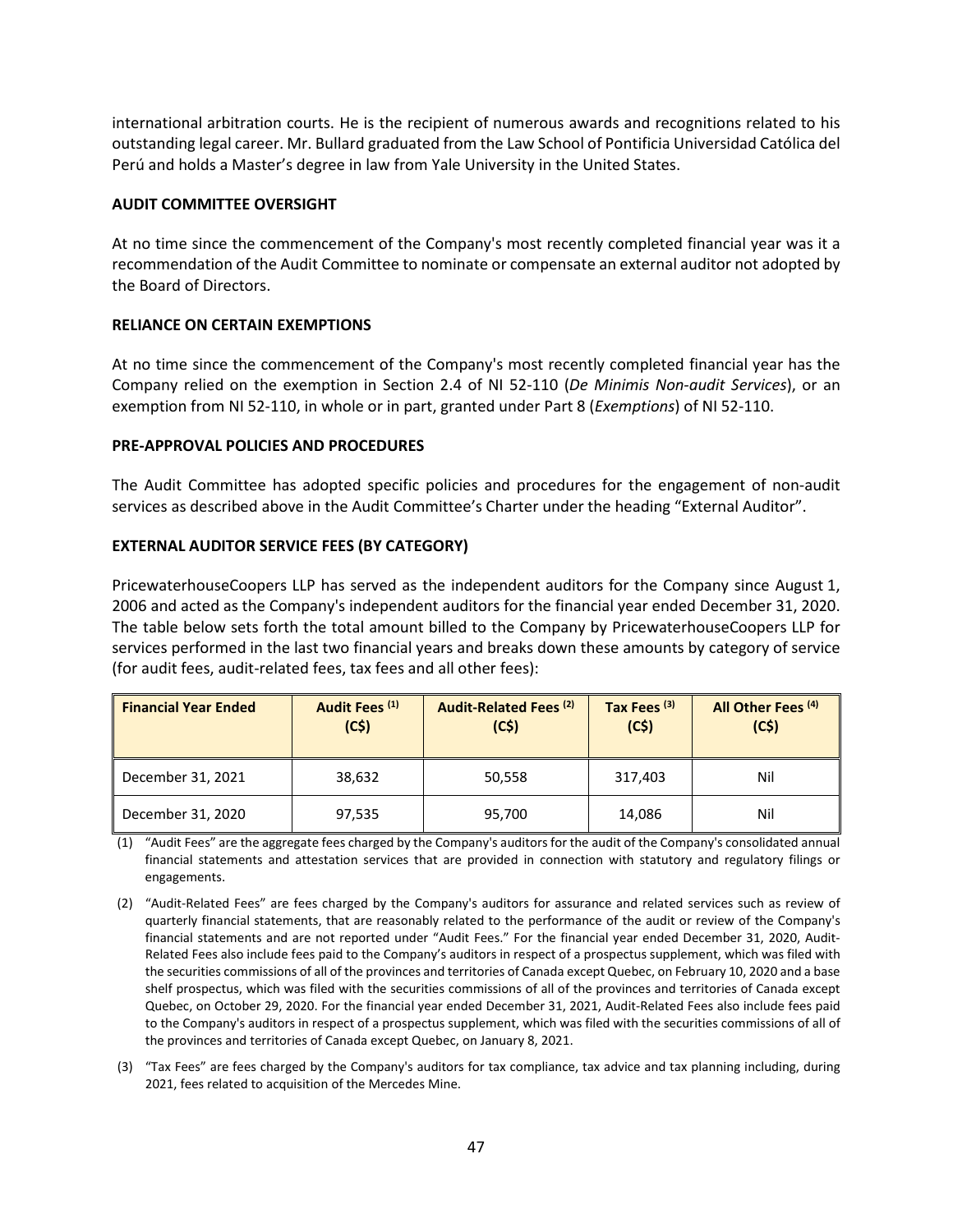international arbitration courts. He is the recipient of numerous awards and recognitions related to his outstanding legal career. Mr. Bullard graduated from the Law School of Pontificia Universidad Católica del Perú and holds a Master's degree in law from Yale University in the United States.

## <span id="page-46-0"></span>**AUDIT COMMITTEE OVERSIGHT**

At no time since the commencement of the Company's most recently completed financial year was it a recommendation of the Audit Committee to nominate or compensate an external auditor not adopted by the Board of Directors.

## <span id="page-46-1"></span>**RELIANCE ON CERTAIN EXEMPTIONS**

At no time since the commencement of the Company's most recently completed financial year has the Company relied on the exemption in Section 2.4 of NI 52-110 (*De Minimis Non-audit Services*), or an exemption from NI 52-110, in whole or in part, granted under Part 8 (*Exemptions*) of NI 52-110.

#### <span id="page-46-2"></span>**PRE-APPROVAL POLICIES AND PROCEDURES**

The Audit Committee has adopted specific policies and procedures for the engagement of non-audit services as described above in the Audit Committee's Charter under the heading "External Auditor".

#### <span id="page-46-3"></span>**EXTERNAL AUDITOR SERVICE FEES (BY CATEGORY)**

PricewaterhouseCoopers LLP has served as the independent auditors for the Company since August 1, 2006 and acted as the Company's independent auditors for the financial year ended December 31, 2020. The table below sets forth the total amount billed to the Company by PricewaterhouseCoopers LLP for services performed in the last two financial years and breaks down these amounts by category of service (for audit fees, audit-related fees, tax fees and all other fees):

| <b>Financial Year Ended</b> | Audit Fees <sup>(1)</sup><br>(C5) | Audit-Related Fees <sup>(2)</sup><br>(C5) | Tax Fees <sup>(3)</sup><br>(C5) | All Other Fees <sup>(4)</sup><br>(C5) |
|-----------------------------|-----------------------------------|-------------------------------------------|---------------------------------|---------------------------------------|
| December 31, 2021           | 38.632                            | 50,558                                    | 317,403                         | Nil                                   |
| December 31, 2020           | 97,535                            | 95,700                                    | 14,086                          | Nil                                   |

(1) "Audit Fees" are the aggregate fees charged by the Company's auditors for the audit of the Company's consolidated annual financial statements and attestation services that are provided in connection with statutory and regulatory filings or engagements.

- (2) "Audit-Related Fees" are fees charged by the Company's auditors for assurance and related services such as review of quarterly financial statements, that are reasonably related to the performance of the audit or review of the Company's financial statements and are not reported under "Audit Fees." For the financial year ended December 31, 2020, Audit-Related Fees also include fees paid to the Company's auditors in respect of a prospectus supplement, which was filed with the securities commissions of all of the provinces and territories of Canada except Quebec, on February 10, 2020 and a base shelf prospectus, which was filed with the securities commissions of all of the provinces and territories of Canada except Quebec, on October 29, 2020. For the financial year ended December 31, 2021, Audit-Related Fees also include fees paid to the Company's auditors in respect of a prospectus supplement, which was filed with the securities commissions of all of the provinces and territories of Canada except Quebec, on January 8, 2021.
- (3) "Tax Fees" are fees charged by the Company's auditors for tax compliance, tax advice and tax planning including, during 2021, fees related to acquisition of the Mercedes Mine.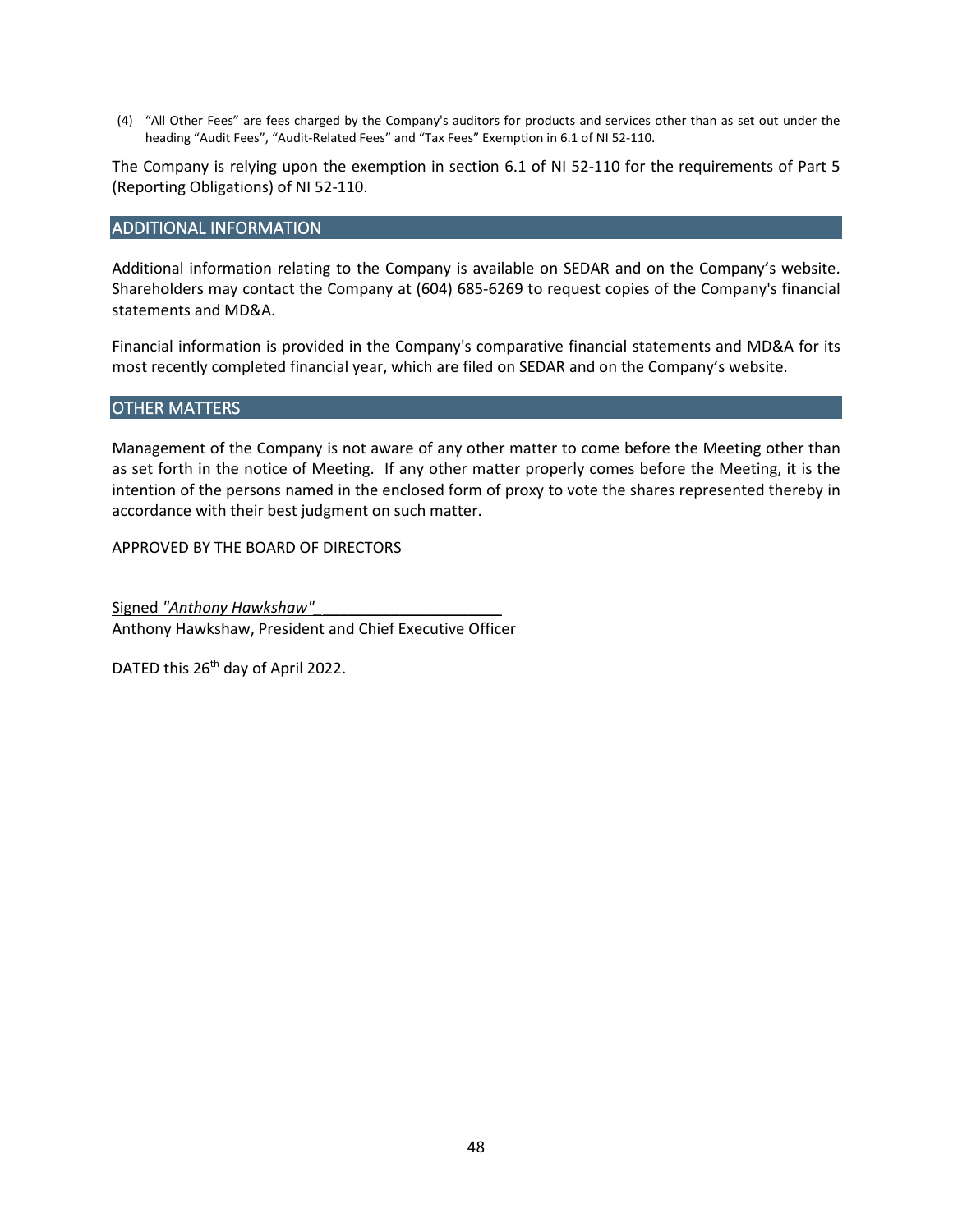(4) "All Other Fees" are fees charged by the Company's auditors for products and services other than as set out under the heading "Audit Fees", "Audit-Related Fees" and "Tax Fees" Exemption in 6.1 of NI 52-110.

The Company is relying upon the exemption in section 6.1 of NI 52-110 for the requirements of Part 5 (Reporting Obligations) of NI 52-110.

## <span id="page-47-0"></span>ADDITIONAL INFORMATION

Additional information relating to the Company is available on SEDAR and on the Company's website. Shareholders may contact the Company at (604) 685-6269 to request copies of the Company's financial statements and MD&A.

Financial information is provided in the Company's comparative financial statements and MD&A for its most recently completed financial year, which are filed on SEDAR and on the Company's website.

#### <span id="page-47-1"></span>OTHER MATTERS

Management of the Company is not aware of any other matter to come before the Meeting other than as set forth in the notice of Meeting. If any other matter properly comes before the Meeting, it is the intention of the persons named in the enclosed form of proxy to vote the shares represented thereby in accordance with their best judgment on such matter.

APPROVED BY THE BOARD OF DIRECTORS

Signed *"Anthony Hawkshaw"\_*\_\_\_\_\_\_\_\_\_\_\_\_\_\_\_\_\_\_\_\_\_ Anthony Hawkshaw, President and Chief Executive Officer

DATED this 26<sup>th</sup> day of April 2022.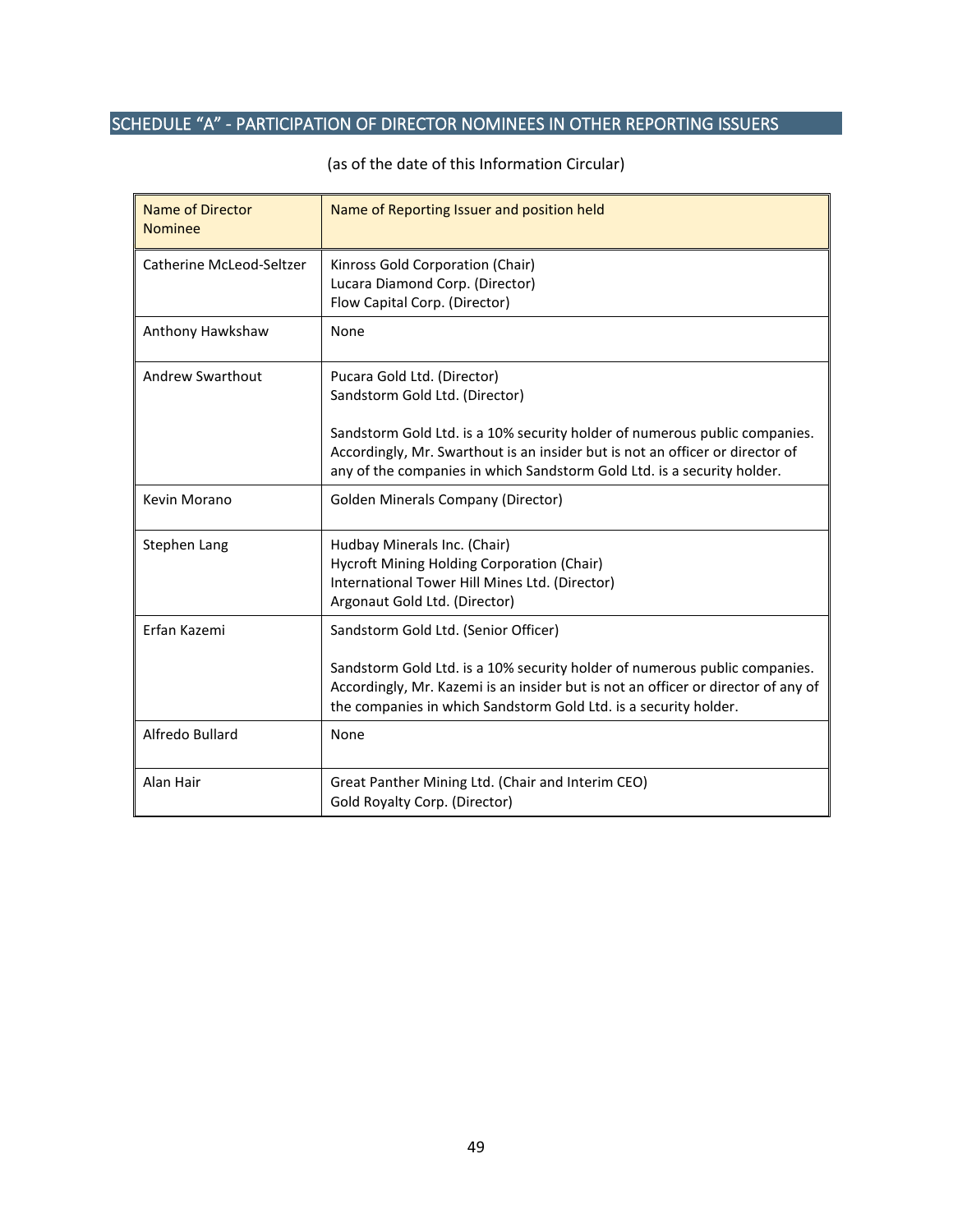# <span id="page-48-0"></span>SCHEDULE "A" - PARTICIPATION OF DIRECTOR NOMINEES IN OTHER REPORTING ISSUERS

| <b>Name of Director</b><br><b>Nominee</b> | Name of Reporting Issuer and position held                                                                                                                                                                                             |
|-------------------------------------------|----------------------------------------------------------------------------------------------------------------------------------------------------------------------------------------------------------------------------------------|
| Catherine McLeod-Seltzer                  | Kinross Gold Corporation (Chair)<br>Lucara Diamond Corp. (Director)<br>Flow Capital Corp. (Director)                                                                                                                                   |
| Anthony Hawkshaw                          | None                                                                                                                                                                                                                                   |
| Andrew Swarthout                          | Pucara Gold Ltd. (Director)<br>Sandstorm Gold Ltd. (Director)                                                                                                                                                                          |
|                                           | Sandstorm Gold Ltd. is a 10% security holder of numerous public companies.<br>Accordingly, Mr. Swarthout is an insider but is not an officer or director of<br>any of the companies in which Sandstorm Gold Ltd. is a security holder. |
| Kevin Morano                              | <b>Golden Minerals Company (Director)</b>                                                                                                                                                                                              |
| Stephen Lang                              | Hudbay Minerals Inc. (Chair)<br>Hycroft Mining Holding Corporation (Chair)<br>International Tower Hill Mines Ltd. (Director)<br>Argonaut Gold Ltd. (Director)                                                                          |
| Erfan Kazemi                              | Sandstorm Gold Ltd. (Senior Officer)                                                                                                                                                                                                   |
|                                           | Sandstorm Gold Ltd. is a 10% security holder of numerous public companies.<br>Accordingly, Mr. Kazemi is an insider but is not an officer or director of any of<br>the companies in which Sandstorm Gold Ltd. is a security holder.    |
| Alfredo Bullard                           | None                                                                                                                                                                                                                                   |
| Alan Hair                                 | Great Panther Mining Ltd. (Chair and Interim CEO)<br>Gold Royalty Corp. (Director)                                                                                                                                                     |

(as of the date of this Information Circular)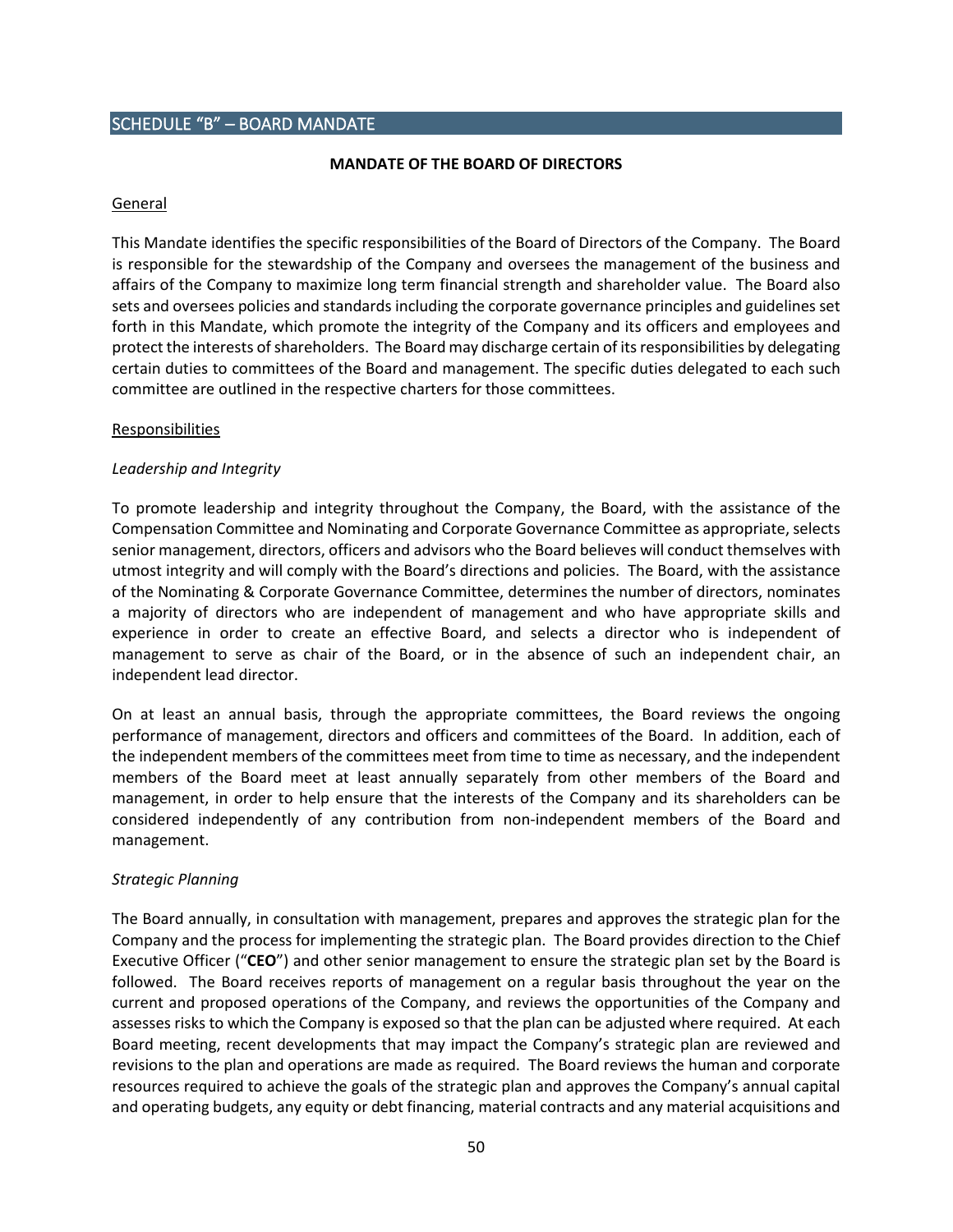# <span id="page-49-0"></span>SCHEDULE "B" – BOARD MANDATE

#### **MANDATE OF THE BOARD OF DIRECTORS**

#### General

This Mandate identifies the specific responsibilities of the Board of Directors of the Company. The Board is responsible for the stewardship of the Company and oversees the management of the business and affairs of the Company to maximize long term financial strength and shareholder value. The Board also sets and oversees policies and standards including the corporate governance principles and guidelines set forth in this Mandate, which promote the integrity of the Company and its officers and employees and protect the interests of shareholders. The Board may discharge certain of its responsibilities by delegating certain duties to committees of the Board and management. The specific duties delegated to each such committee are outlined in the respective charters for those committees.

#### Responsibilities

#### *Leadership and Integrity*

To promote leadership and integrity throughout the Company, the Board, with the assistance of the Compensation Committee and Nominating and Corporate Governance Committee as appropriate, selects senior management, directors, officers and advisors who the Board believes will conduct themselves with utmost integrity and will comply with the Board's directions and policies. The Board, with the assistance of the Nominating & Corporate Governance Committee, determines the number of directors, nominates a majority of directors who are independent of management and who have appropriate skills and experience in order to create an effective Board, and selects a director who is independent of management to serve as chair of the Board, or in the absence of such an independent chair, an independent lead director.

On at least an annual basis, through the appropriate committees, the Board reviews the ongoing performance of management, directors and officers and committees of the Board. In addition, each of the independent members of the committees meet from time to time as necessary, and the independent members of the Board meet at least annually separately from other members of the Board and management, in order to help ensure that the interests of the Company and its shareholders can be considered independently of any contribution from non-independent members of the Board and management.

#### *Strategic Planning*

The Board annually, in consultation with management, prepares and approves the strategic plan for the Company and the process for implementing the strategic plan. The Board provides direction to the Chief Executive Officer ("**CEO**") and other senior management to ensure the strategic plan set by the Board is followed. The Board receives reports of management on a regular basis throughout the year on the current and proposed operations of the Company, and reviews the opportunities of the Company and assesses risks to which the Company is exposed so that the plan can be adjusted where required. At each Board meeting, recent developments that may impact the Company's strategic plan are reviewed and revisions to the plan and operations are made as required. The Board reviews the human and corporate resources required to achieve the goals of the strategic plan and approves the Company's annual capital and operating budgets, any equity or debt financing, material contracts and any material acquisitions and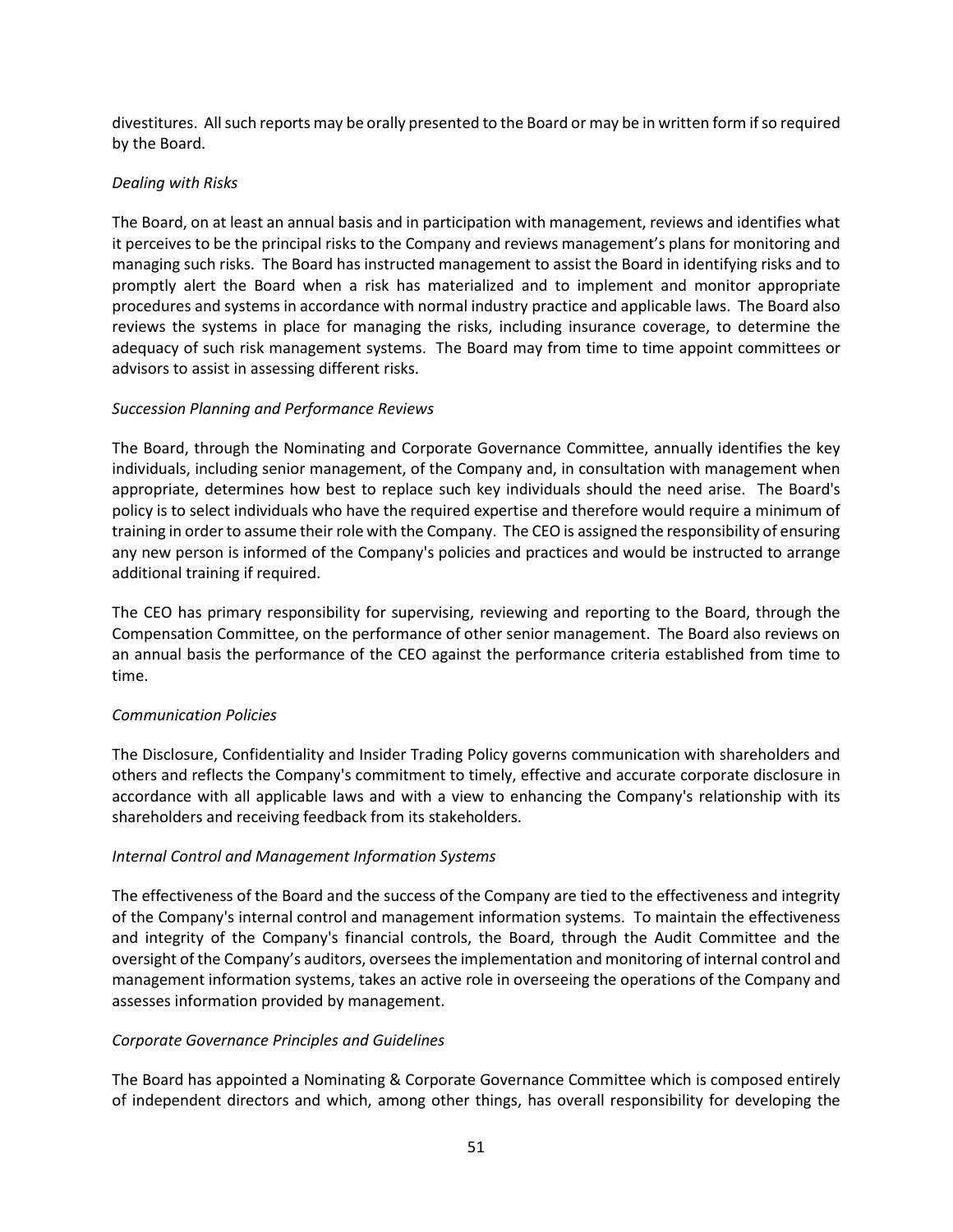divestitures. All such reports may be orally presented to the Board or may be in written form if so required by the Board.

# *Dealing with Risks*

The Board, on at least an annual basis and in participation with management, reviews and identifies what it perceives to be the principal risks to the Company and reviews management's plans for monitoring and managing such risks. The Board has instructed management to assist the Board in identifying risks and to promptly alert the Board when a risk has materialized and to implement and monitor appropriate procedures and systems in accordance with normal industry practice and applicable laws. The Board also reviews the systems in place for managing the risks, including insurance coverage, to determine the adequacy of such risk management systems. The Board may from time to time appoint committees or advisors to assist in assessing different risks.

# *Succession Planning and Performance Reviews*

The Board, through the Nominating and Corporate Governance Committee, annually identifies the key individuals, including senior management, of the Company and, in consultation with management when appropriate, determines how best to replace such key individuals should the need arise. The Board's policy is to select individuals who have the required expertise and therefore would require a minimum of training in order to assume their role with the Company. The CEO is assigned the responsibility of ensuring any new person is informed of the Company's policies and practices and would be instructed to arrange additional training if required.

The CEO has primary responsibility for supervising, reviewing and reporting to the Board, through the Compensation Committee, on the performance of other senior management. The Board also reviews on an annual basis the performance of the CEO against the performance criteria established from time to time.

# *Communication Policies*

The Disclosure, Confidentiality and Insider Trading Policy governs communication with shareholders and others and reflects the Company's commitment to timely, effective and accurate corporate disclosure in accordance with all applicable laws and with a view to enhancing the Company's relationship with its shareholders and receiving feedback from its stakeholders.

## *Internal Control and Management Information Systems*

The effectiveness of the Board and the success of the Company are tied to the effectiveness and integrity of the Company's internal control and management information systems. To maintain the effectiveness and integrity of the Company's financial controls, the Board, through the Audit Committee and the oversight of the Company's auditors, oversees the implementation and monitoring of internal control and management information systems, takes an active role in overseeing the operations of the Company and assesses information provided by management.

# *Corporate Governance Principles and Guidelines*

The Board has appointed a Nominating & Corporate Governance Committee which is composed entirely of independent directors and which, among other things, has overall responsibility for developing the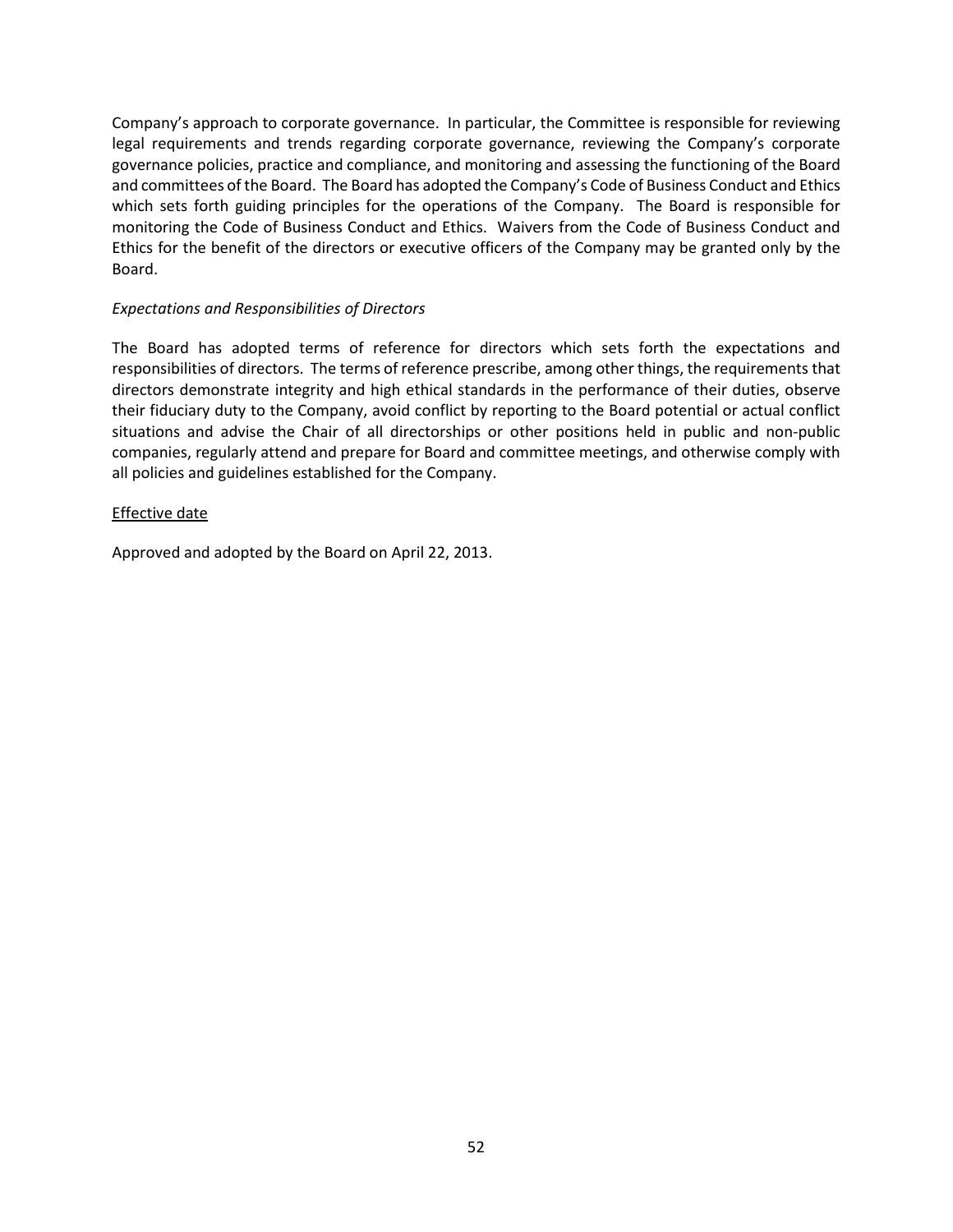Company's approach to corporate governance. In particular, the Committee is responsible for reviewing legal requirements and trends regarding corporate governance, reviewing the Company's corporate governance policies, practice and compliance, and monitoring and assessing the functioning of the Board and committees of the Board. The Board has adopted the Company's Code of Business Conduct and Ethics which sets forth guiding principles for the operations of the Company. The Board is responsible for monitoring the Code of Business Conduct and Ethics. Waivers from the Code of Business Conduct and Ethics for the benefit of the directors or executive officers of the Company may be granted only by the Board.

## *Expectations and Responsibilities of Directors*

The Board has adopted terms of reference for directors which sets forth the expectations and responsibilities of directors. The terms of reference prescribe, among other things, the requirements that directors demonstrate integrity and high ethical standards in the performance of their duties, observe their fiduciary duty to the Company, avoid conflict by reporting to the Board potential or actual conflict situations and advise the Chair of all directorships or other positions held in public and non-public companies, regularly attend and prepare for Board and committee meetings, and otherwise comply with all policies and guidelines established for the Company.

# Effective date

Approved and adopted by the Board on April 22, 2013.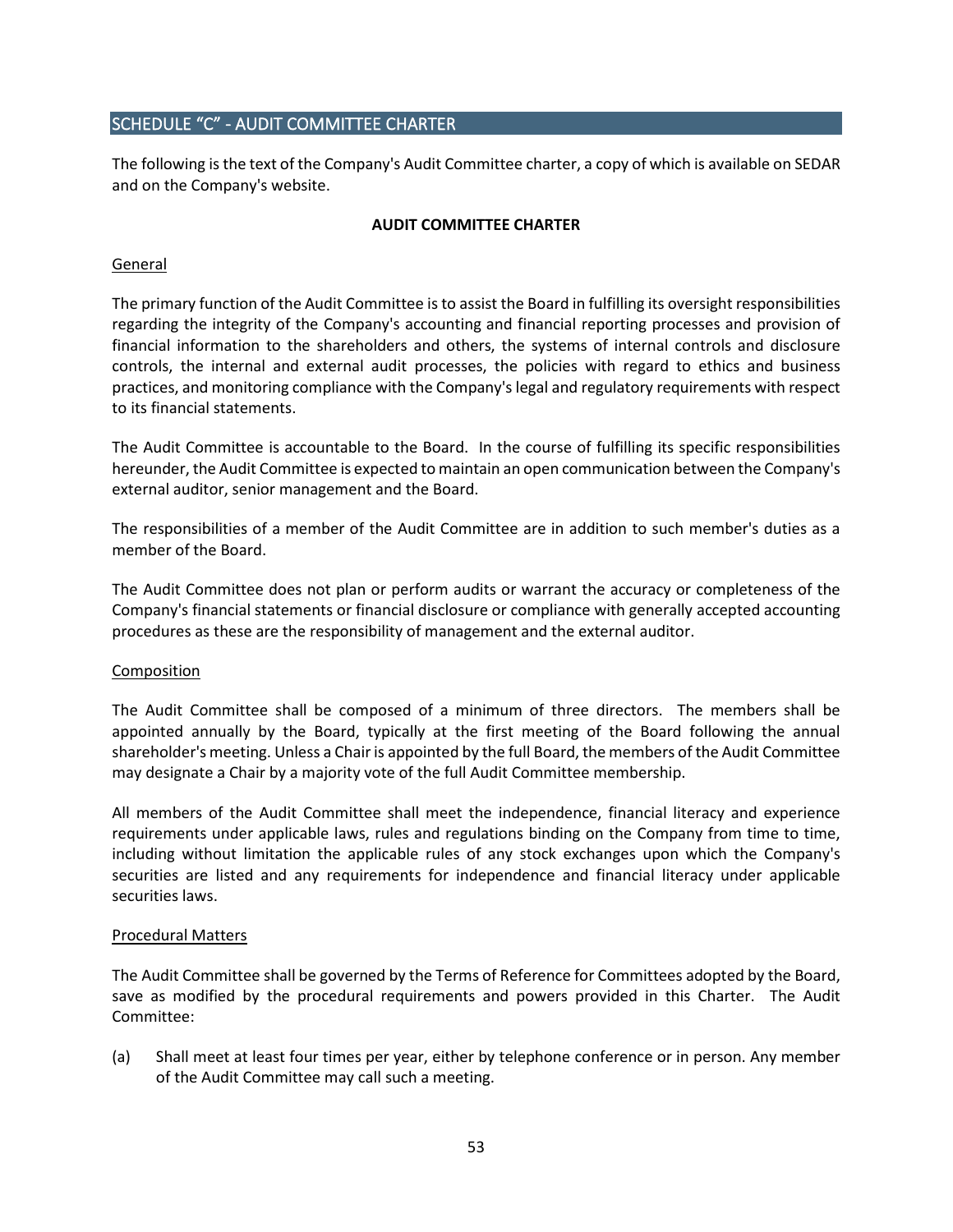# <span id="page-52-0"></span>SCHEDULE "C" - AUDIT COMMITTEE CHARTER

The following is the text of the Company's Audit Committee charter, a copy of which is available on SEDAR and on the Company's website.

## **AUDIT COMMITTEE CHARTER**

#### General

The primary function of the Audit Committee is to assist the Board in fulfilling its oversight responsibilities regarding the integrity of the Company's accounting and financial reporting processes and provision of financial information to the shareholders and others, the systems of internal controls and disclosure controls, the internal and external audit processes, the policies with regard to ethics and business practices, and monitoring compliance with the Company's legal and regulatory requirements with respect to its financial statements.

The Audit Committee is accountable to the Board. In the course of fulfilling its specific responsibilities hereunder, the Audit Committee is expected to maintain an open communication between the Company's external auditor, senior management and the Board.

The responsibilities of a member of the Audit Committee are in addition to such member's duties as a member of the Board.

The Audit Committee does not plan or perform audits or warrant the accuracy or completeness of the Company's financial statements or financial disclosure or compliance with generally accepted accounting procedures as these are the responsibility of management and the external auditor.

## Composition

The Audit Committee shall be composed of a minimum of three directors. The members shall be appointed annually by the Board, typically at the first meeting of the Board following the annual shareholder's meeting. Unless a Chair is appointed by the full Board, the members of the Audit Committee may designate a Chair by a majority vote of the full Audit Committee membership.

All members of the Audit Committee shall meet the independence, financial literacy and experience requirements under applicable laws, rules and regulations binding on the Company from time to time, including without limitation the applicable rules of any stock exchanges upon which the Company's securities are listed and any requirements for independence and financial literacy under applicable securities laws.

#### Procedural Matters

The Audit Committee shall be governed by the Terms of Reference for Committees adopted by the Board, save as modified by the procedural requirements and powers provided in this Charter. The Audit Committee:

(a) Shall meet at least four times per year, either by telephone conference or in person. Any member of the Audit Committee may call such a meeting.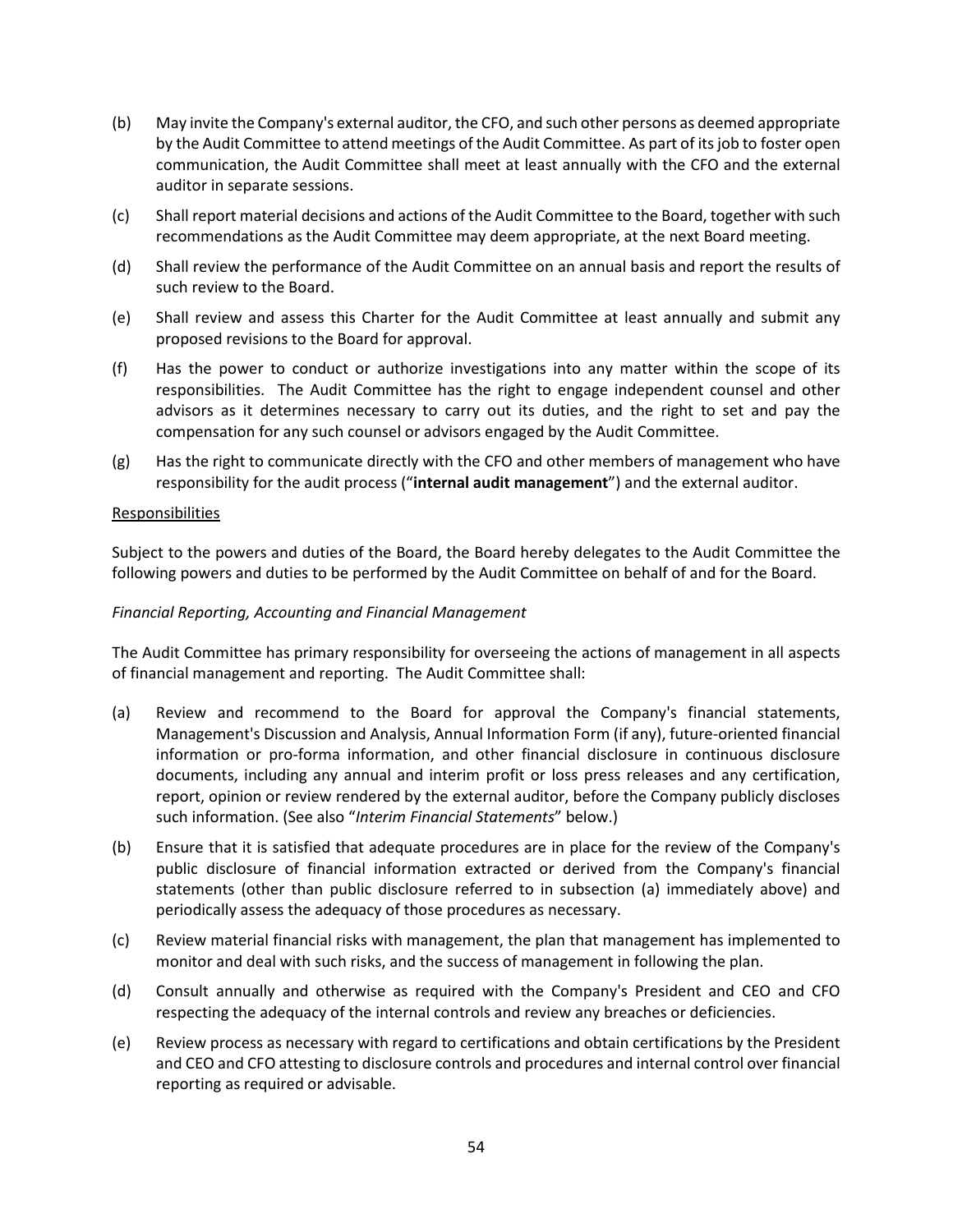- (b) May invite the Company's external auditor, the CFO, and such other persons as deemed appropriate by the Audit Committee to attend meetings of the Audit Committee. As part of its job to foster open communication, the Audit Committee shall meet at least annually with the CFO and the external auditor in separate sessions.
- (c) Shall report material decisions and actions of the Audit Committee to the Board, together with such recommendations as the Audit Committee may deem appropriate, at the next Board meeting.
- (d) Shall review the performance of the Audit Committee on an annual basis and report the results of such review to the Board.
- (e) Shall review and assess this Charter for the Audit Committee at least annually and submit any proposed revisions to the Board for approval.
- (f) Has the power to conduct or authorize investigations into any matter within the scope of its responsibilities. The Audit Committee has the right to engage independent counsel and other advisors as it determines necessary to carry out its duties, and the right to set and pay the compensation for any such counsel or advisors engaged by the Audit Committee.
- (g) Has the right to communicate directly with the CFO and other members of management who have responsibility for the audit process ("**internal audit management**") and the external auditor.

#### Responsibilities

Subject to the powers and duties of the Board, the Board hereby delegates to the Audit Committee the following powers and duties to be performed by the Audit Committee on behalf of and for the Board.

#### *Financial Reporting, Accounting and Financial Management*

The Audit Committee has primary responsibility for overseeing the actions of management in all aspects of financial management and reporting. The Audit Committee shall:

- (a) Review and recommend to the Board for approval the Company's financial statements, Management's Discussion and Analysis, Annual Information Form (if any), future-oriented financial information or pro-forma information, and other financial disclosure in continuous disclosure documents, including any annual and interim profit or loss press releases and any certification, report, opinion or review rendered by the external auditor, before the Company publicly discloses such information. (See also "*Interim Financial Statements*" below.)
- (b) Ensure that it is satisfied that adequate procedures are in place for the review of the Company's public disclosure of financial information extracted or derived from the Company's financial statements (other than public disclosure referred to in subsection (a) immediately above) and periodically assess the adequacy of those procedures as necessary.
- (c) Review material financial risks with management, the plan that management has implemented to monitor and deal with such risks, and the success of management in following the plan.
- (d) Consult annually and otherwise as required with the Company's President and CEO and CFO respecting the adequacy of the internal controls and review any breaches or deficiencies.
- (e) Review process as necessary with regard to certifications and obtain certifications by the President and CEO and CFO attesting to disclosure controls and procedures and internal control over financial reporting as required or advisable.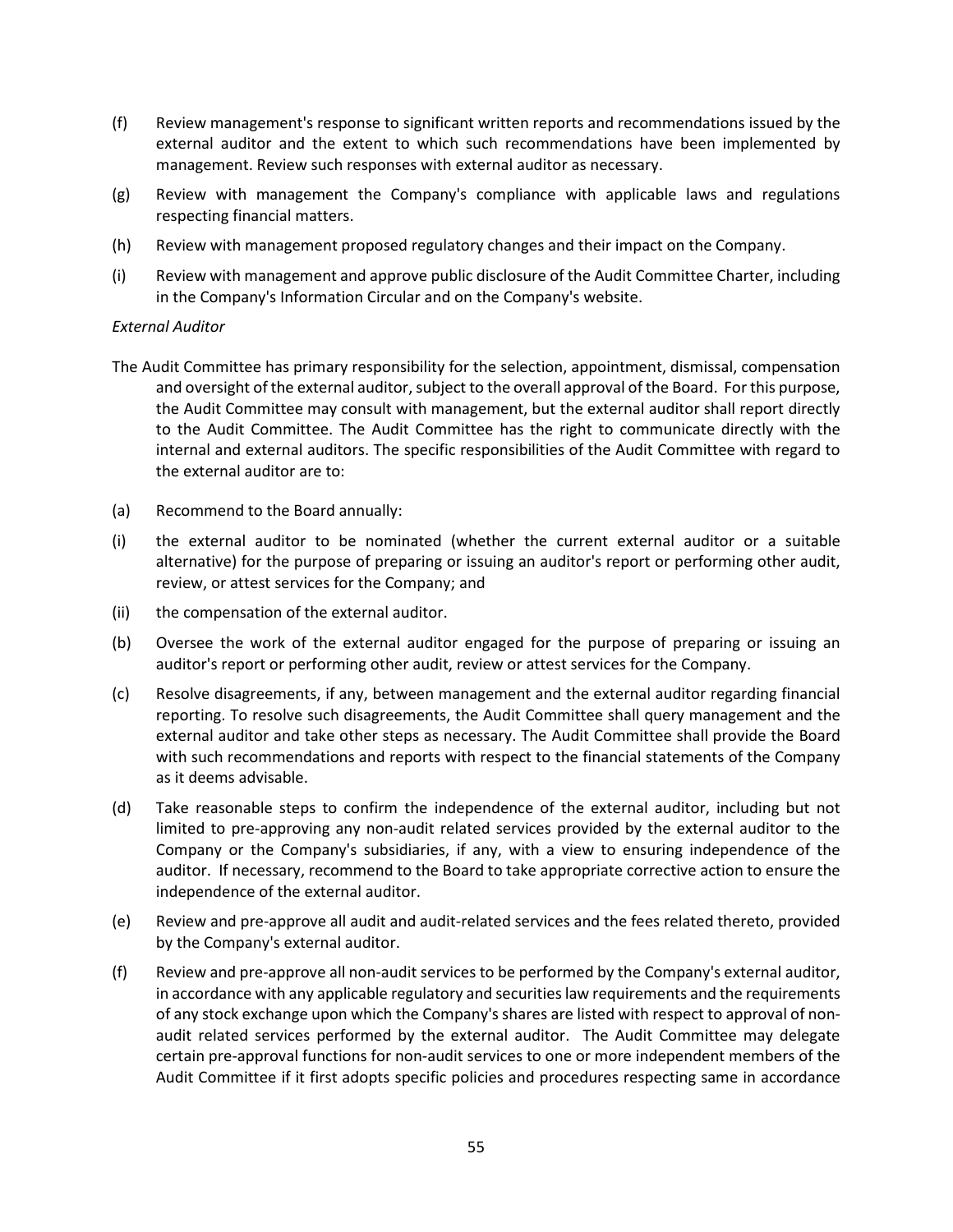- (f) Review management's response to significant written reports and recommendations issued by the external auditor and the extent to which such recommendations have been implemented by management. Review such responses with external auditor as necessary.
- (g) Review with management the Company's compliance with applicable laws and regulations respecting financial matters.
- (h) Review with management proposed regulatory changes and their impact on the Company.
- (i) Review with management and approve public disclosure of the Audit Committee Charter, including in the Company's Information Circular and on the Company's website.

## *External Auditor*

- The Audit Committee has primary responsibility for the selection, appointment, dismissal, compensation and oversight of the external auditor, subject to the overall approval of the Board. For this purpose, the Audit Committee may consult with management, but the external auditor shall report directly to the Audit Committee. The Audit Committee has the right to communicate directly with the internal and external auditors. The specific responsibilities of the Audit Committee with regard to the external auditor are to:
- (a) Recommend to the Board annually:
- (i) the external auditor to be nominated (whether the current external auditor or a suitable alternative) for the purpose of preparing or issuing an auditor's report or performing other audit, review, or attest services for the Company; and
- (ii) the compensation of the external auditor.
- (b) Oversee the work of the external auditor engaged for the purpose of preparing or issuing an auditor's report or performing other audit, review or attest services for the Company.
- (c) Resolve disagreements, if any, between management and the external auditor regarding financial reporting. To resolve such disagreements, the Audit Committee shall query management and the external auditor and take other steps as necessary. The Audit Committee shall provide the Board with such recommendations and reports with respect to the financial statements of the Company as it deems advisable.
- (d) Take reasonable steps to confirm the independence of the external auditor, including but not limited to pre-approving any non-audit related services provided by the external auditor to the Company or the Company's subsidiaries, if any, with a view to ensuring independence of the auditor. If necessary, recommend to the Board to take appropriate corrective action to ensure the independence of the external auditor.
- (e) Review and pre-approve all audit and audit-related services and the fees related thereto, provided by the Company's external auditor.
- (f) Review and pre-approve all non-audit services to be performed by the Company's external auditor, in accordance with any applicable regulatory and securities law requirements and the requirements of any stock exchange upon which the Company's shares are listed with respect to approval of nonaudit related services performed by the external auditor. The Audit Committee may delegate certain pre-approval functions for non-audit services to one or more independent members of the Audit Committee if it first adopts specific policies and procedures respecting same in accordance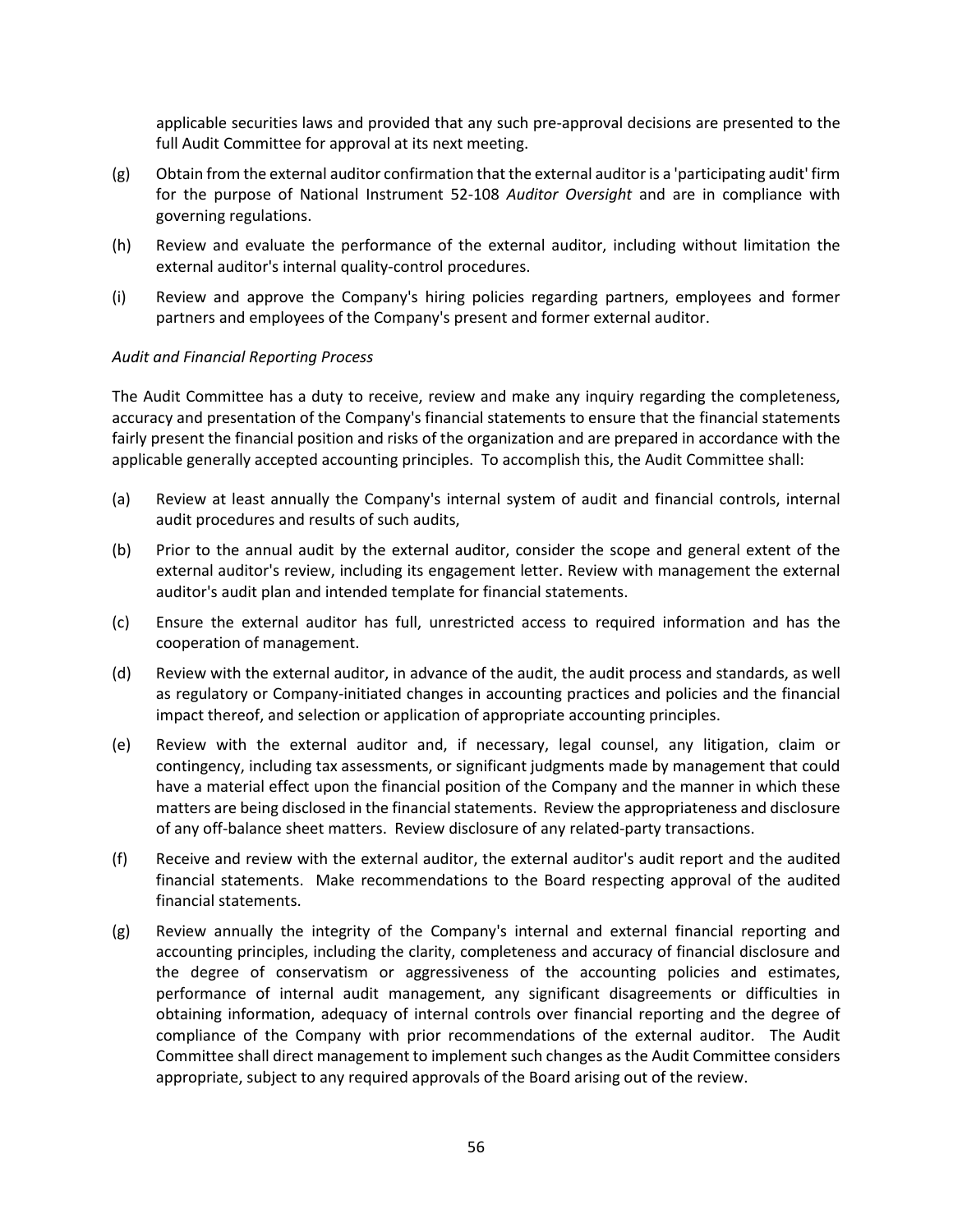applicable securities laws and provided that any such pre-approval decisions are presented to the full Audit Committee for approval at its next meeting.

- (g) Obtain from the external auditor confirmation that the external auditor is a 'participating audit' firm for the purpose of National Instrument 52-108 *Auditor Oversight* and are in compliance with governing regulations.
- (h) Review and evaluate the performance of the external auditor, including without limitation the external auditor's internal quality-control procedures.
- (i) Review and approve the Company's hiring policies regarding partners, employees and former partners and employees of the Company's present and former external auditor.

#### *Audit and Financial Reporting Process*

The Audit Committee has a duty to receive, review and make any inquiry regarding the completeness, accuracy and presentation of the Company's financial statements to ensure that the financial statements fairly present the financial position and risks of the organization and are prepared in accordance with the applicable generally accepted accounting principles. To accomplish this, the Audit Committee shall:

- (a) Review at least annually the Company's internal system of audit and financial controls, internal audit procedures and results of such audits,
- (b) Prior to the annual audit by the external auditor, consider the scope and general extent of the external auditor's review, including its engagement letter. Review with management the external auditor's audit plan and intended template for financial statements.
- (c) Ensure the external auditor has full, unrestricted access to required information and has the cooperation of management.
- (d) Review with the external auditor, in advance of the audit, the audit process and standards, as well as regulatory or Company-initiated changes in accounting practices and policies and the financial impact thereof, and selection or application of appropriate accounting principles.
- (e) Review with the external auditor and, if necessary, legal counsel, any litigation, claim or contingency, including tax assessments, or significant judgments made by management that could have a material effect upon the financial position of the Company and the manner in which these matters are being disclosed in the financial statements. Review the appropriateness and disclosure of any off-balance sheet matters. Review disclosure of any related-party transactions.
- (f) Receive and review with the external auditor, the external auditor's audit report and the audited financial statements. Make recommendations to the Board respecting approval of the audited financial statements.
- (g) Review annually the integrity of the Company's internal and external financial reporting and accounting principles, including the clarity, completeness and accuracy of financial disclosure and the degree of conservatism or aggressiveness of the accounting policies and estimates, performance of internal audit management, any significant disagreements or difficulties in obtaining information, adequacy of internal controls over financial reporting and the degree of compliance of the Company with prior recommendations of the external auditor. The Audit Committee shall direct management to implement such changes as the Audit Committee considers appropriate, subject to any required approvals of the Board arising out of the review.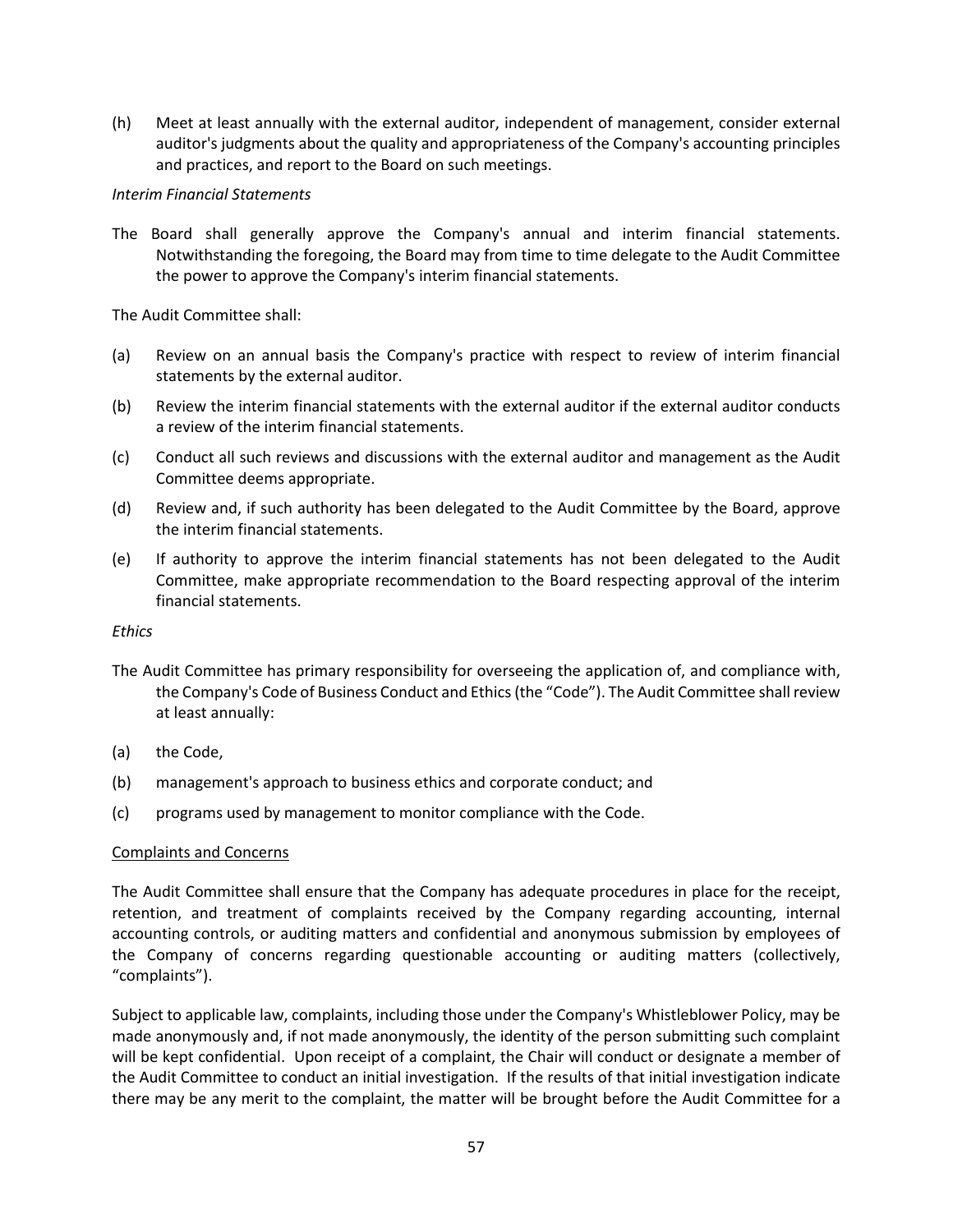(h) Meet at least annually with the external auditor, independent of management, consider external auditor's judgments about the quality and appropriateness of the Company's accounting principles and practices, and report to the Board on such meetings.

## *Interim Financial Statements*

The Board shall generally approve the Company's annual and interim financial statements. Notwithstanding the foregoing, the Board may from time to time delegate to the Audit Committee the power to approve the Company's interim financial statements.

The Audit Committee shall:

- (a) Review on an annual basis the Company's practice with respect to review of interim financial statements by the external auditor.
- (b) Review the interim financial statements with the external auditor if the external auditor conducts a review of the interim financial statements.
- (c) Conduct all such reviews and discussions with the external auditor and management as the Audit Committee deems appropriate.
- (d) Review and, if such authority has been delegated to the Audit Committee by the Board, approve the interim financial statements.
- (e) If authority to approve the interim financial statements has not been delegated to the Audit Committee, make appropriate recommendation to the Board respecting approval of the interim financial statements.

## *Ethics*

- The Audit Committee has primary responsibility for overseeing the application of, and compliance with, the Company's Code of Business Conduct and Ethics (the "Code"). The Audit Committee shall review at least annually:
- (a) the Code,
- (b) management's approach to business ethics and corporate conduct; and
- (c) programs used by management to monitor compliance with the Code.

## Complaints and Concerns

The Audit Committee shall ensure that the Company has adequate procedures in place for the receipt, retention, and treatment of complaints received by the Company regarding accounting, internal accounting controls, or auditing matters and confidential and anonymous submission by employees of the Company of concerns regarding questionable accounting or auditing matters (collectively, "complaints").

Subject to applicable law, complaints, including those under the Company's Whistleblower Policy, may be made anonymously and, if not made anonymously, the identity of the person submitting such complaint will be kept confidential. Upon receipt of a complaint, the Chair will conduct or designate a member of the Audit Committee to conduct an initial investigation. If the results of that initial investigation indicate there may be any merit to the complaint, the matter will be brought before the Audit Committee for a